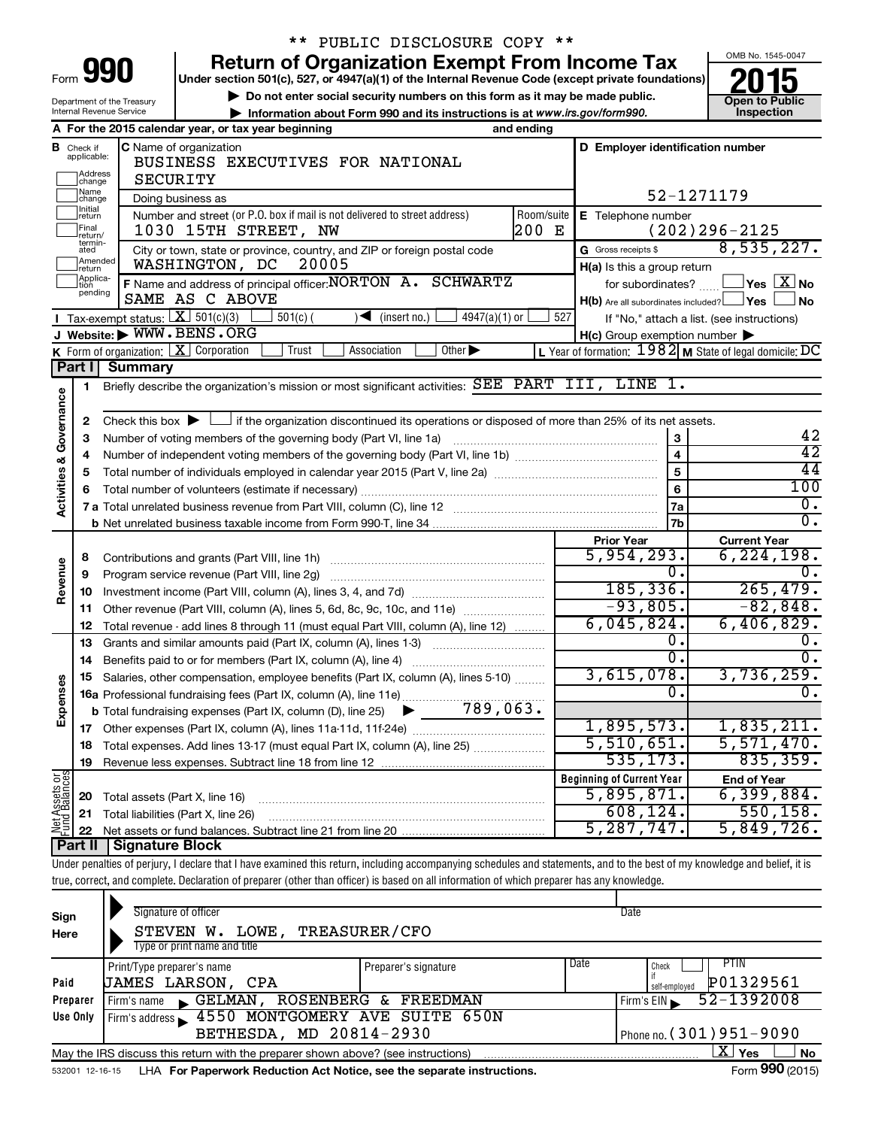|                                                                                                           |                             | PUBLIC DISCLOSURE COPY **                                                                                                                                                  |            |                                                           |                                                                        |
|-----------------------------------------------------------------------------------------------------------|-----------------------------|----------------------------------------------------------------------------------------------------------------------------------------------------------------------------|------------|-----------------------------------------------------------|------------------------------------------------------------------------|
|                                                                                                           |                             | <b>Return of Organization Exempt From Income Tax</b>                                                                                                                       |            |                                                           | OMB No. 1545-0047                                                      |
|                                                                                                           |                             | Form 990<br>Under section 501(c), 527, or 4947(a)(1) of the Internal Revenue Code (except private foundations)                                                             |            |                                                           |                                                                        |
| Do not enter social security numbers on this form as it may be made public.<br>Department of the Treasury |                             |                                                                                                                                                                            |            |                                                           | <b>Open to Public</b>                                                  |
|                                                                                                           |                             | Internal Revenue Service<br>Information about Form 990 and its instructions is at www.irs.gov/form990.                                                                     |            |                                                           | Inspection                                                             |
|                                                                                                           |                             | A For the 2015 calendar year, or tax year beginning<br>and ending                                                                                                          |            |                                                           |                                                                        |
|                                                                                                           | <b>B</b> Check if           | C Name of organization                                                                                                                                                     |            | D Employer identification number                          |                                                                        |
|                                                                                                           | applicable:                 | BUSINESS EXECUTIVES FOR NATIONAL                                                                                                                                           |            |                                                           |                                                                        |
|                                                                                                           | Address<br>change           | SECURITY                                                                                                                                                                   |            |                                                           |                                                                        |
|                                                                                                           | Name<br>change              | Doing business as                                                                                                                                                          |            | 52-1271179                                                |                                                                        |
|                                                                                                           | Initial<br>return           | Number and street (or P.O. box if mail is not delivered to street address)                                                                                                 | Room/suite | E Telephone number                                        |                                                                        |
|                                                                                                           | Final<br>return/<br>termin- | 200 E<br>1030 15TH STREET, NW                                                                                                                                              |            |                                                           | $(202)296 - 2125$                                                      |
|                                                                                                           | ated                        | City or town, state or province, country, and ZIP or foreign postal code                                                                                                   |            | G Gross receipts \$                                       | 8,535,227.                                                             |
|                                                                                                           | Amended<br>return           | 20005<br>WASHINGTON, DC                                                                                                                                                    |            | H(a) Is this a group return                               |                                                                        |
|                                                                                                           | Applica-<br>tion<br>pending | F Name and address of principal officer: NORTON A. SCHWARTZ                                                                                                                |            |                                                           | for subordinates? $\begin{array}{c} \boxed{\mathbf{X}} \end{array}$ No |
|                                                                                                           |                             | SAME AS C ABOVE                                                                                                                                                            |            | $H(b)$ Are all subordinates included? $\Box$ Yes          | l No                                                                   |
|                                                                                                           |                             | <b>I</b> Tax-exempt status: $X \ 501(c)(3)$<br>$501(c)$ (<br>$\sqrt{\frac{1}{1}}$ (insert no.)<br>$4947(a)(1)$ or                                                          | 527        | If "No," attach a list. (see instructions)                |                                                                        |
|                                                                                                           |                             | J Website: WWW.BENS.ORG                                                                                                                                                    |            | $H(c)$ Group exemption number $\blacktriangleright$       |                                                                        |
|                                                                                                           |                             | K Form of organization: $X$ Corporation<br>Trust<br>Association<br>Other $\blacktriangleright$                                                                             |            | L Year of formation: $1982$ M State of legal domicile: DC |                                                                        |
|                                                                                                           | Part II                     | <b>Summary</b>                                                                                                                                                             |            |                                                           |                                                                        |
|                                                                                                           | 1                           | Briefly describe the organization's mission or most significant activities: SEE PART III, LINE 1.                                                                          |            |                                                           |                                                                        |
|                                                                                                           |                             |                                                                                                                                                                            |            |                                                           |                                                                        |
|                                                                                                           | 2                           | Check this box $\blacktriangleright$ $\Box$ if the organization discontinued its operations or disposed of more than 25% of its net assets.                                |            |                                                           | 42                                                                     |
|                                                                                                           | З                           | Number of voting members of the governing body (Part VI, line 1a)                                                                                                          |            | 3<br>$\overline{4}$                                       | $\overline{42}$                                                        |
|                                                                                                           | 4                           |                                                                                                                                                                            |            | $\overline{5}$                                            | 44                                                                     |
|                                                                                                           | 5                           |                                                                                                                                                                            |            | $\bf 6$                                                   | 100                                                                    |
| Activities & Governance                                                                                   | 6                           |                                                                                                                                                                            |            | 7a                                                        | $\overline{0}$ .                                                       |
|                                                                                                           |                             |                                                                                                                                                                            |            | 7b                                                        | $\overline{0}$ .                                                       |
|                                                                                                           |                             |                                                                                                                                                                            |            | <b>Prior Year</b>                                         | <b>Current Year</b>                                                    |
|                                                                                                           | 8                           |                                                                                                                                                                            |            | 5,954,293.                                                | 6, 224, 198.                                                           |
| Revenue                                                                                                   | 9                           | Program service revenue (Part VIII, line 2g)                                                                                                                               |            | Ο.                                                        |                                                                        |
|                                                                                                           | 10                          |                                                                                                                                                                            |            | 185,336.                                                  | 265,479.                                                               |
|                                                                                                           | 11                          | Other revenue (Part VIII, column (A), lines 5, 6d, 8c, 9c, 10c, and 11e)                                                                                                   |            | $-93,805.$                                                | $-82,848.$                                                             |
|                                                                                                           | 12                          | Total revenue - add lines 8 through 11 (must equal Part VIII, column (A), line 12)                                                                                         |            | 6,045,824.                                                | 6,406,829.                                                             |
|                                                                                                           | 13                          | Grants and similar amounts paid (Part IX, column (A), lines 1-3)                                                                                                           |            | ο.                                                        |                                                                        |
|                                                                                                           | 14                          | Benefits paid to or for members (Part IX, column (A), line 4)                                                                                                              |            | σ.                                                        | 0.                                                                     |
|                                                                                                           | 15                          | Salaries, other compensation, employee benefits (Part IX, column (A), lines 5-10)                                                                                          |            | 3,615,078.                                                | 3,736,259.                                                             |
|                                                                                                           |                             |                                                                                                                                                                            |            | 0.                                                        | 0.                                                                     |
| Expenses                                                                                                  |                             |                                                                                                                                                                            |            |                                                           |                                                                        |
|                                                                                                           | 17                          |                                                                                                                                                                            |            | 1,895,573.                                                | 1,835,211.                                                             |
|                                                                                                           | 18                          | Total expenses. Add lines 13-17 (must equal Part IX, column (A), line 25)                                                                                                  |            | 5,510,651.                                                | 5,571,470.                                                             |
|                                                                                                           | 19                          |                                                                                                                                                                            |            | 535,173.                                                  | 835, 359.                                                              |
| Net Assets or                                                                                             |                             |                                                                                                                                                                            |            | <b>Beginning of Current Year</b>                          | <b>End of Year</b>                                                     |
|                                                                                                           | 20                          | Total assets (Part X, line 16)                                                                                                                                             |            | 5,895,871.                                                | 6,399,884.                                                             |
|                                                                                                           | 21                          | Total liabilities (Part X, line 26)                                                                                                                                        |            | 608, 124.                                                 | 550, 158.                                                              |
|                                                                                                           | 22                          |                                                                                                                                                                            |            | 5, 287, 747.                                              | 5,849,726.                                                             |
|                                                                                                           | Part II                     | <b>Signature Block</b>                                                                                                                                                     |            |                                                           |                                                                        |
|                                                                                                           |                             | Under penalties of perjury, I declare that I have examined this return, including accompanying schedules and statements, and to the best of my knowledge and belief, it is |            |                                                           |                                                                        |
|                                                                                                           |                             | true, correct, and complete. Declaration of preparer (other than officer) is based on all information of which preparer has any knowledge.                                 |            |                                                           |                                                                        |
|                                                                                                           |                             |                                                                                                                                                                            |            |                                                           |                                                                        |

| Sign     | Signature of officer                                                                                 |                      | Date                       |  |  |  |  |
|----------|------------------------------------------------------------------------------------------------------|----------------------|----------------------------|--|--|--|--|
| Here     | STEVEN W. LOWE, TREASURER/CFO                                                                        |                      |                            |  |  |  |  |
|          | Type or print name and title                                                                         |                      |                            |  |  |  |  |
|          | Print/Type preparer's name                                                                           | Preparer's signature | Date<br>PIIN<br>Check      |  |  |  |  |
| Paid     | UAMES LARSON, CPA                                                                                    |                      | P01329561<br>self-emploved |  |  |  |  |
| Preparer | GELMAN,<br>Firm's name<br>$\blacksquare$                                                             | ROSENBERG & FREEDMAN | 52-1392008<br>Firm's EIN   |  |  |  |  |
| Use Only | Firm's address 1550 MONTGOMERY AVE SUITE 650N                                                        |                      |                            |  |  |  |  |
|          | BETHESDA, MD 20814-2930                                                                              |                      | Phone no. (301) 951-9090   |  |  |  |  |
|          | ΧI<br>No<br>Yes<br>May the IRS discuss this return with the preparer shown above? (see instructions) |                      |                            |  |  |  |  |
|          |                                                                                                      |                      | $\mathbf{A}$               |  |  |  |  |

532001 12-16-15 **For Paperwork Reduction Act Notice, see the separate instructions.** LHA Form (2015)

Form **990** (2015)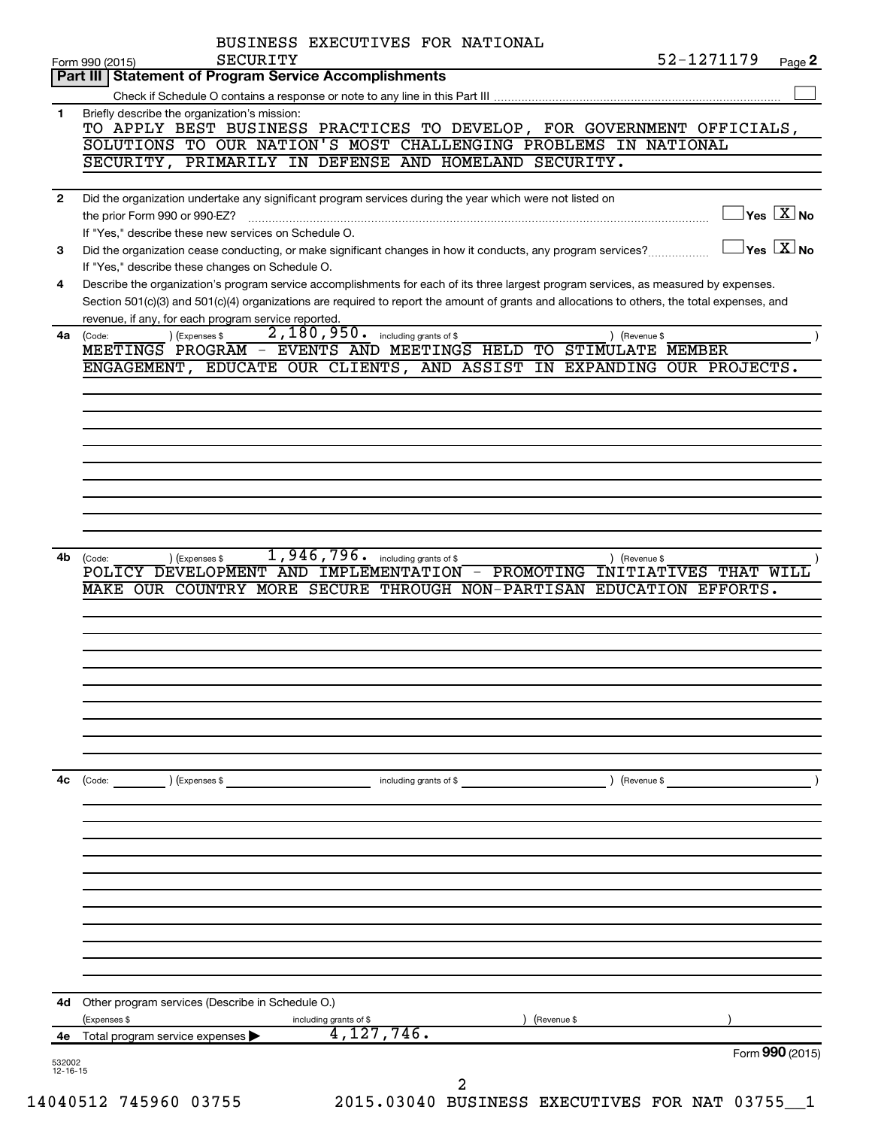|                | BUSINESS EXECUTIVES FOR NATIONAL<br>52-1271179<br><b>SECURITY</b><br>Page 2<br>Form 990 (2015)                                                                                                                                                                                       |
|----------------|--------------------------------------------------------------------------------------------------------------------------------------------------------------------------------------------------------------------------------------------------------------------------------------|
|                | Part III<br><b>Statement of Program Service Accomplishments</b>                                                                                                                                                                                                                      |
|                |                                                                                                                                                                                                                                                                                      |
| 1              | Briefly describe the organization's mission:<br>TO APPLY BEST BUSINESS PRACTICES TO DEVELOP, FOR GOVERNMENT OFFICIALS,<br>SOLUTIONS TO OUR NATION'S MOST CHALLENGING PROBLEMS IN NATIONAL                                                                                            |
|                | SECURITY, PRIMARILY IN DEFENSE AND HOMELAND SECURITY.                                                                                                                                                                                                                                |
| 2              | Did the organization undertake any significant program services during the year which were not listed on                                                                                                                                                                             |
|                | $\overline{\ }$ Yes $\overline{\rm{X}}$ No<br>the prior Form 990 or 990-EZ?<br>If "Yes," describe these new services on Schedule O.                                                                                                                                                  |
| 3              | $\overline{\ }$ Yes $\overline{\ \ \ }$ No<br>Did the organization cease conducting, or make significant changes in how it conducts, any program services?<br>If "Yes," describe these changes on Schedule O.                                                                        |
| 4              | Describe the organization's program service accomplishments for each of its three largest program services, as measured by expenses.<br>Section 501(c)(3) and 501(c)(4) organizations are required to report the amount of grants and allocations to others, the total expenses, and |
| 4a             | revenue, if any, for each program service reported.<br>2,180,950.<br>including grants of \$<br>(Code:<br>) (Expenses \$<br>) (Revenue \$                                                                                                                                             |
|                | MEETINGS PROGRAM - EVENTS AND MEETINGS HELD TO STIMULATE MEMBER<br>ENGAGEMENT, EDUCATE OUR CLIENTS, AND ASSIST IN EXPANDING OUR PROJECTS.                                                                                                                                            |
|                |                                                                                                                                                                                                                                                                                      |
|                |                                                                                                                                                                                                                                                                                      |
|                |                                                                                                                                                                                                                                                                                      |
|                |                                                                                                                                                                                                                                                                                      |
|                |                                                                                                                                                                                                                                                                                      |
|                |                                                                                                                                                                                                                                                                                      |
|                |                                                                                                                                                                                                                                                                                      |
|                |                                                                                                                                                                                                                                                                                      |
|                |                                                                                                                                                                                                                                                                                      |
| 4b             | 1,946,796.<br>including grants of \$<br>) (Revenue \$<br>(Code:<br>(Expenses \$<br>POLICY DEVELOPMENT AND IMPLEMENTATION - PROMOTING INITIATIVES THAT WILL                                                                                                                           |
|                | MAKE OUR COUNTRY MORE SECURE THROUGH NON-PARTISAN EDUCATION EFFORTS.                                                                                                                                                                                                                 |
|                |                                                                                                                                                                                                                                                                                      |
|                |                                                                                                                                                                                                                                                                                      |
|                |                                                                                                                                                                                                                                                                                      |
|                |                                                                                                                                                                                                                                                                                      |
|                |                                                                                                                                                                                                                                                                                      |
|                |                                                                                                                                                                                                                                                                                      |
|                |                                                                                                                                                                                                                                                                                      |
|                |                                                                                                                                                                                                                                                                                      |
|                |                                                                                                                                                                                                                                                                                      |
| 4с             | $\left(\text{Code:} \right)$ $\left(\text{Expenses $}\right)$<br>including grants of \$<br>) (Revenue \$                                                                                                                                                                             |
|                |                                                                                                                                                                                                                                                                                      |
|                |                                                                                                                                                                                                                                                                                      |
|                |                                                                                                                                                                                                                                                                                      |
|                |                                                                                                                                                                                                                                                                                      |
|                |                                                                                                                                                                                                                                                                                      |
|                |                                                                                                                                                                                                                                                                                      |
|                |                                                                                                                                                                                                                                                                                      |
|                |                                                                                                                                                                                                                                                                                      |
|                |                                                                                                                                                                                                                                                                                      |
|                |                                                                                                                                                                                                                                                                                      |
|                | 4d Other program services (Describe in Schedule O.)<br>Expenses \$<br>Revenue \$<br>including grants of \$                                                                                                                                                                           |
|                | 4,127,746.<br><b>4e</b> Total program service expenses $\blacktriangleright$                                                                                                                                                                                                         |
| 532002         | Form 990 (2015)                                                                                                                                                                                                                                                                      |
| $12 - 16 - 15$ |                                                                                                                                                                                                                                                                                      |
|                | 2<br>14040512 745960 03755<br>2015.03040 BUSINESS EXECUTIVES FOR NAT 03755                                                                                                                                                                                                           |
|                |                                                                                                                                                                                                                                                                                      |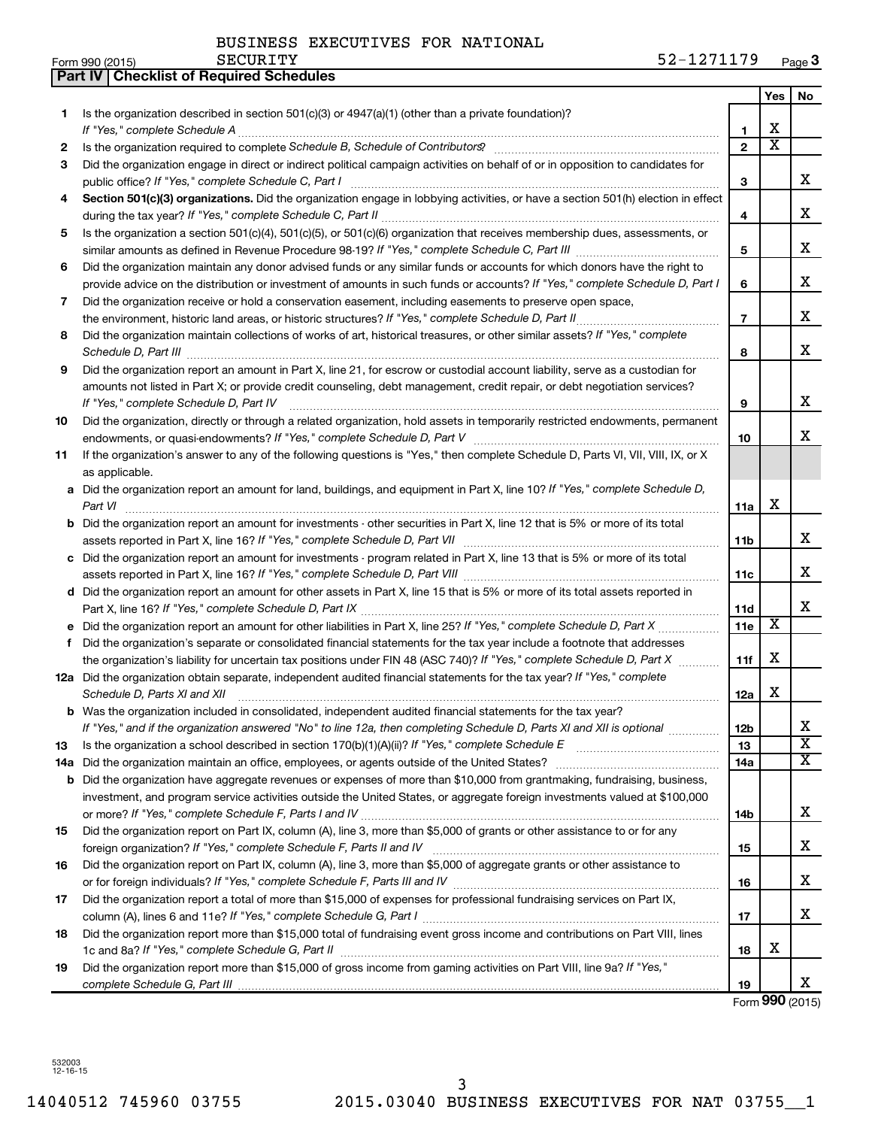|    | Part IV   Checklist of Required Schedules                                                                                                                                                                                           |                 |                       |                         |
|----|-------------------------------------------------------------------------------------------------------------------------------------------------------------------------------------------------------------------------------------|-----------------|-----------------------|-------------------------|
|    |                                                                                                                                                                                                                                     |                 | Yes                   | No                      |
| 1  | Is the organization described in section $501(c)(3)$ or $4947(a)(1)$ (other than a private foundation)?                                                                                                                             |                 |                       |                         |
|    |                                                                                                                                                                                                                                     | 1               | х                     |                         |
| 2  |                                                                                                                                                                                                                                     | $\overline{2}$  | $\overline{\text{x}}$ |                         |
| З  | Did the organization engage in direct or indirect political campaign activities on behalf of or in opposition to candidates for                                                                                                     |                 |                       |                         |
|    |                                                                                                                                                                                                                                     | 3               |                       | x                       |
| 4  | Section 501(c)(3) organizations. Did the organization engage in lobbying activities, or have a section 501(h) election in effect                                                                                                    |                 |                       |                         |
|    |                                                                                                                                                                                                                                     | 4               |                       | X                       |
| 5  | Is the organization a section 501(c)(4), 501(c)(5), or 501(c)(6) organization that receives membership dues, assessments, or                                                                                                        |                 |                       |                         |
|    |                                                                                                                                                                                                                                     | 5               |                       | X                       |
| 6  | Did the organization maintain any donor advised funds or any similar funds or accounts for which donors have the right to                                                                                                           |                 |                       |                         |
|    | provide advice on the distribution or investment of amounts in such funds or accounts? If "Yes," complete Schedule D, Part I                                                                                                        | 6               |                       | X                       |
| 7  | Did the organization receive or hold a conservation easement, including easements to preserve open space,                                                                                                                           |                 |                       |                         |
|    |                                                                                                                                                                                                                                     | $\overline{7}$  |                       | X                       |
| 8  | Did the organization maintain collections of works of art, historical treasures, or other similar assets? If "Yes," complete                                                                                                        |                 |                       |                         |
|    | Schedule D, Part III <b>Marting Communities</b> and the contract of the contract of the contract of the contract of the contract of the contract of the contract of the contract of the contract of the contract of the contract of | 8               |                       | X                       |
| 9  | Did the organization report an amount in Part X, line 21, for escrow or custodial account liability, serve as a custodian for                                                                                                       |                 |                       |                         |
|    | amounts not listed in Part X; or provide credit counseling, debt management, credit repair, or debt negotiation services?                                                                                                           |                 |                       |                         |
|    | If "Yes," complete Schedule D, Part IV                                                                                                                                                                                              | 9               |                       | X                       |
| 10 | Did the organization, directly or through a related organization, hold assets in temporarily restricted endowments, permanent                                                                                                       |                 |                       |                         |
|    |                                                                                                                                                                                                                                     | 10              |                       | x                       |
| 11 | If the organization's answer to any of the following questions is "Yes," then complete Schedule D, Parts VI, VII, VIII, IX, or X                                                                                                    |                 |                       |                         |
|    | as applicable.                                                                                                                                                                                                                      |                 |                       |                         |
|    | a Did the organization report an amount for land, buildings, and equipment in Part X, line 10? If "Yes," complete Schedule D,                                                                                                       |                 |                       |                         |
|    | Part VI                                                                                                                                                                                                                             | 11a             | х                     |                         |
|    | <b>b</b> Did the organization report an amount for investments - other securities in Part X, line 12 that is 5% or more of its total                                                                                                |                 |                       |                         |
|    |                                                                                                                                                                                                                                     | 11 <sub>b</sub> |                       | x                       |
|    | c Did the organization report an amount for investments - program related in Part X, line 13 that is 5% or more of its total                                                                                                        |                 |                       |                         |
|    |                                                                                                                                                                                                                                     | 11c             |                       | x                       |
|    | d Did the organization report an amount for other assets in Part X, line 15 that is 5% or more of its total assets reported in                                                                                                      |                 |                       |                         |
|    |                                                                                                                                                                                                                                     | 11d             |                       | х                       |
|    | e Did the organization report an amount for other liabilities in Part X, line 25? If "Yes," complete Schedule D, Part X                                                                                                             | 11e             | X                     |                         |
| f  | Did the organization's separate or consolidated financial statements for the tax year include a footnote that addresses                                                                                                             |                 |                       |                         |
|    | the organization's liability for uncertain tax positions under FIN 48 (ASC 740)? If "Yes," complete Schedule D, Part X                                                                                                              | 11f             | х                     |                         |
|    | 12a Did the organization obtain separate, independent audited financial statements for the tax year? If "Yes," complete                                                                                                             |                 |                       |                         |
|    | Schedule D, Parts XI and XII <b>continuum continuum continuum continuum continuum continuum continuum continuum</b> continuum continuum continuum continuum continuum continuum continuum continuum continuum continuum continuum c | 12a             | х                     |                         |
|    | b Was the organization included in consolidated, independent audited financial statements for the tax year?                                                                                                                         |                 |                       |                         |
|    | If "Yes," and if the organization answered "No" to line 12a, then completing Schedule D, Parts XI and XII is optional                                                                                                               | 12 <sub>b</sub> |                       | х                       |
| 13 |                                                                                                                                                                                                                                     | 13              |                       | $\overline{\textbf{X}}$ |
|    |                                                                                                                                                                                                                                     | 14a             |                       | X                       |
|    | <b>b</b> Did the organization have aggregate revenues or expenses of more than \$10,000 from grantmaking, fundraising, business,                                                                                                    |                 |                       |                         |
|    | investment, and program service activities outside the United States, or aggregate foreign investments valued at \$100,000                                                                                                          |                 |                       |                         |
|    |                                                                                                                                                                                                                                     | 14b             |                       | x                       |
| 15 | Did the organization report on Part IX, column (A), line 3, more than \$5,000 of grants or other assistance to or for any                                                                                                           |                 |                       |                         |
|    |                                                                                                                                                                                                                                     | 15              |                       | х                       |
| 16 | Did the organization report on Part IX, column (A), line 3, more than \$5,000 of aggregate grants or other assistance to                                                                                                            |                 |                       |                         |
|    |                                                                                                                                                                                                                                     | 16              |                       | х                       |
| 17 | Did the organization report a total of more than \$15,000 of expenses for professional fundraising services on Part IX,                                                                                                             |                 |                       |                         |
|    |                                                                                                                                                                                                                                     | 17              |                       | x                       |
| 18 | Did the organization report more than \$15,000 total of fundraising event gross income and contributions on Part VIII, lines                                                                                                        |                 |                       |                         |
|    |                                                                                                                                                                                                                                     | 18              | х                     |                         |
| 19 | Did the organization report more than \$15,000 of gross income from gaming activities on Part VIII, line 9a? If "Yes,"                                                                                                              |                 |                       |                         |
|    |                                                                                                                                                                                                                                     | 19              |                       | x                       |

Form **990** (2015)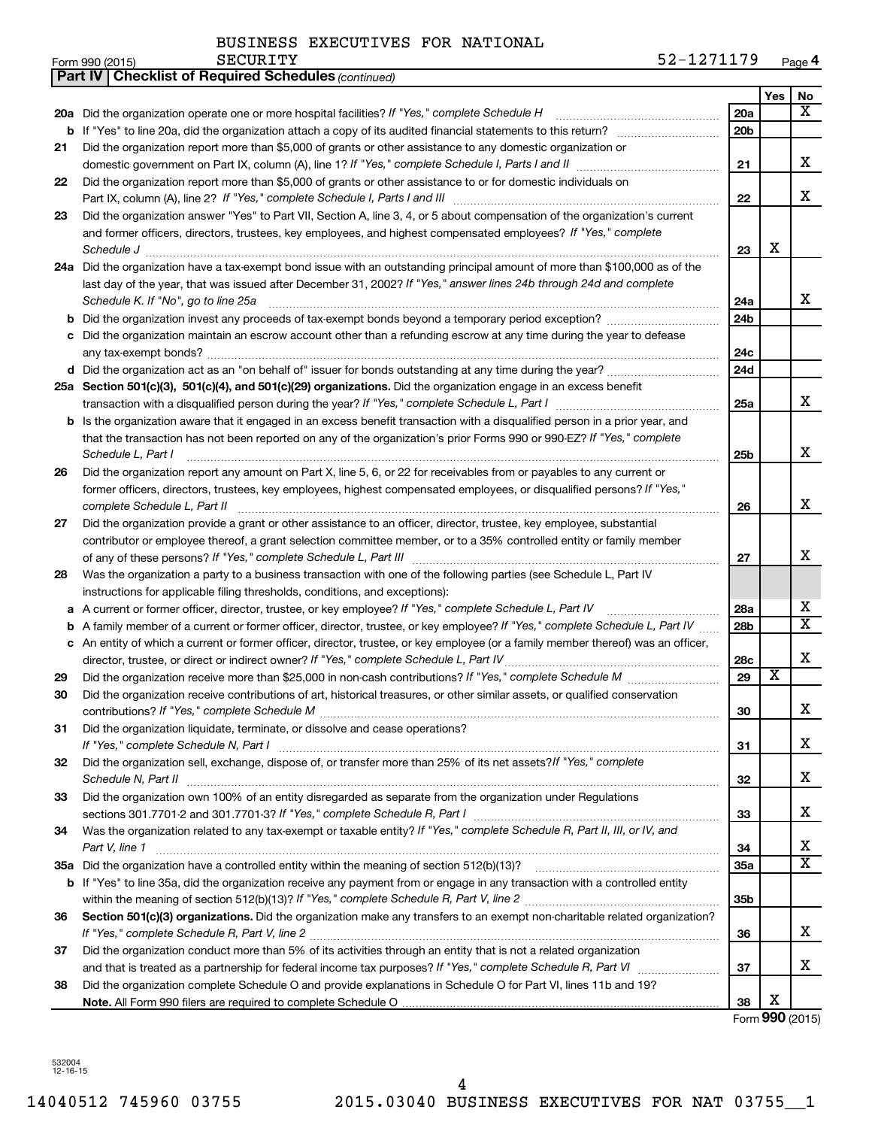| -<br>Form 990 (2015) | <b>CECIID THV</b><br><b>DECURITI</b> | $\begin{array}{c} \n\bullet \bullet \bullet \bullet \bullet \bullet \bullet \end{array}$<br>Door:<br>$\mathbf{z}$<br><b>A</b><br>auc |
|----------------------|--------------------------------------|--------------------------------------------------------------------------------------------------------------------------------------|
|----------------------|--------------------------------------|--------------------------------------------------------------------------------------------------------------------------------------|

|    | <b>Part IV   Checklist of Required Schedules (continued)</b>                                                                        |                 |                         |                         |
|----|-------------------------------------------------------------------------------------------------------------------------------------|-----------------|-------------------------|-------------------------|
|    |                                                                                                                                     |                 | Yes                     | No                      |
|    | 20a Did the organization operate one or more hospital facilities? If "Yes," complete Schedule H                                     | 20a             |                         | x                       |
|    |                                                                                                                                     | 20 <sub>b</sub> |                         |                         |
| 21 | Did the organization report more than \$5,000 of grants or other assistance to any domestic organization or                         |                 |                         |                         |
|    |                                                                                                                                     | 21              |                         | х                       |
| 22 | Did the organization report more than \$5,000 of grants or other assistance to or for domestic individuals on                       |                 |                         |                         |
|    |                                                                                                                                     | 22              |                         | x                       |
| 23 | Did the organization answer "Yes" to Part VII, Section A, line 3, 4, or 5 about compensation of the organization's current          |                 |                         |                         |
|    | and former officers, directors, trustees, key employees, and highest compensated employees? If "Yes," complete                      |                 |                         |                         |
|    | Schedule J <b>Execute Schedule J Execute Schedule J</b>                                                                             | 23              | X                       |                         |
|    | 24a Did the organization have a tax-exempt bond issue with an outstanding principal amount of more than \$100,000 as of the         |                 |                         |                         |
|    | last day of the year, that was issued after December 31, 2002? If "Yes," answer lines 24b through 24d and complete                  |                 |                         |                         |
|    | Schedule K. If "No", go to line 25a                                                                                                 | 24a             |                         | x                       |
| b  |                                                                                                                                     | 24 <sub>b</sub> |                         |                         |
|    | Did the organization maintain an escrow account other than a refunding escrow at any time during the year to defease                |                 |                         |                         |
|    |                                                                                                                                     | 24c             |                         |                         |
|    |                                                                                                                                     | 24d             |                         |                         |
|    | 25a Section 501(c)(3), 501(c)(4), and 501(c)(29) organizations. Did the organization engage in an excess benefit                    |                 |                         |                         |
|    |                                                                                                                                     | 25a             |                         | x                       |
|    | <b>b</b> Is the organization aware that it engaged in an excess benefit transaction with a disqualified person in a prior year, and |                 |                         |                         |
|    | that the transaction has not been reported on any of the organization's prior Forms 990 or 990-EZ? If "Yes," complete               |                 |                         |                         |
|    | Schedule L, Part I                                                                                                                  | 25b             |                         | х                       |
| 26 | Did the organization report any amount on Part X, line 5, 6, or 22 for receivables from or payables to any current or               |                 |                         |                         |
|    | former officers, directors, trustees, key employees, highest compensated employees, or disqualified persons? If "Yes,"              |                 |                         |                         |
|    | complete Schedule L, Part II                                                                                                        | 26              |                         | х                       |
| 27 | Did the organization provide a grant or other assistance to an officer, director, trustee, key employee, substantial                |                 |                         |                         |
|    | contributor or employee thereof, a grant selection committee member, or to a 35% controlled entity or family member                 |                 |                         |                         |
|    |                                                                                                                                     | 27              |                         | х                       |
| 28 | Was the organization a party to a business transaction with one of the following parties (see Schedule L, Part IV                   |                 |                         |                         |
|    | instructions for applicable filing thresholds, conditions, and exceptions):                                                         |                 |                         |                         |
| а  | A current or former officer, director, trustee, or key employee? If "Yes," complete Schedule L, Part IV                             | 28a             |                         | x                       |
| b  | A family member of a current or former officer, director, trustee, or key employee? If "Yes," complete Schedule L, Part IV          | 28b             |                         | $\overline{\textbf{X}}$ |
|    | c An entity of which a current or former officer, director, trustee, or key employee (or a family member thereof) was an officer,   |                 |                         |                         |
|    | director, trustee, or direct or indirect owner? If "Yes," complete Schedule L, Part IV                                              | 28c             |                         | х                       |
| 29 |                                                                                                                                     | 29              | $\overline{\textbf{x}}$ |                         |
| 30 | Did the organization receive contributions of art, historical treasures, or other similar assets, or qualified conservation         |                 |                         |                         |
|    |                                                                                                                                     | 30              |                         | ▵                       |
| 31 | Did the organization liquidate, terminate, or dissolve and cease operations?                                                        |                 |                         |                         |
|    |                                                                                                                                     | 31              |                         | X.                      |
| 32 | Did the organization sell, exchange, dispose of, or transfer more than 25% of its net assets? If "Yes," complete                    |                 |                         |                         |
|    |                                                                                                                                     | 32              |                         | х                       |
| 33 | Did the organization own 100% of an entity disregarded as separate from the organization under Regulations                          |                 |                         |                         |
|    |                                                                                                                                     | 33              |                         | x                       |
| 34 | Was the organization related to any tax-exempt or taxable entity? If "Yes," complete Schedule R, Part II, III, or IV, and           |                 |                         |                         |
|    | Part V, line 1                                                                                                                      | 34              |                         | х                       |
|    |                                                                                                                                     | <b>35a</b>      |                         | X                       |
|    | b If "Yes" to line 35a, did the organization receive any payment from or engage in any transaction with a controlled entity         |                 |                         |                         |
|    |                                                                                                                                     | 35b             |                         |                         |
| 36 | Section 501(c)(3) organizations. Did the organization make any transfers to an exempt non-charitable related organization?          |                 |                         |                         |
|    |                                                                                                                                     | 36              |                         | x                       |
| 37 | Did the organization conduct more than 5% of its activities through an entity that is not a related organization                    |                 |                         |                         |
|    |                                                                                                                                     | 37              |                         | x                       |
| 38 | Did the organization complete Schedule O and provide explanations in Schedule O for Part VI, lines 11b and 19?                      |                 |                         |                         |
|    |                                                                                                                                     | 38              | X                       |                         |

Form **990** (2015)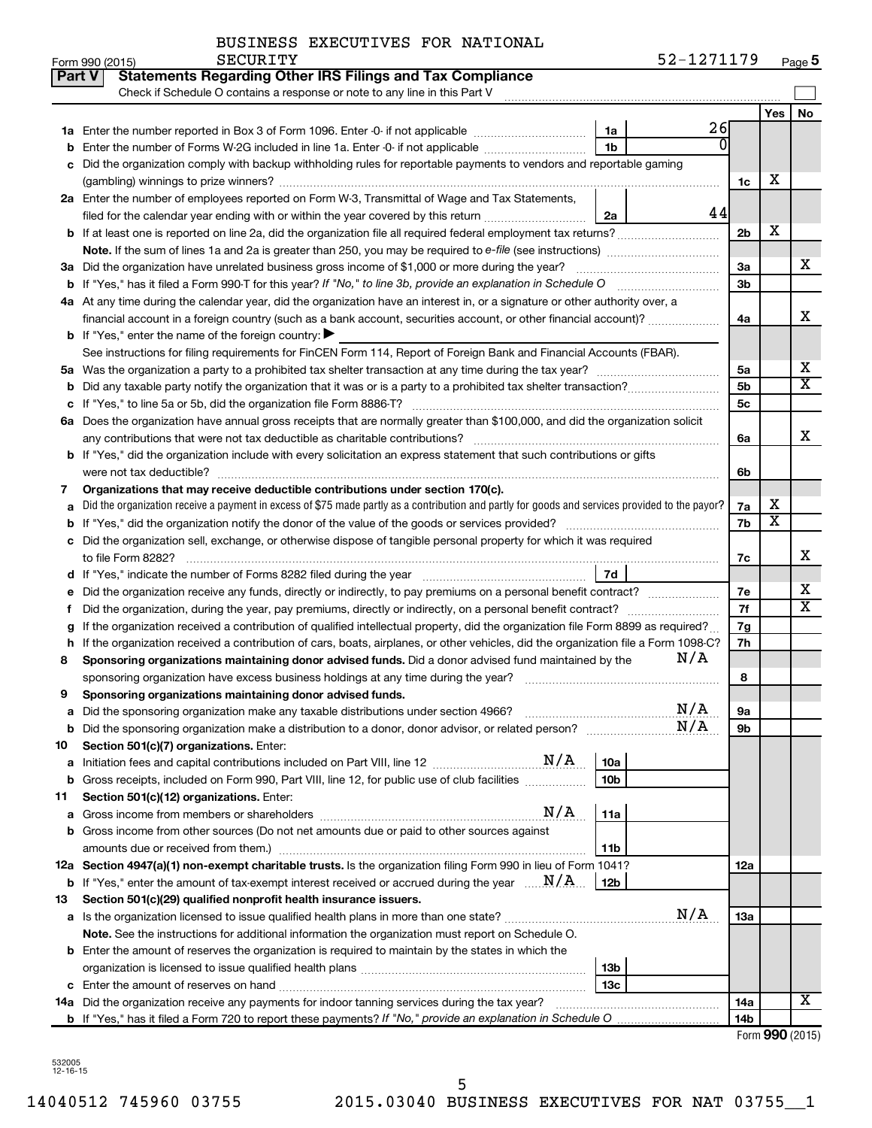| BUSINESS EXECUTIVES FOR NATIONAL |  |
|----------------------------------|--|
|                                  |  |

| <b>Part V</b> | <b>Statements Regarding Other IRS Filings and Tax Compliance</b>                                                                                                                                                                 |                 |     |                |                         |                              |
|---------------|----------------------------------------------------------------------------------------------------------------------------------------------------------------------------------------------------------------------------------|-----------------|-----|----------------|-------------------------|------------------------------|
|               | Check if Schedule O contains a response or note to any line in this Part V                                                                                                                                                       |                 |     |                |                         |                              |
|               |                                                                                                                                                                                                                                  |                 |     |                | Yes                     | No                           |
|               |                                                                                                                                                                                                                                  | 1a              | 26  |                |                         |                              |
|               | <b>b</b> Enter the number of Forms W-2G included in line 1a. Enter -0- if not applicable <i>manumumum</i>                                                                                                                        | 1b              |     |                |                         |                              |
|               | c Did the organization comply with backup withholding rules for reportable payments to vendors and reportable gaming                                                                                                             |                 |     |                |                         |                              |
|               |                                                                                                                                                                                                                                  |                 |     | 1c             | X                       |                              |
|               | 2a Enter the number of employees reported on Form W-3, Transmittal of Wage and Tax Statements,                                                                                                                                   |                 |     |                |                         |                              |
|               | filed for the calendar year ending with or within the year covered by this return                                                                                                                                                | 2a              | 44  |                |                         |                              |
|               | <b>b</b> If at least one is reported on line 2a, did the organization file all required federal employment tax returns?                                                                                                          |                 |     | 2 <sub>b</sub> | x                       |                              |
|               | <b>Note.</b> If the sum of lines 1a and 2a is greater than 250, you may be required to e-file (see instructions)                                                                                                                 |                 |     |                |                         |                              |
|               | 3a Did the organization have unrelated business gross income of \$1,000 or more during the year?                                                                                                                                 |                 |     | 3a             |                         | х                            |
|               | <b>b</b> If "Yes," has it filed a Form 990-T for this year? If "No," to line 3b, provide an explanation in Schedule O                                                                                                            |                 |     | 3 <sub>b</sub> |                         |                              |
|               | 4a At any time during the calendar year, did the organization have an interest in, or a signature or other authority over, a                                                                                                     |                 |     |                |                         |                              |
|               | financial account in a foreign country (such as a bank account, securities account, or other financial account)?                                                                                                                 |                 |     | 4a             |                         | х                            |
|               | <b>b</b> If "Yes," enter the name of the foreign country: $\blacktriangleright$                                                                                                                                                  |                 |     |                |                         |                              |
|               | See instructions for filing requirements for FinCEN Form 114, Report of Foreign Bank and Financial Accounts (FBAR).                                                                                                              |                 |     |                |                         |                              |
|               |                                                                                                                                                                                                                                  |                 |     | 5a             |                         | х<br>$\overline{\mathtt{x}}$ |
|               |                                                                                                                                                                                                                                  |                 |     | 5b             |                         |                              |
|               |                                                                                                                                                                                                                                  |                 |     | 5c             |                         |                              |
|               | 6a Does the organization have annual gross receipts that are normally greater than \$100,000, and did the organization solicit                                                                                                   |                 |     |                |                         | X                            |
|               | any contributions that were not tax deductible as charitable contributions?                                                                                                                                                      |                 |     | 6a             |                         |                              |
|               | b If "Yes," did the organization include with every solicitation an express statement that such contributions or gifts                                                                                                           |                 |     |                |                         |                              |
|               | were not tax deductible?                                                                                                                                                                                                         |                 |     | 6b             |                         |                              |
| 7             | Organizations that may receive deductible contributions under section 170(c).<br>Did the organization receive a payment in excess of \$75 made partly as a contribution and partly for goods and services provided to the payor? |                 |     |                | х                       |                              |
| a             | <b>b</b> If "Yes," did the organization notify the donor of the value of the goods or services provided?                                                                                                                         |                 |     | 7a<br>7b       | $\overline{\textbf{x}}$ |                              |
|               | c Did the organization sell, exchange, or otherwise dispose of tangible personal property for which it was required                                                                                                              |                 |     |                |                         |                              |
|               | to file Form 8282?                                                                                                                                                                                                               |                 |     |                |                         | х                            |
|               | d If "Yes," indicate the number of Forms 8282 filed during the year manufacture intervent in the set of Holman                                                                                                                   | 7d              |     | 7с             |                         |                              |
|               | e Did the organization receive any funds, directly or indirectly, to pay premiums on a personal benefit contract?                                                                                                                |                 |     | 7e             |                         | х                            |
| Ť.            | Did the organization, during the year, pay premiums, directly or indirectly, on a personal benefit contract?                                                                                                                     |                 |     | 7f             |                         | $\overline{\mathbf{x}}$      |
| g             | If the organization received a contribution of qualified intellectual property, did the organization file Form 8899 as required?                                                                                                 |                 |     | 7g             |                         |                              |
|               | h If the organization received a contribution of cars, boats, airplanes, or other vehicles, did the organization file a Form 1098-C?                                                                                             |                 |     | 7h             |                         |                              |
| 8             | Sponsoring organizations maintaining donor advised funds. Did a donor advised fund maintained by the                                                                                                                             |                 | N/A |                |                         |                              |
|               | sponsoring organization have excess business holdings at any time during the year?                                                                                                                                               |                 |     | 8              |                         |                              |
| 9             | Sponsoring organizations maintaining donor advised funds.                                                                                                                                                                        |                 |     |                |                         |                              |
|               | a Did the sponsoring organization make any taxable distributions under section 4966?                                                                                                                                             |                 | N/A | 9а             |                         |                              |
|               |                                                                                                                                                                                                                                  |                 | N/A | 9b             |                         |                              |
| 10            | Section 501(c)(7) organizations. Enter:                                                                                                                                                                                          |                 |     |                |                         |                              |
| а             |                                                                                                                                                                                                                                  | 10a             |     |                |                         |                              |
| b             | Gross receipts, included on Form 990, Part VIII, line 12, for public use of club facilities                                                                                                                                      | 10 <sub>b</sub> |     |                |                         |                              |
| 11            | Section 501(c)(12) organizations. Enter:                                                                                                                                                                                         |                 |     |                |                         |                              |
|               | N/A                                                                                                                                                                                                                              | 11a             |     |                |                         |                              |
|               | b Gross income from other sources (Do not net amounts due or paid to other sources against                                                                                                                                       |                 |     |                |                         |                              |
|               |                                                                                                                                                                                                                                  | 11 <sub>b</sub> |     |                |                         |                              |
|               | 12a Section 4947(a)(1) non-exempt charitable trusts. Is the organization filing Form 990 in lieu of Form 1041?                                                                                                                   |                 |     | 12a            |                         |                              |
|               | <b>b</b> If "Yes," enter the amount of tax-exempt interest received or accrued during the year $\ldots$ $\mathbf{N}/\mathbf{A}$ .                                                                                                | 12b             |     |                |                         |                              |
| 13            | Section 501(c)(29) qualified nonprofit health insurance issuers.                                                                                                                                                                 |                 |     |                |                         |                              |
|               |                                                                                                                                                                                                                                  |                 | N/A | 13a            |                         |                              |
|               | <b>Note.</b> See the instructions for additional information the organization must report on Schedule O.                                                                                                                         |                 |     |                |                         |                              |
|               | <b>b</b> Enter the amount of reserves the organization is required to maintain by the states in which the                                                                                                                        |                 |     |                |                         |                              |
|               |                                                                                                                                                                                                                                  | 13 <sub>b</sub> |     |                |                         |                              |
|               |                                                                                                                                                                                                                                  | 13 <sub>c</sub> |     |                |                         |                              |
|               | 14a Did the organization receive any payments for indoor tanning services during the tax year?                                                                                                                                   |                 |     | 14a            |                         | X                            |
|               |                                                                                                                                                                                                                                  |                 |     | 14b            |                         |                              |

| Form 990 (2015) |  |  |  |
|-----------------|--|--|--|
|-----------------|--|--|--|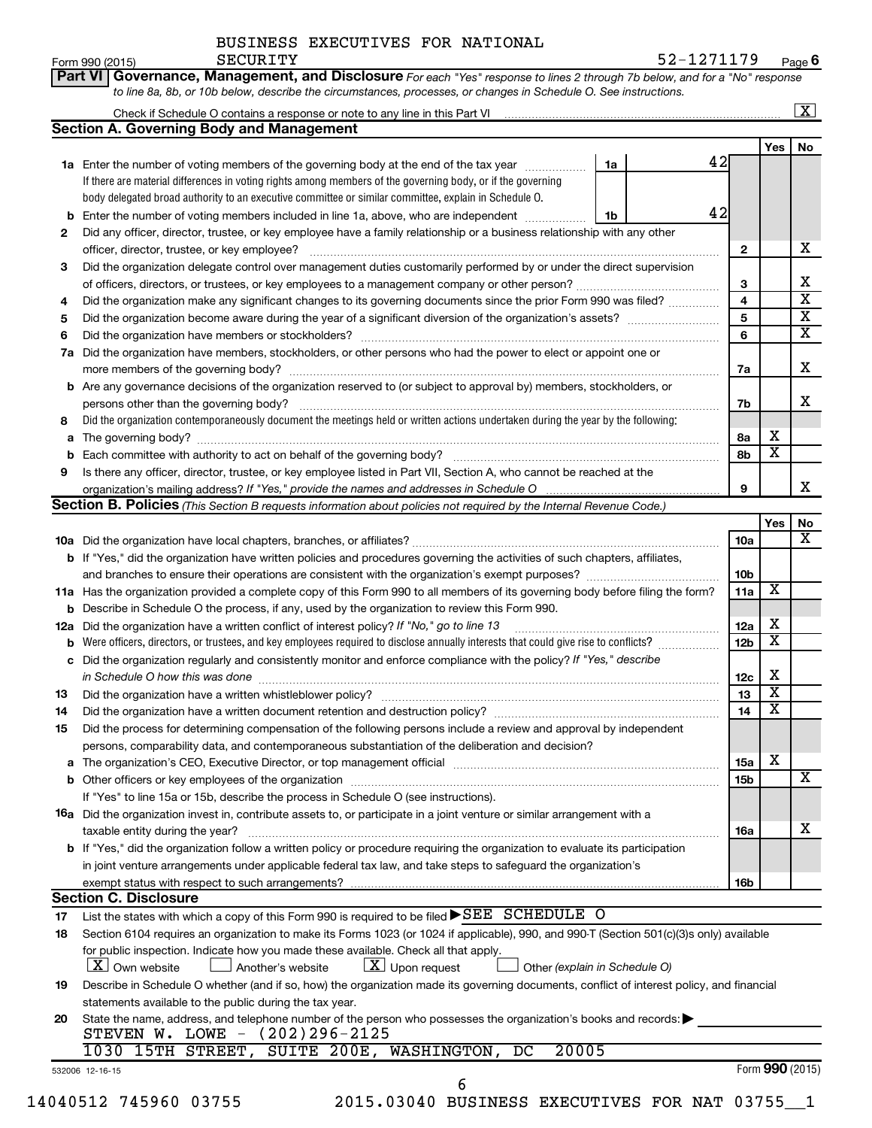| Form 990 (2015) | SECURITY | 52-1271179                                                                                                                         | Pag |
|-----------------|----------|------------------------------------------------------------------------------------------------------------------------------------|-----|
|                 |          | <b>Part VI Governance, Management, and Disclosure</b> For each "Yes" response to lines 2 through 7b below, and for a "No" response |     |
|                 |          | to line 8a, 8b, or 10b below, describe the circumstances, processes, or changes in Schedule O. See instructions.                   |     |

|     | <b>Section A. Governing Body and Management</b>                                                                                           |                               |    |                         |                         |    |
|-----|-------------------------------------------------------------------------------------------------------------------------------------------|-------------------------------|----|-------------------------|-------------------------|----|
|     |                                                                                                                                           |                               |    |                         | Yes                     | No |
|     | 1a Enter the number of voting members of the governing body at the end of the tax year                                                    | 1a                            | 42 |                         |                         |    |
|     | If there are material differences in voting rights among members of the governing body, or if the governing                               |                               |    |                         |                         |    |
|     | body delegated broad authority to an executive committee or similar committee, explain in Schedule O.                                     |                               |    |                         |                         |    |
|     | <b>b</b> Enter the number of voting members included in line 1a, above, who are independent <i>manumum</i>                                | 1b                            | 42 |                         |                         |    |
| 2   | Did any officer, director, trustee, or key employee have a family relationship or a business relationship with any other                  |                               |    |                         |                         |    |
|     | officer, director, trustee, or key employee?                                                                                              |                               |    | $\mathbf{2}$            |                         |    |
| 3   | Did the organization delegate control over management duties customarily performed by or under the direct supervision                     |                               |    |                         |                         |    |
|     |                                                                                                                                           |                               |    | 3                       |                         |    |
| 4   | Did the organization make any significant changes to its governing documents since the prior Form 990 was filed?                          |                               |    | $\overline{\mathbf{4}}$ |                         |    |
| 5   |                                                                                                                                           |                               |    | 5                       |                         |    |
| 6   |                                                                                                                                           |                               |    | 6                       |                         |    |
| 7a  | Did the organization have members, stockholders, or other persons who had the power to elect or appoint one or                            |                               |    |                         |                         |    |
|     |                                                                                                                                           |                               |    | 7a                      |                         |    |
|     | <b>b</b> Are any governance decisions of the organization reserved to (or subject to approval by) members, stockholders, or               |                               |    |                         |                         |    |
|     | persons other than the governing body?                                                                                                    |                               |    | 7b                      |                         |    |
| 8   | Did the organization contemporaneously document the meetings held or written actions undertaken during the year by the following:         |                               |    |                         |                         |    |
|     |                                                                                                                                           |                               |    | 8а                      | х                       |    |
|     |                                                                                                                                           |                               |    | 8b                      | $\overline{\mathtt{x}}$ |    |
| 9   | Is there any officer, director, trustee, or key employee listed in Part VII, Section A, who cannot be reached at the                      |                               |    |                         |                         |    |
|     | organization's mailing address? If "Yes," provide the names and addresses in Schedule O manumerrormanamentalism                           |                               |    | 9                       |                         |    |
|     | Section B. Policies (This Section B requests information about policies not required by the Internal Revenue Code.)                       |                               |    |                         |                         |    |
|     |                                                                                                                                           |                               |    |                         | Yes                     |    |
|     |                                                                                                                                           |                               |    | 10a                     |                         |    |
|     | b If "Yes," did the organization have written policies and procedures governing the activities of such chapters, affiliates,              |                               |    |                         |                         |    |
|     | and branches to ensure their operations are consistent with the organization's exempt purposes?                                           |                               |    | 10b                     |                         |    |
|     | 11a Has the organization provided a complete copy of this Form 990 to all members of its governing body before filing the form?           |                               |    | 11a                     | $\overline{\mathbf{X}}$ |    |
|     | <b>b</b> Describe in Schedule O the process, if any, used by the organization to review this Form 990.                                    |                               |    |                         |                         |    |
| 12a | Did the organization have a written conflict of interest policy? If "No," go to line 13                                                   |                               |    | 12a                     | х                       |    |
|     |                                                                                                                                           |                               |    | 12b                     | $\overline{\textbf{x}}$ |    |
|     | c Did the organization regularly and consistently monitor and enforce compliance with the policy? If "Yes," describe                      |                               |    |                         |                         |    |
|     |                                                                                                                                           |                               |    |                         | х                       |    |
|     | in Schedule O how this was done manufactured and continuum and contact the way to have a set of the state of t                            |                               |    | 12c                     | $\overline{\textbf{x}}$ |    |
| 13  |                                                                                                                                           |                               |    | 13                      | $\overline{\textbf{x}}$ |    |
| 14  |                                                                                                                                           |                               |    | 14                      |                         |    |
| 15  | Did the process for determining compensation of the following persons include a review and approval by independent                        |                               |    |                         |                         |    |
|     | persons, comparability data, and contemporaneous substantiation of the deliberation and decision?                                         |                               |    |                         |                         |    |
|     |                                                                                                                                           |                               |    | 15a                     | х                       |    |
|     |                                                                                                                                           |                               |    | 15 <sub>b</sub>         |                         |    |
|     | If "Yes" to line 15a or 15b, describe the process in Schedule O (see instructions).                                                       |                               |    |                         |                         |    |
|     | 16a Did the organization invest in, contribute assets to, or participate in a joint venture or similar arrangement with a                 |                               |    |                         |                         |    |
|     | taxable entity during the year?                                                                                                           |                               |    | 16a                     |                         |    |
|     | b If "Yes," did the organization follow a written policy or procedure requiring the organization to evaluate its participation            |                               |    |                         |                         |    |
|     | in joint venture arrangements under applicable federal tax law, and take steps to safeguard the organization's                            |                               |    |                         |                         |    |
|     | exempt status with respect to such arrangements?                                                                                          |                               |    | 16b                     |                         |    |
|     | <b>Section C. Disclosure</b>                                                                                                              |                               |    |                         |                         |    |
| 17  | List the states with which a copy of this Form 990 is required to be filed $\blacktriangleright$ SEE SCHEDULE O                           |                               |    |                         |                         |    |
| 18  | Section 6104 requires an organization to make its Forms 1023 (or 1024 if applicable), 990, and 990-T (Section 501(c)(3)s only) available  |                               |    |                         |                         |    |
|     | for public inspection. Indicate how you made these available. Check all that apply.                                                       |                               |    |                         |                         |    |
|     | X Own website<br>$\lfloor x \rfloor$ Upon request<br>Another's website                                                                    | Other (explain in Schedule O) |    |                         |                         |    |
| 19  | Describe in Schedule O whether (and if so, how) the organization made its governing documents, conflict of interest policy, and financial |                               |    |                         |                         |    |
|     | statements available to the public during the tax year.                                                                                   |                               |    |                         |                         |    |
| 20  | State the name, address, and telephone number of the person who possesses the organization's books and records:                           |                               |    |                         |                         |    |
|     | STEVEN W. LOWE - (202)296-2125                                                                                                            |                               |    |                         |                         |    |
|     |                                                                                                                                           |                               |    |                         |                         |    |
|     | 1030 15TH STREET, SUITE 200E, WASHINGTON, DC<br>20005                                                                                     |                               |    |                         |                         |    |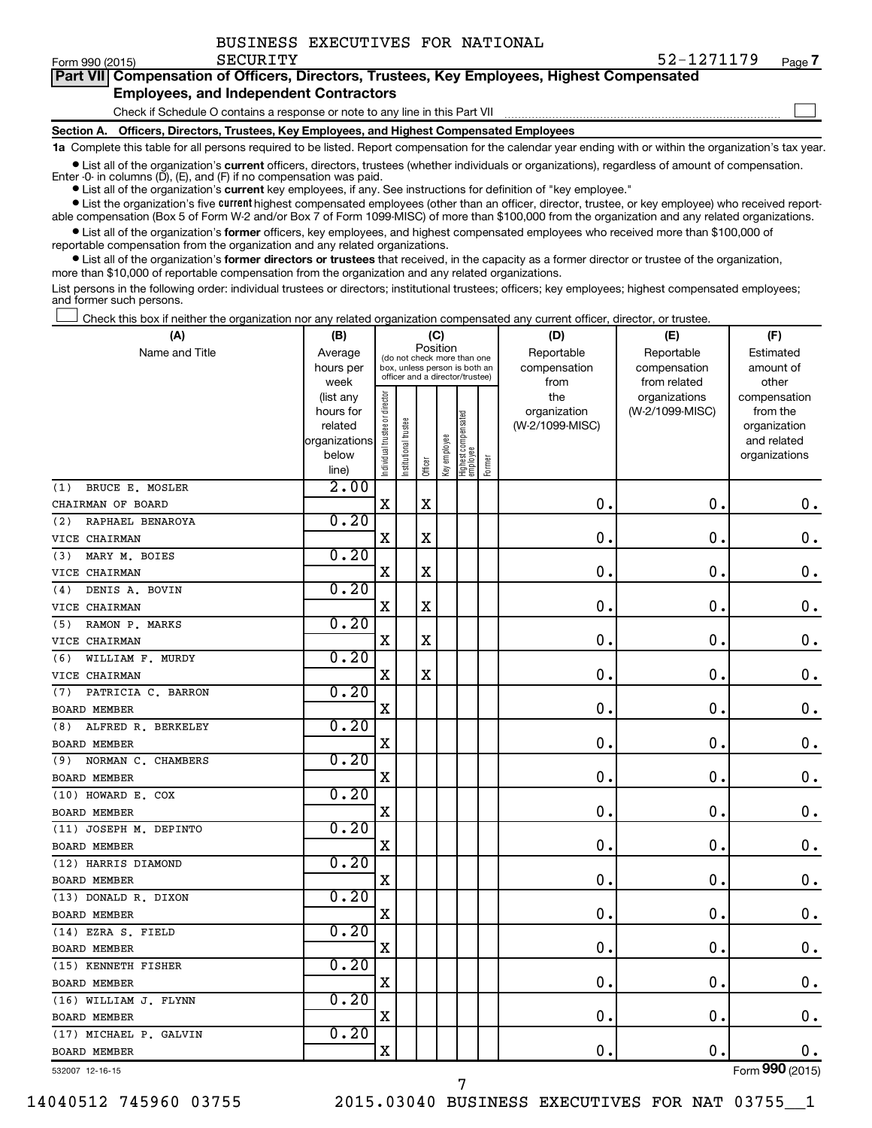$\Box$ 

| Part VII Compensation of Officers, Directors, Trustees, Key Employees, Highest Compensated |  |
|--------------------------------------------------------------------------------------------|--|
| <b>Employees, and Independent Contractors</b>                                              |  |

Check if Schedule O contains a response or note to any line in this Part VII

**Section A. Officers, Directors, Trustees, Key Employees, and Highest Compensated Employees**

**1a**  Complete this table for all persons required to be listed. Report compensation for the calendar year ending with or within the organization's tax year.

**•** List all of the organization's current officers, directors, trustees (whether individuals or organizations), regardless of amount of compensation. Enter -0- in columns  $(D)$ ,  $(E)$ , and  $(F)$  if no compensation was paid.

**•** List all of the organization's **current** key employees, if any. See instructions for definition of "key employee."

**•** List the organization's five current highest compensated employees (other than an officer, director, trustee, or key employee) who received reportable compensation (Box 5 of Form W-2 and/or Box 7 of Form 1099-MISC) of more than \$100,000 from the organization and any related organizations.

**•** List all of the organization's former officers, key employees, and highest compensated employees who received more than \$100,000 of reportable compensation from the organization and any related organizations.

**•** List all of the organization's former directors or trustees that received, in the capacity as a former director or trustee of the organization, more than \$10,000 of reportable compensation from the organization and any related organizations.

List persons in the following order: individual trustees or directors; institutional trustees; officers; key employees; highest compensated employees; and former such persons.

Check this box if neither the organization nor any related organization compensated any current officer, director, or trustee.  $\Box$ 

| (A)                       | (B)                  |                                |                                                                  | (C)         |              |                                   |        | (D)                             | (E)             | (F)                      |
|---------------------------|----------------------|--------------------------------|------------------------------------------------------------------|-------------|--------------|-----------------------------------|--------|---------------------------------|-----------------|--------------------------|
| Name and Title            | Average              |                                | (do not check more than one                                      |             | Position     |                                   |        | Reportable                      | Reportable      | Estimated                |
|                           | hours per            |                                | box, unless person is both an<br>officer and a director/trustee) |             |              |                                   |        | compensation                    | compensation    | amount of                |
|                           | week                 |                                |                                                                  |             |              |                                   |        | from                            | from related    | other                    |
|                           | (list any            | Individual trustee or director |                                                                  |             |              |                                   |        | the                             | organizations   | compensation             |
|                           | hours for<br>related |                                |                                                                  |             |              |                                   |        | organization<br>(W-2/1099-MISC) | (W-2/1099-MISC) | from the<br>organization |
|                           | organizations        |                                |                                                                  |             |              |                                   |        |                                 |                 | and related              |
|                           | below                |                                | nstitutional trustee                                             |             | Key employee |                                   |        |                                 |                 | organizations            |
|                           | line)                |                                |                                                                  | Officer     |              | Highest compensated<br>  employee | Former |                                 |                 |                          |
| BRUCE E. MOSLER<br>(1)    | 2.00                 |                                |                                                                  |             |              |                                   |        |                                 |                 |                          |
| CHAIRMAN OF BOARD         |                      | $\mathbf X$                    |                                                                  | $\mathbf X$ |              |                                   |        | 0.                              | $\mathbf 0$ .   | $\mathbf 0$ .            |
| RAPHAEL BENAROYA<br>(2)   | 0.20                 |                                |                                                                  |             |              |                                   |        |                                 |                 |                          |
| VICE CHAIRMAN             |                      | $\mathbf X$                    |                                                                  | $\mathbf X$ |              |                                   |        | $\mathbf 0$ .                   | $\mathbf 0$ .   | $\mathbf 0$ .            |
| MARY M. BOIES<br>(3)      | 0.20                 |                                |                                                                  |             |              |                                   |        |                                 |                 |                          |
| VICE CHAIRMAN             |                      | X                              |                                                                  | X           |              |                                   |        | $\mathbf 0$ .                   | 0.              | 0.                       |
| DENIS A. BOVIN<br>(4)     | 0.20                 |                                |                                                                  |             |              |                                   |        |                                 |                 |                          |
| VICE CHAIRMAN             |                      | $\mathbf X$                    |                                                                  | X           |              |                                   |        | $\mathbf 0$ .                   | $\mathbf 0$ .   | $\mathbf 0$ .            |
| RAMON P. MARKS<br>(5)     | 0.20                 |                                |                                                                  |             |              |                                   |        |                                 |                 |                          |
| VICE CHAIRMAN             |                      | $\mathbf X$                    |                                                                  | X           |              |                                   |        | $\mathbf 0$ .                   | $\mathbf 0$ .   | $\mathbf 0$ .            |
| WILLIAM F. MURDY<br>(6)   | 0.20                 |                                |                                                                  |             |              |                                   |        |                                 |                 |                          |
| VICE CHAIRMAN             |                      | $\mathbf X$                    |                                                                  | $\mathbf X$ |              |                                   |        | $\mathbf 0$ .                   | $\mathbf 0$ .   | $\mathbf 0$ .            |
| PATRICIA C. BARRON<br>(7) | 0.20                 |                                |                                                                  |             |              |                                   |        |                                 |                 |                          |
| BOARD MEMBER              |                      | X                              |                                                                  |             |              |                                   |        | $\mathbf 0$ .                   | $\mathbf 0$ .   | $\mathbf 0$ .            |
| ALFRED R. BERKELEY<br>(8) | 0.20                 |                                |                                                                  |             |              |                                   |        |                                 |                 |                          |
| <b>BOARD MEMBER</b>       |                      | X                              |                                                                  |             |              |                                   |        | $\mathbf 0$ .                   | $\mathbf 0$ .   | $\mathbf 0$ .            |
| NORMAN C. CHAMBERS<br>(9) | 0.20                 |                                |                                                                  |             |              |                                   |        |                                 |                 |                          |
| <b>BOARD MEMBER</b>       |                      | $\mathbf X$                    |                                                                  |             |              |                                   |        | $\mathbf 0$ .                   | $\mathbf 0$ .   | $\mathbf 0$ .            |
| (10) HOWARD E. COX        | 0.20                 |                                |                                                                  |             |              |                                   |        |                                 |                 |                          |
| <b>BOARD MEMBER</b>       |                      | $\mathbf X$                    |                                                                  |             |              |                                   |        | $\mathbf 0$ .                   | О.              | 0.                       |
| (11) JOSEPH M. DEPINTO    | 0.20                 |                                |                                                                  |             |              |                                   |        |                                 |                 |                          |
| <b>BOARD MEMBER</b>       |                      | X                              |                                                                  |             |              |                                   |        | 0.                              | $\mathbf 0$ .   | $\mathbf 0$ .            |
| (12) HARRIS DIAMOND       | 0.20                 |                                |                                                                  |             |              |                                   |        |                                 |                 |                          |
| <b>BOARD MEMBER</b>       |                      | $\mathbf X$                    |                                                                  |             |              |                                   |        | $\mathbf 0$ .                   | $\mathbf 0$ .   | $\mathbf 0$ .            |
| (13) DONALD R. DIXON      | 0.20                 |                                |                                                                  |             |              |                                   |        |                                 |                 |                          |
| <b>BOARD MEMBER</b>       |                      | $\mathbf X$                    |                                                                  |             |              |                                   |        | $\mathbf 0$ .                   | 0.              | $\mathbf 0$ .            |
| (14) EZRA S. FIELD        | 0.20                 |                                |                                                                  |             |              |                                   |        |                                 |                 |                          |
| <b>BOARD MEMBER</b>       |                      | $\mathbf X$                    |                                                                  |             |              |                                   |        | 0.                              | О.              | $\mathbf 0$ .            |
| (15) KENNETH FISHER       | 0.20                 |                                |                                                                  |             |              |                                   |        |                                 |                 |                          |
| <b>BOARD MEMBER</b>       |                      | X                              |                                                                  |             |              |                                   |        | $\mathbf 0$                     | $\mathbf 0$ .   | $\mathbf 0$ .            |
| (16) WILLIAM J. FLYNN     | 0.20                 |                                |                                                                  |             |              |                                   |        |                                 |                 |                          |
| <b>BOARD MEMBER</b>       |                      | $\mathbf X$                    |                                                                  |             |              |                                   |        | $\mathbf{0}$ .                  | $\mathbf 0$ .   | $0$ .                    |
| (17) MICHAEL P. GALVIN    | 0.20                 |                                |                                                                  |             |              |                                   |        |                                 |                 |                          |
| <b>BOARD MEMBER</b>       |                      | $\mathbf X$                    |                                                                  |             |              |                                   |        | 0.                              | $\mathbf 0$ .   | $0$ .                    |
| 532007 12-16-15           |                      |                                |                                                                  |             |              |                                   |        |                                 |                 | Form 990 (2015)          |

14040512 745960 03755 2015.03040 BUSINESS EXECUTIVES FOR NAT 03755\_\_1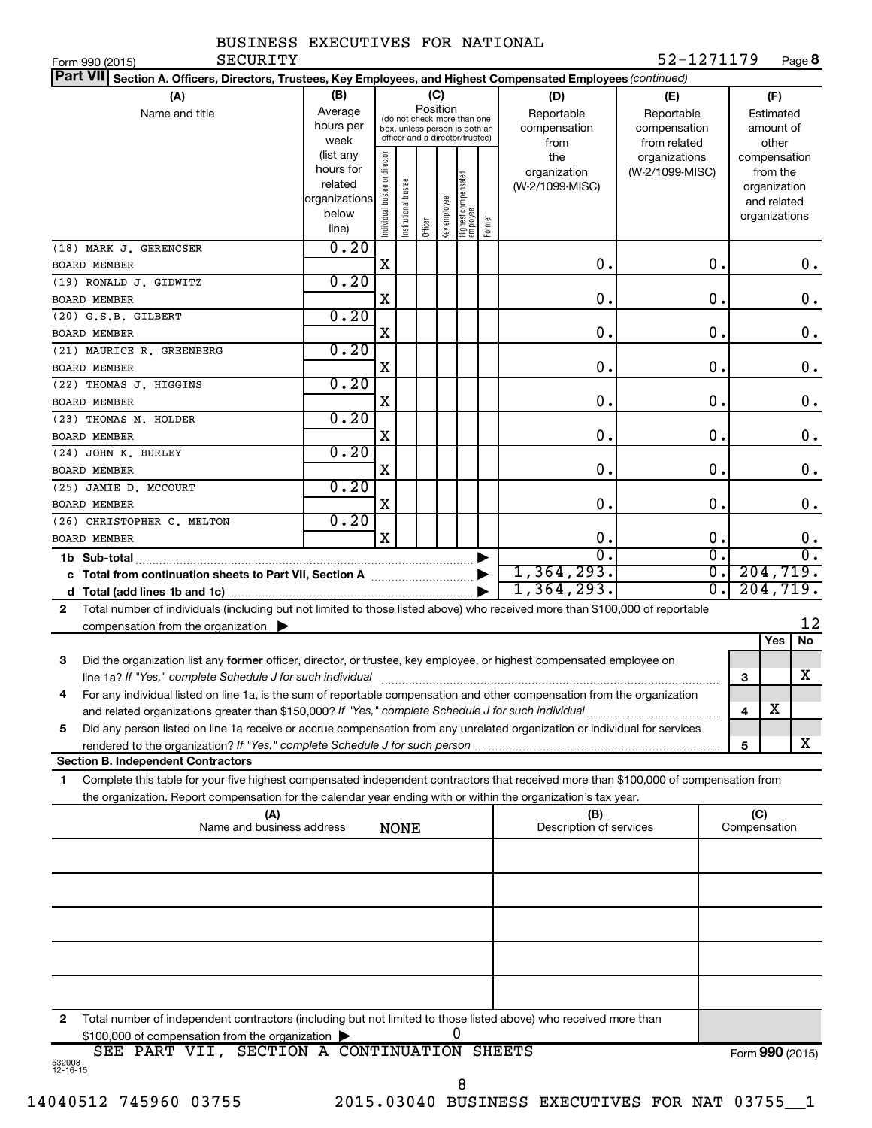| BUSINESS EXECUTIVES FOR NATIONAL |  |
|----------------------------------|--|
|                                  |  |

Form 990 (2015) Page **8** SECURITY 52-1271179

| Part VII Section A. Officers, Directors, Trustees, Key Employees, and Highest Compensated Employees (continued)                                                                         |                          |                                |                       |         |              |                                  |        |                         |                             |                 |                              |                 |
|-----------------------------------------------------------------------------------------------------------------------------------------------------------------------------------------|--------------------------|--------------------------------|-----------------------|---------|--------------|----------------------------------|--------|-------------------------|-----------------------------|-----------------|------------------------------|-----------------|
| (A)                                                                                                                                                                                     | (B)                      |                                |                       |         | (C)          |                                  |        | (D)                     | (E)                         |                 | (F)                          |                 |
| Name and title                                                                                                                                                                          | Average                  |                                |                       |         | Position     | (do not check more than one      |        | Reportable              | Reportable                  |                 | Estimated                    |                 |
|                                                                                                                                                                                         | hours per                |                                |                       |         |              | box, unless person is both an    |        | compensation            | compensation                |                 | amount of                    |                 |
|                                                                                                                                                                                         | week                     |                                |                       |         |              | officer and a director/trustee)  |        | from                    | from related                |                 | other                        |                 |
|                                                                                                                                                                                         | (list any                |                                |                       |         |              |                                  |        | the                     | organizations               |                 | compensation                 |                 |
|                                                                                                                                                                                         | hours for                |                                |                       |         |              |                                  |        | organization            | (W-2/1099-MISC)             |                 | from the                     |                 |
|                                                                                                                                                                                         | related<br>organizations |                                |                       |         |              |                                  |        | (W-2/1099-MISC)         |                             |                 | organization                 |                 |
|                                                                                                                                                                                         | below                    |                                |                       |         |              |                                  |        |                         |                             |                 | and related<br>organizations |                 |
|                                                                                                                                                                                         | line)                    | Individual trustee or director | Institutional trustee | Officer | Key employee | Highest compensated<br> employee | Former |                         |                             |                 |                              |                 |
| (18) MARK J. GERENCSER                                                                                                                                                                  | 0.20                     |                                |                       |         |              |                                  |        |                         |                             |                 |                              |                 |
| <b>BOARD MEMBER</b>                                                                                                                                                                     |                          | x                              |                       |         |              |                                  |        | $\mathbf 0$ .           | 0.                          |                 |                              | 0.              |
| (19) RONALD J. GIDWITZ                                                                                                                                                                  | 0.20                     |                                |                       |         |              |                                  |        |                         |                             |                 |                              |                 |
| <b>BOARD MEMBER</b>                                                                                                                                                                     |                          | x                              |                       |         |              |                                  |        | $\mathbf 0$ .           | $\mathbf 0$ .               |                 |                              | 0.              |
| (20) G.S.B. GILBERT                                                                                                                                                                     | 0.20                     |                                |                       |         |              |                                  |        |                         |                             |                 |                              |                 |
| <b>BOARD MEMBER</b>                                                                                                                                                                     |                          | X                              |                       |         |              |                                  |        | $\mathbf 0$ .           | $\mathbf 0$ .               |                 |                              | 0.              |
| (21) MAURICE R. GREENBERG                                                                                                                                                               | 0.20                     |                                |                       |         |              |                                  |        |                         |                             |                 |                              |                 |
| <b>BOARD MEMBER</b>                                                                                                                                                                     |                          | X                              |                       |         |              |                                  |        | $\mathbf 0$ .           | $\mathbf 0$ .               |                 |                              | 0.              |
| (22) THOMAS J. HIGGINS                                                                                                                                                                  | 0.20                     |                                |                       |         |              |                                  |        |                         |                             |                 |                              |                 |
| <b>BOARD MEMBER</b>                                                                                                                                                                     |                          | х                              |                       |         |              |                                  |        | $\mathbf 0$ .           | $\mathbf 0$ .               |                 |                              | 0.              |
| (23) THOMAS M. HOLDER                                                                                                                                                                   | 0.20                     |                                |                       |         |              |                                  |        |                         |                             |                 |                              |                 |
| <b>BOARD MEMBER</b>                                                                                                                                                                     |                          | х                              |                       |         |              |                                  |        | $\mathbf 0$ .           | $\mathbf 0$ .               |                 |                              | 0.              |
| (24) JOHN K. HURLEY                                                                                                                                                                     | 0.20                     |                                |                       |         |              |                                  |        |                         |                             |                 |                              |                 |
| <b>BOARD MEMBER</b>                                                                                                                                                                     |                          | х                              |                       |         |              |                                  |        | $\mathbf 0$ .           | 0.                          |                 |                              | 0.              |
| (25) JAMIE D. MCCOURT                                                                                                                                                                   | 0.20                     |                                |                       |         |              |                                  |        |                         |                             |                 |                              |                 |
| <b>BOARD MEMBER</b>                                                                                                                                                                     |                          | X                              |                       |         |              |                                  |        | $\mathbf 0$ .           | 0.                          |                 |                              | 0.              |
| (26) CHRISTOPHER C. MELTON                                                                                                                                                              | 0.20                     |                                |                       |         |              |                                  |        |                         |                             |                 |                              |                 |
| <b>BOARD MEMBER</b>                                                                                                                                                                     |                          | $\mathbf X$                    |                       |         |              |                                  |        | 0.<br>$\overline{0}$ .  | $\mathbf 0$ .<br>σ.         |                 |                              | 0.              |
| 1b Sub-total                                                                                                                                                                            |                          |                                |                       |         |              |                                  |        | 1,364,293.              | $\overline{\mathfrak{o}}$ . |                 |                              | 0.<br>204, 719. |
| c Total from continuation sheets to Part VII, Section A manufactured by                                                                                                                 |                          |                                |                       |         |              |                                  |        | 1, 364, 293.            | σ.                          |                 |                              | 204, 719.       |
|                                                                                                                                                                                         |                          |                                |                       |         |              |                                  |        |                         |                             |                 |                              |                 |
| Total number of individuals (including but not limited to those listed above) who received more than \$100,000 of reportable<br>2                                                       |                          |                                |                       |         |              |                                  |        |                         |                             |                 |                              | 12              |
| compensation from the organization                                                                                                                                                      |                          |                                |                       |         |              |                                  |        |                         |                             |                 | Yes                          | <b>No</b>       |
|                                                                                                                                                                                         |                          |                                |                       |         |              |                                  |        |                         |                             |                 |                              |                 |
| Did the organization list any former officer, director, or trustee, key employee, or highest compensated employee on<br>3<br>line 1a? If "Yes," complete Schedule J for such individual |                          |                                |                       |         |              |                                  |        |                         |                             | 3               |                              | x               |
| For any individual listed on line 1a, is the sum of reportable compensation and other compensation from the organization<br>4                                                           |                          |                                |                       |         |              |                                  |        |                         |                             |                 |                              |                 |
| and related organizations greater than \$150,000? If "Yes," complete Schedule J for such individual                                                                                     |                          |                                |                       |         |              |                                  |        |                         |                             |                 | X                            |                 |
| Did any person listed on line 1a receive or accrue compensation from any unrelated organization or individual for services<br>5                                                         |                          |                                |                       |         |              |                                  |        |                         |                             | 4               |                              |                 |
| rendered to the organization? If "Yes," complete Schedule J for such person.                                                                                                            |                          |                                |                       |         |              |                                  |        |                         |                             | 5               |                              | x               |
| <b>Section B. Independent Contractors</b>                                                                                                                                               |                          |                                |                       |         |              |                                  |        |                         |                             |                 |                              |                 |
| Complete this table for your five highest compensated independent contractors that received more than \$100,000 of compensation from<br>1                                               |                          |                                |                       |         |              |                                  |        |                         |                             |                 |                              |                 |
| the organization. Report compensation for the calendar year ending with or within the organization's tax year.                                                                          |                          |                                |                       |         |              |                                  |        |                         |                             |                 |                              |                 |
| (A)                                                                                                                                                                                     |                          |                                |                       |         |              |                                  |        | (B)                     |                             | (C)             |                              |                 |
| Name and business address                                                                                                                                                               |                          |                                | <b>NONE</b>           |         |              |                                  |        | Description of services |                             | Compensation    |                              |                 |
|                                                                                                                                                                                         |                          |                                |                       |         |              |                                  |        |                         |                             |                 |                              |                 |
|                                                                                                                                                                                         |                          |                                |                       |         |              |                                  |        |                         |                             |                 |                              |                 |
|                                                                                                                                                                                         |                          |                                |                       |         |              |                                  |        |                         |                             |                 |                              |                 |
|                                                                                                                                                                                         |                          |                                |                       |         |              |                                  |        |                         |                             |                 |                              |                 |
|                                                                                                                                                                                         |                          |                                |                       |         |              |                                  |        |                         |                             |                 |                              |                 |
|                                                                                                                                                                                         |                          |                                |                       |         |              |                                  |        |                         |                             |                 |                              |                 |
|                                                                                                                                                                                         |                          |                                |                       |         |              |                                  |        |                         |                             |                 |                              |                 |
|                                                                                                                                                                                         |                          |                                |                       |         |              |                                  |        |                         |                             |                 |                              |                 |
|                                                                                                                                                                                         |                          |                                |                       |         |              |                                  |        |                         |                             |                 |                              |                 |
| Total number of independent contractors (including but not limited to those listed above) who received more than<br>2                                                                   |                          |                                |                       |         |              |                                  |        |                         |                             |                 |                              |                 |
| \$100,000 of compensation from the organization                                                                                                                                         |                          |                                |                       |         |              | 0                                |        |                         |                             |                 |                              |                 |
| SEE PART VII, SECTION A CONTINUATION SHEETS                                                                                                                                             |                          |                                |                       |         |              |                                  |        |                         |                             | Form 990 (2015) |                              |                 |
| 532008<br>12-16-15                                                                                                                                                                      |                          |                                |                       |         |              |                                  |        |                         |                             |                 |                              |                 |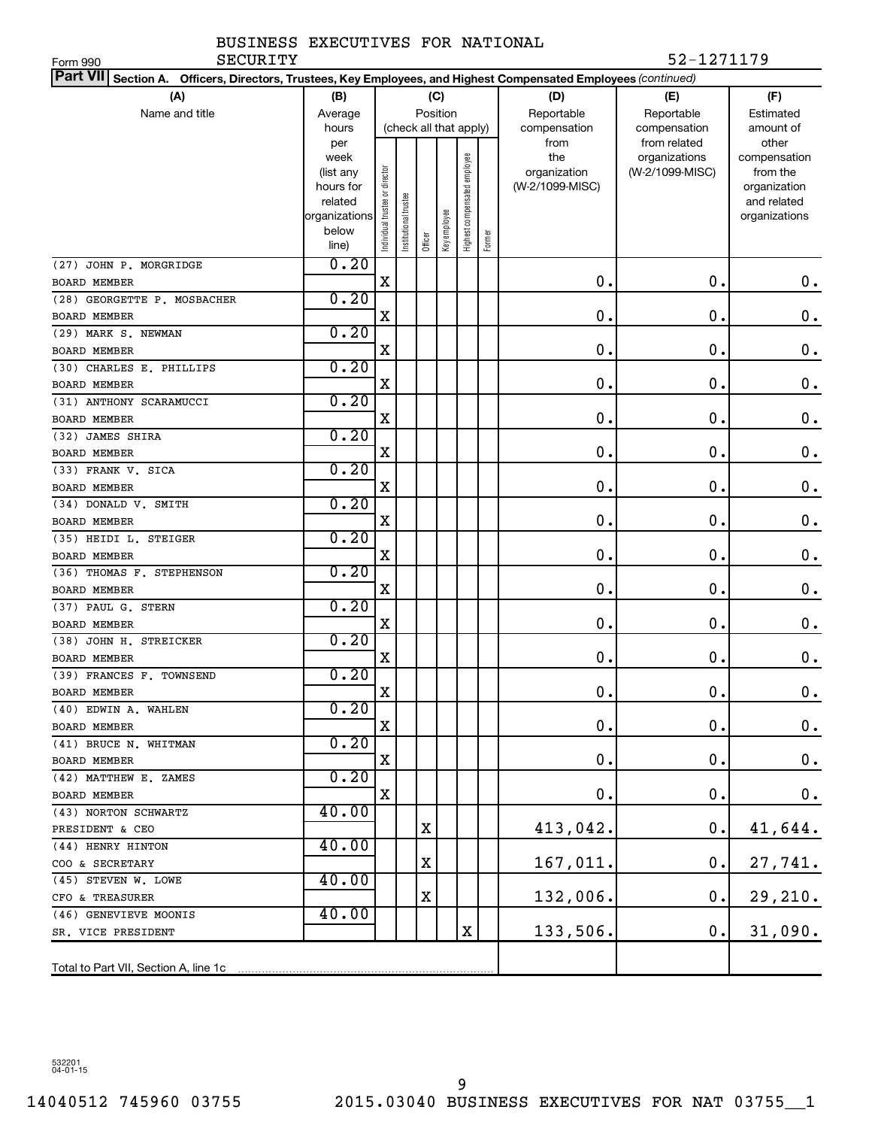| Part VII Section A. Officers, Directors, Trustees, Key Employees, and Highest Compensated Employees (continued) |                   |                               |                      |         |                        |                              |        |                     |                                  |                          |
|-----------------------------------------------------------------------------------------------------------------|-------------------|-------------------------------|----------------------|---------|------------------------|------------------------------|--------|---------------------|----------------------------------|--------------------------|
| (A)                                                                                                             | (B)               |                               |                      |         | (C)                    |                              |        | (D)                 | (E)                              | (F)                      |
| Name and title                                                                                                  | Average           |                               |                      |         | Position               |                              |        | Reportable          | Reportable                       | Estimated                |
|                                                                                                                 | hours             |                               |                      |         | (check all that apply) |                              |        | compensation        | compensation                     | amount of                |
|                                                                                                                 | per               |                               |                      |         |                        |                              |        | from                | from related                     | other                    |
|                                                                                                                 | week<br>(list any |                               |                      |         |                        |                              |        | the<br>organization | organizations<br>(W-2/1099-MISC) | compensation<br>from the |
|                                                                                                                 | hours for         |                               |                      |         |                        |                              |        | (W-2/1099-MISC)     |                                  | organization             |
|                                                                                                                 | related           |                               |                      |         |                        |                              |        |                     |                                  | and related              |
|                                                                                                                 | organizations     |                               |                      |         |                        |                              |        |                     |                                  | organizations            |
|                                                                                                                 | below             | ndividual trustee or director | nstitutional trustee | Officer | Key employee           | Highest compensated employee | Former |                     |                                  |                          |
|                                                                                                                 | line)             |                               |                      |         |                        |                              |        |                     |                                  |                          |
| (27) JOHN P. MORGRIDGE                                                                                          | 0.20              |                               |                      |         |                        |                              |        |                     |                                  |                          |
| <b>BOARD MEMBER</b>                                                                                             |                   | X                             |                      |         |                        |                              |        | $\mathbf 0$ .       | 0.                               | 0.                       |
| (28) GEORGETTE P. MOSBACHER                                                                                     | 0.20              |                               |                      |         |                        |                              |        |                     |                                  |                          |
| <b>BOARD MEMBER</b>                                                                                             |                   | Χ                             |                      |         |                        |                              |        | $\mathbf 0$ .       | $\mathbf 0$ .                    | 0.                       |
| (29) MARK S. NEWMAN                                                                                             | 0.20              |                               |                      |         |                        |                              |        |                     |                                  |                          |
| <b>BOARD MEMBER</b>                                                                                             |                   | Χ                             |                      |         |                        |                              |        | $\mathbf 0$ .       | $\mathbf 0$ .                    | 0.                       |
| (30) CHARLES E. PHILLIPS                                                                                        | 0.20              |                               |                      |         |                        |                              |        |                     |                                  |                          |
| <b>BOARD MEMBER</b>                                                                                             |                   | Χ                             |                      |         |                        |                              |        | $\mathbf 0$ .       | $\mathbf 0$ .                    | 0.                       |
| (31) ANTHONY SCARAMUCCI                                                                                         | 0.20              |                               |                      |         |                        |                              |        |                     |                                  |                          |
| <b>BOARD MEMBER</b>                                                                                             |                   | Χ                             |                      |         |                        |                              |        | $\mathbf 0$ .       | $\mathbf 0$ .                    | 0.                       |
| (32) JAMES SHIRA                                                                                                | 0.20              |                               |                      |         |                        |                              |        |                     |                                  |                          |
| <b>BOARD MEMBER</b>                                                                                             |                   | Χ                             |                      |         |                        |                              |        | $\mathbf 0$ .       | $\mathbf 0$ .                    | 0.                       |
| (33) FRANK V. SICA                                                                                              | 0.20              |                               |                      |         |                        |                              |        |                     |                                  |                          |
| <b>BOARD MEMBER</b>                                                                                             |                   | Χ                             |                      |         |                        |                              |        | $\mathbf 0$ .       | 0.                               | 0.                       |
| (34) DONALD V. SMITH                                                                                            | 0.20              |                               |                      |         |                        |                              |        |                     |                                  |                          |
| <b>BOARD MEMBER</b>                                                                                             |                   | Χ                             |                      |         |                        |                              |        | $\mathbf 0$ .       | $\mathbf 0$ .                    | 0.                       |
| (35) HEIDI L. STEIGER                                                                                           | 0.20              |                               |                      |         |                        |                              |        |                     |                                  |                          |
| <b>BOARD MEMBER</b>                                                                                             |                   | Χ                             |                      |         |                        |                              |        | $\mathbf 0$ .       | $\mathbf 0$ .                    | 0.                       |
| (36) THOMAS F. STEPHENSON                                                                                       | 0.20              |                               |                      |         |                        |                              |        |                     |                                  |                          |
| <b>BOARD MEMBER</b>                                                                                             |                   | Χ                             |                      |         |                        |                              |        | $\mathbf 0$ .       | 0.                               | 0.                       |
| (37) PAUL G. STERN                                                                                              | 0.20              |                               |                      |         |                        |                              |        |                     |                                  |                          |
| <b>BOARD MEMBER</b>                                                                                             | 0.20              | Χ                             |                      |         |                        |                              |        | $\mathbf 0$ .       | 0.                               | 0.                       |
| (38) JOHN H. STREICKER                                                                                          |                   |                               |                      |         |                        |                              |        | $\mathbf 0$ .       |                                  |                          |
| <b>BOARD MEMBER</b>                                                                                             | 0.20              | Χ                             |                      |         |                        |                              |        |                     | 0.                               | 0.                       |
| (39) FRANCES F. TOWNSEND                                                                                        |                   | X                             |                      |         |                        |                              |        | $\mathbf 0$ .       | 0.                               |                          |
| <b>BOARD MEMBER</b>                                                                                             | 0.20              |                               |                      |         |                        |                              |        |                     |                                  | 0.                       |
| (40) EDWIN A. WAHLEN                                                                                            |                   | X                             |                      |         |                        |                              |        | 0.                  | 0.                               | $\mathbf 0$ .            |
| BOARD MEMBER<br>(41) BRUCE N. WHITMAN                                                                           | 0.20              |                               |                      |         |                        |                              |        |                     |                                  |                          |
| BOARD MEMBER                                                                                                    |                   | X                             |                      |         |                        |                              |        | 0.                  | 0.                               | $\mathbf 0$ .            |
| (42) MATTHEW E. ZAMES                                                                                           | 0.20              |                               |                      |         |                        |                              |        |                     |                                  |                          |
| BOARD MEMBER                                                                                                    |                   | X                             |                      |         |                        |                              |        | 0.                  | 0.                               | $\mathbf 0$ .            |
| (43) NORTON SCHWARTZ                                                                                            | 40.00             |                               |                      |         |                        |                              |        |                     |                                  |                          |
| PRESIDENT & CEO                                                                                                 |                   |                               |                      | Χ       |                        |                              |        | 413,042.            | 0.                               | 41,644.                  |
| (44) HENRY HINTON                                                                                               | 40.00             |                               |                      |         |                        |                              |        |                     |                                  |                          |
| COO & SECRETARY                                                                                                 |                   |                               |                      | X       |                        |                              |        | 167,011.            | $\mathbf 0$ .                    | 27,741.                  |
| (45) STEVEN W. LOWE                                                                                             | 40.00             |                               |                      |         |                        |                              |        |                     |                                  |                          |
| CFO & TREASURER                                                                                                 |                   |                               |                      | Χ       |                        |                              |        | 132,006.            | $\mathbf 0$ .                    | 29,210.                  |
| (46) GENEVIEVE MOONIS                                                                                           | 40.00             |                               |                      |         |                        |                              |        |                     |                                  |                          |
| SR. VICE PRESIDENT                                                                                              |                   |                               |                      |         |                        | X                            |        | 133,506.            | 0.                               | 31,090.                  |
|                                                                                                                 |                   |                               |                      |         |                        |                              |        |                     |                                  |                          |
| Total to Part VII, Section A, line 1c                                                                           |                   |                               |                      |         |                        |                              |        |                     |                                  |                          |
|                                                                                                                 |                   |                               |                      |         |                        |                              |        |                     |                                  |                          |

532201 04-01-15

Form 990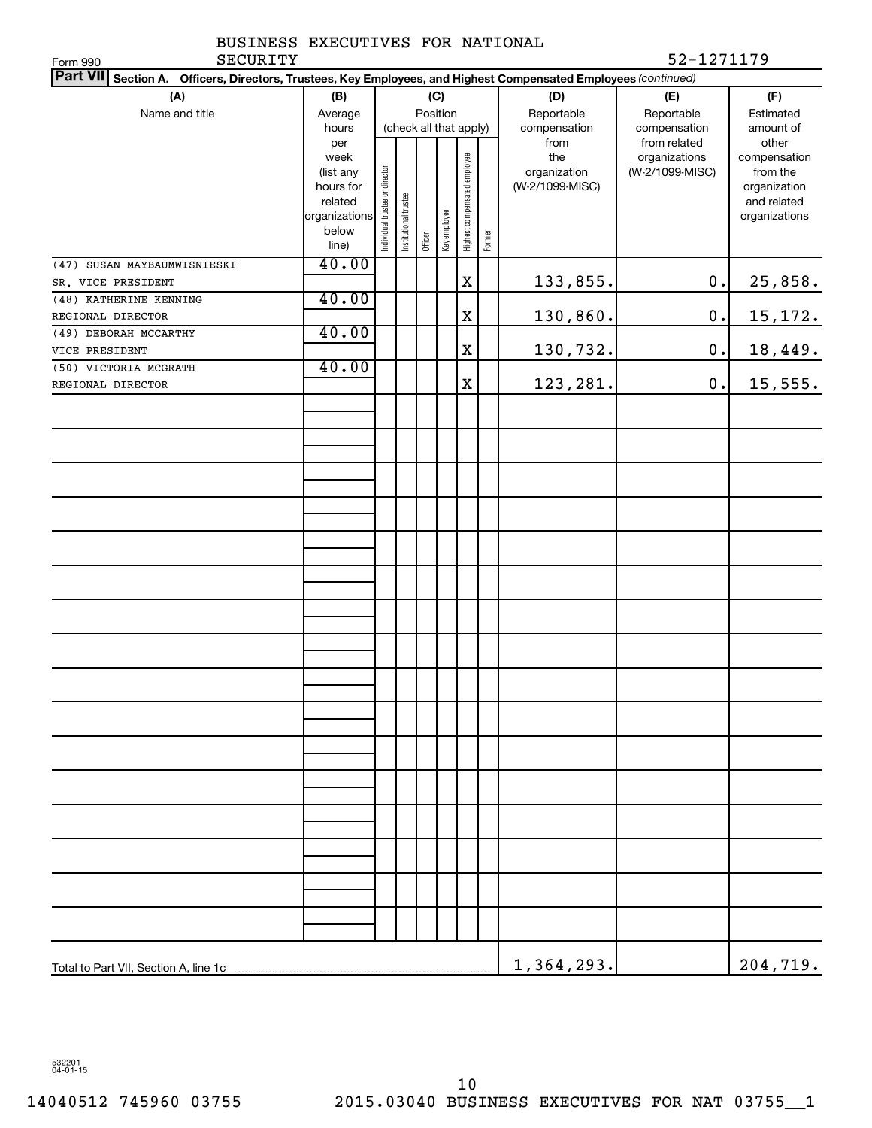| BUSINESS EXECUTIVES FOR NATIONAL                                                                       |                                                                              |                                |                       |         |                 |                              |        |                                        | 52-1271179                                 |                                                                          |
|--------------------------------------------------------------------------------------------------------|------------------------------------------------------------------------------|--------------------------------|-----------------------|---------|-----------------|------------------------------|--------|----------------------------------------|--------------------------------------------|--------------------------------------------------------------------------|
| <b>SECURITY</b><br>Form 990<br><b>Part VII</b>                                                         |                                                                              |                                |                       |         |                 |                              |        |                                        |                                            |                                                                          |
| Section A. Officers, Directors, Trustees, Key Employees, and Highest Compensated Employees (continued) |                                                                              |                                |                       |         |                 |                              |        |                                        |                                            |                                                                          |
| (A)                                                                                                    | (B)                                                                          |                                |                       |         | (C)<br>Position |                              |        | (D)                                    | (E)                                        | (F)                                                                      |
| Name and title                                                                                         | Average<br>hours<br>per                                                      | (check all that apply)         |                       |         |                 |                              |        | Reportable<br>compensation<br>from     | Reportable<br>compensation<br>from related | Estimated<br>amount of<br>other                                          |
|                                                                                                        | week<br>(list any<br>hours for<br>related<br>organizations<br>below<br>line) | Individual trustee or director | Institutional trustee | Officer | Key employee    | Highest compensated employee | Former | the<br>organization<br>(W-2/1099-MISC) | organizations<br>(W-2/1099-MISC)           | compensation<br>from the<br>organization<br>and related<br>organizations |
| (47) SUSAN MAYBAUMWISNIESKI                                                                            | 40.00                                                                        |                                |                       |         |                 |                              |        |                                        |                                            |                                                                          |
| SR. VICE PRESIDENT                                                                                     |                                                                              |                                |                       |         |                 | $\mathbf X$                  |        | 133,855.                               | $\mathbf 0$ .                              | 25,858.                                                                  |
| (48) KATHERINE KENNING                                                                                 | 40.00                                                                        |                                |                       |         |                 |                              |        |                                        |                                            |                                                                          |
| REGIONAL DIRECTOR                                                                                      |                                                                              |                                |                       |         |                 | $\mathbf X$                  |        | 130,860.                               | $\mathbf 0$ .                              | 15, 172.                                                                 |
| (49) DEBORAH MCCARTHY<br>VICE PRESIDENT                                                                | 40.00                                                                        |                                |                       |         |                 | $\mathbf X$                  |        | 130,732.                               | $\mathbf 0$ .                              | 18,449.                                                                  |
| (50) VICTORIA MCGRATH                                                                                  | 40.00                                                                        |                                |                       |         |                 |                              |        |                                        |                                            |                                                                          |
| REGIONAL DIRECTOR                                                                                      |                                                                              |                                |                       |         |                 | $\mathbf X$                  |        | 123,281.                               | $\mathbf 0$ .                              | 15,555.                                                                  |
|                                                                                                        |                                                                              |                                |                       |         |                 |                              |        |                                        |                                            |                                                                          |
|                                                                                                        |                                                                              |                                |                       |         |                 |                              |        |                                        |                                            |                                                                          |
|                                                                                                        |                                                                              |                                |                       |         |                 |                              |        |                                        |                                            |                                                                          |
|                                                                                                        |                                                                              |                                |                       |         |                 |                              |        |                                        |                                            |                                                                          |
|                                                                                                        |                                                                              |                                |                       |         |                 |                              |        |                                        |                                            |                                                                          |
|                                                                                                        |                                                                              |                                |                       |         |                 |                              |        |                                        |                                            |                                                                          |
|                                                                                                        |                                                                              |                                |                       |         |                 |                              |        |                                        |                                            |                                                                          |
|                                                                                                        |                                                                              |                                |                       |         |                 |                              |        |                                        |                                            |                                                                          |
|                                                                                                        |                                                                              |                                |                       |         |                 |                              |        |                                        |                                            |                                                                          |
|                                                                                                        |                                                                              |                                |                       |         |                 |                              |        |                                        |                                            |                                                                          |
|                                                                                                        |                                                                              |                                |                       |         |                 |                              |        |                                        |                                            |                                                                          |
|                                                                                                        |                                                                              |                                |                       |         |                 |                              |        |                                        |                                            |                                                                          |
|                                                                                                        |                                                                              |                                |                       |         |                 |                              |        |                                        |                                            |                                                                          |
|                                                                                                        |                                                                              |                                |                       |         |                 |                              |        |                                        |                                            |                                                                          |
|                                                                                                        |                                                                              |                                |                       |         |                 |                              |        |                                        |                                            |                                                                          |
|                                                                                                        |                                                                              |                                |                       |         |                 |                              |        |                                        |                                            |                                                                          |
|                                                                                                        |                                                                              |                                |                       |         |                 |                              |        |                                        |                                            |                                                                          |
| Total to Part VII, Section A, line 1c                                                                  |                                                                              |                                |                       |         |                 |                              |        | 1,364,293.                             |                                            | 204,719.                                                                 |

532201 04-01-15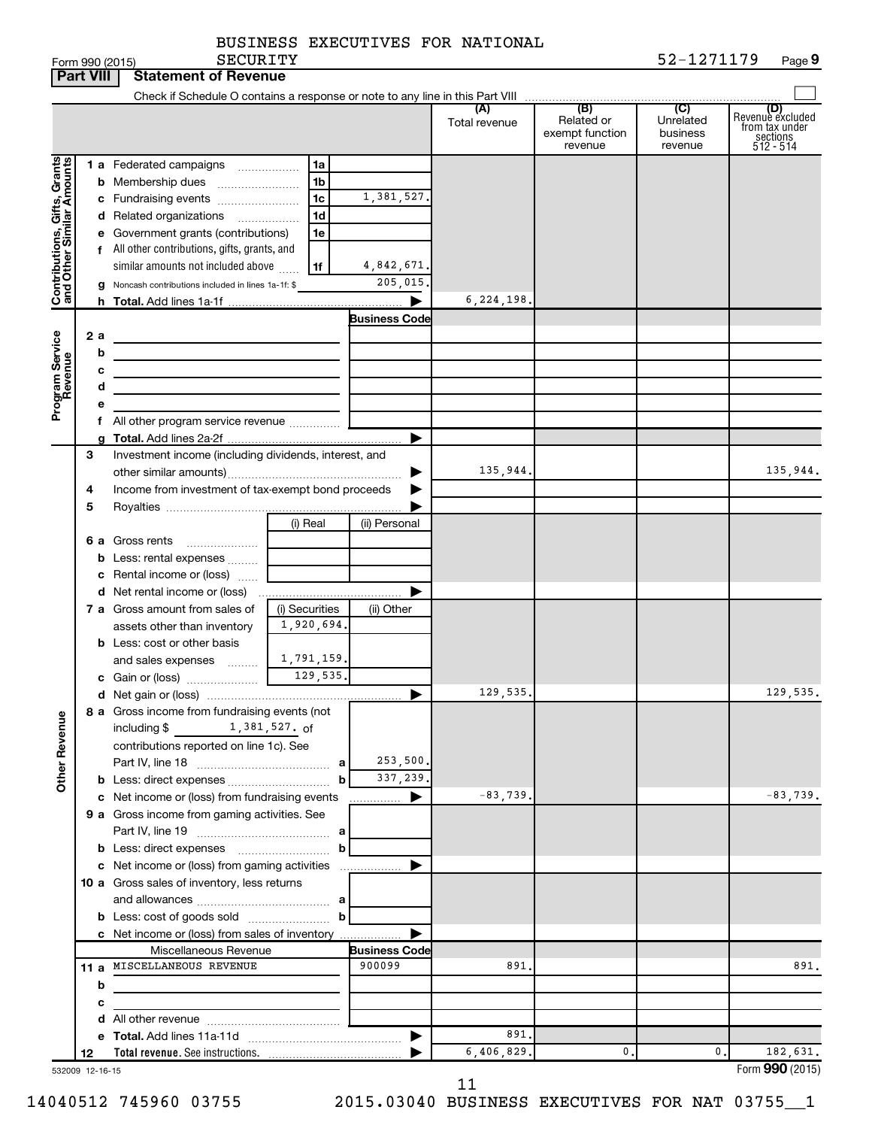| BUSINESS EXECUTIVES FOR NATIONAL |  |  |  |  |
|----------------------------------|--|--|--|--|
|----------------------------------|--|--|--|--|

|                                                           | <b>Part VIII</b> | <b>Statement of Revenue</b>                                             |                                              |                                |                      |                                                 |                                         |                                                                    |
|-----------------------------------------------------------|------------------|-------------------------------------------------------------------------|----------------------------------------------|--------------------------------|----------------------|-------------------------------------------------|-----------------------------------------|--------------------------------------------------------------------|
|                                                           |                  |                                                                         |                                              |                                |                      |                                                 |                                         |                                                                    |
|                                                           |                  |                                                                         |                                              |                                | (A)<br>Total revenue | (B)<br>Related or<br>exempt function<br>revenue | (C)<br>Unrelated<br>business<br>revenue | (D)<br>Revenue excluded<br>from tax under<br>sections<br>512 - 514 |
|                                                           |                  | 1 a Federated campaigns                                                 | 1a                                           |                                |                      |                                                 |                                         |                                                                    |
| Contributions, Gifts, Grants<br>and Other Similar Amounts |                  | <b>b</b> Membership dues                                                | 1 <sub>b</sub>                               |                                |                      |                                                 |                                         |                                                                    |
|                                                           |                  | c Fundraising events                                                    | 1 <sub>c</sub>                               | 1,381,527.                     |                      |                                                 |                                         |                                                                    |
|                                                           |                  | d Related organizations                                                 | 1d                                           |                                |                      |                                                 |                                         |                                                                    |
|                                                           |                  | e Government grants (contributions)                                     | 1e                                           |                                |                      |                                                 |                                         |                                                                    |
|                                                           |                  | f All other contributions, gifts, grants, and                           |                                              |                                |                      |                                                 |                                         |                                                                    |
|                                                           |                  | similar amounts not included above                                      | 1f                                           | 4,842,671.                     |                      |                                                 |                                         |                                                                    |
|                                                           |                  | g Noncash contributions included in lines 1a-1f: \$                     |                                              | 205,015.                       |                      |                                                 |                                         |                                                                    |
|                                                           |                  |                                                                         |                                              |                                | 6, 224, 198.         |                                                 |                                         |                                                                    |
|                                                           |                  |                                                                         |                                              | <b>Business Code</b>           |                      |                                                 |                                         |                                                                    |
|                                                           | 2a               |                                                                         |                                              |                                |                      |                                                 |                                         |                                                                    |
| Program Service                                           | b                |                                                                         |                                              |                                |                      |                                                 |                                         |                                                                    |
|                                                           | с                |                                                                         |                                              |                                |                      |                                                 |                                         |                                                                    |
|                                                           | d                | the control of the control of the control of the control of             |                                              |                                |                      |                                                 |                                         |                                                                    |
|                                                           |                  | All other program service revenue                                       |                                              |                                |                      |                                                 |                                         |                                                                    |
|                                                           |                  |                                                                         |                                              | ▶                              |                      |                                                 |                                         |                                                                    |
|                                                           | 3                | Investment income (including dividends, interest, and                   |                                              |                                |                      |                                                 |                                         |                                                                    |
|                                                           |                  |                                                                         |                                              |                                | 135,944.             |                                                 |                                         | 135,944.                                                           |
|                                                           | 4                | Income from investment of tax-exempt bond proceeds                      |                                              |                                |                      |                                                 |                                         |                                                                    |
|                                                           | 5                |                                                                         |                                              |                                |                      |                                                 |                                         |                                                                    |
|                                                           |                  |                                                                         | (i) Real                                     | (ii) Personal                  |                      |                                                 |                                         |                                                                    |
|                                                           |                  | 6 a Gross rents                                                         |                                              |                                |                      |                                                 |                                         |                                                                    |
|                                                           |                  | <b>b</b> Less: rental expenses                                          |                                              |                                |                      |                                                 |                                         |                                                                    |
|                                                           |                  | Rental income or (loss)                                                 |                                              |                                |                      |                                                 |                                         |                                                                    |
|                                                           |                  |                                                                         |                                              |                                |                      |                                                 |                                         |                                                                    |
|                                                           |                  | 7 a Gross amount from sales of                                          | (i) Securities                               | (ii) Other                     |                      |                                                 |                                         |                                                                    |
|                                                           |                  | assets other than inventory                                             | 1,920,694.                                   |                                |                      |                                                 |                                         |                                                                    |
|                                                           |                  | <b>b</b> Less: cost or other basis                                      |                                              |                                |                      |                                                 |                                         |                                                                    |
|                                                           |                  | and sales expenses                                                      | 1,791,159.                                   |                                |                      |                                                 |                                         |                                                                    |
|                                                           |                  |                                                                         |                                              | ▶                              | 129,535.             |                                                 |                                         | 129,535.                                                           |
|                                                           |                  | 8 a Gross income from fundraising events (not                           |                                              |                                |                      |                                                 |                                         |                                                                    |
| <b>Other Revenue</b>                                      |                  | 1,381,527. of<br>including \$                                           |                                              |                                |                      |                                                 |                                         |                                                                    |
|                                                           |                  | contributions reported on line 1c). See                                 |                                              |                                |                      |                                                 |                                         |                                                                    |
|                                                           |                  |                                                                         |                                              | 253,500.                       |                      |                                                 |                                         |                                                                    |
|                                                           |                  |                                                                         | $\mathbf b$                                  | 337,239.                       |                      |                                                 |                                         |                                                                    |
|                                                           |                  | c Net income or (loss) from fundraising events                          |                                              | ▶<br>.                         | $-83,739.$           |                                                 |                                         | $-83,739.$                                                         |
|                                                           |                  | 9 a Gross income from gaming activities. See                            |                                              |                                |                      |                                                 |                                         |                                                                    |
|                                                           |                  |                                                                         |                                              |                                |                      |                                                 |                                         |                                                                    |
|                                                           |                  |                                                                         | b'                                           |                                |                      |                                                 |                                         |                                                                    |
|                                                           |                  | c Net income or (loss) from gaming activities                           |                                              |                                |                      |                                                 |                                         |                                                                    |
|                                                           |                  | 10 a Gross sales of inventory, less returns                             |                                              |                                |                      |                                                 |                                         |                                                                    |
|                                                           |                  |                                                                         |                                              |                                |                      |                                                 |                                         |                                                                    |
|                                                           |                  |                                                                         | $\mathbf{b}$                                 |                                |                      |                                                 |                                         |                                                                    |
|                                                           |                  | c Net income or (loss) from sales of inventory<br>Miscellaneous Revenue |                                              |                                |                      |                                                 |                                         |                                                                    |
|                                                           |                  | 11 a MISCELLANEOUS REVENUE                                              |                                              | <b>Business Code</b><br>900099 | 891                  |                                                 |                                         | 891.                                                               |
|                                                           | b                |                                                                         |                                              |                                |                      |                                                 |                                         |                                                                    |
|                                                           | с                |                                                                         | the control of the control of the control of |                                |                      |                                                 |                                         |                                                                    |
|                                                           |                  |                                                                         |                                              |                                |                      |                                                 |                                         |                                                                    |
|                                                           |                  |                                                                         |                                              | ▶                              | 891                  |                                                 |                                         |                                                                    |
|                                                           | 12               |                                                                         |                                              |                                | 6,406,829.           | 0.                                              | 0.                                      | 182,631.                                                           |
| 532009 12-16-15                                           |                  |                                                                         |                                              |                                |                      |                                                 |                                         | Form 990 (2015)                                                    |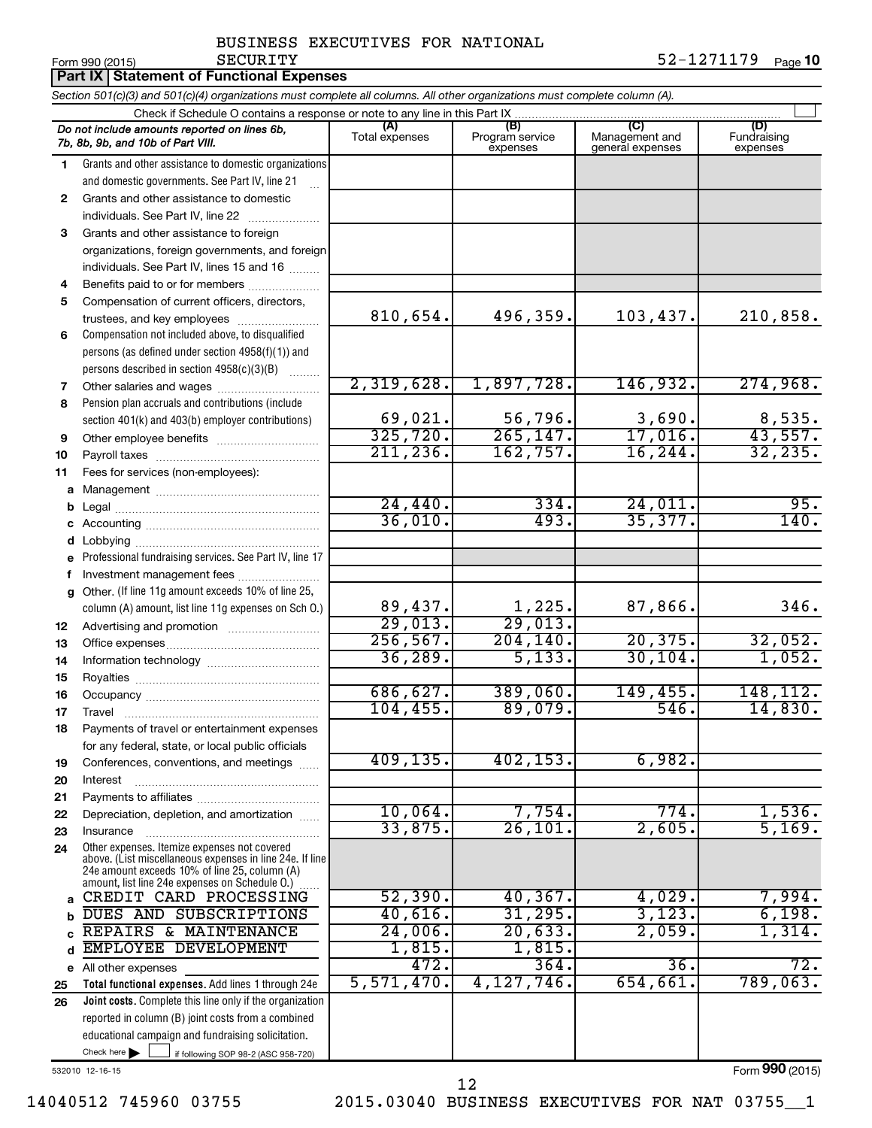Form 990 (2015) Page 52-1271179 Page 10 SECURITY 52-1271179

|    | Part IX   Statement of Functional Expenses                                                                                                                |                         |                                    |                                           |                                |  |  |  |  |  |  |  |
|----|-----------------------------------------------------------------------------------------------------------------------------------------------------------|-------------------------|------------------------------------|-------------------------------------------|--------------------------------|--|--|--|--|--|--|--|
|    | Section 501(c)(3) and 501(c)(4) organizations must complete all columns. All other organizations must complete column (A).                                |                         |                                    |                                           |                                |  |  |  |  |  |  |  |
|    | Check if Schedule O contains a response or note to any line in this Part IX                                                                               |                         |                                    |                                           |                                |  |  |  |  |  |  |  |
|    | Do not include amounts reported on lines 6b,<br>7b, 8b, 9b, and 10b of Part VIII.                                                                         | (A)<br>Total expenses   | (B)<br>Program service<br>expenses | (C)<br>Management and<br>general expenses | (D)<br>Fundraising<br>expenses |  |  |  |  |  |  |  |
| 1  | Grants and other assistance to domestic organizations                                                                                                     |                         |                                    |                                           |                                |  |  |  |  |  |  |  |
|    | and domestic governments. See Part IV, line 21                                                                                                            |                         |                                    |                                           |                                |  |  |  |  |  |  |  |
| 2  | Grants and other assistance to domestic                                                                                                                   |                         |                                    |                                           |                                |  |  |  |  |  |  |  |
|    | individuals. See Part IV, line 22                                                                                                                         |                         |                                    |                                           |                                |  |  |  |  |  |  |  |
| 3  | Grants and other assistance to foreign                                                                                                                    |                         |                                    |                                           |                                |  |  |  |  |  |  |  |
|    | organizations, foreign governments, and foreign                                                                                                           |                         |                                    |                                           |                                |  |  |  |  |  |  |  |
|    | individuals. See Part IV, lines 15 and 16                                                                                                                 |                         |                                    |                                           |                                |  |  |  |  |  |  |  |
| 4  | Benefits paid to or for members                                                                                                                           |                         |                                    |                                           |                                |  |  |  |  |  |  |  |
| 5  | Compensation of current officers, directors,                                                                                                              |                         |                                    |                                           |                                |  |  |  |  |  |  |  |
|    | trustees, and key employees                                                                                                                               | 810,654.                | 496,359.                           | 103,437.                                  | 210,858.                       |  |  |  |  |  |  |  |
| 6  | Compensation not included above, to disqualified                                                                                                          |                         |                                    |                                           |                                |  |  |  |  |  |  |  |
|    | persons (as defined under section 4958(f)(1)) and                                                                                                         |                         |                                    |                                           |                                |  |  |  |  |  |  |  |
|    | persons described in section 4958(c)(3)(B)                                                                                                                | 2,319,628.              |                                    |                                           |                                |  |  |  |  |  |  |  |
| 7  | Other salaries and wages                                                                                                                                  |                         | 1,897,728.                         | 146,932.                                  | 274,968.                       |  |  |  |  |  |  |  |
| 8  | Pension plan accruals and contributions (include                                                                                                          | 69,021.                 | 56,796.                            | 3,690.                                    |                                |  |  |  |  |  |  |  |
|    | section 401(k) and 403(b) employer contributions)                                                                                                         | 325,720.                | $\overline{265,147}$ .             | 17,016.                                   | $\frac{8,535}{43,557}$         |  |  |  |  |  |  |  |
| 9  |                                                                                                                                                           | 211, 236.               | 162, 757.                          | 16, 244.                                  | 32, 235.                       |  |  |  |  |  |  |  |
| 10 |                                                                                                                                                           |                         |                                    |                                           |                                |  |  |  |  |  |  |  |
| 11 | Fees for services (non-employees):                                                                                                                        |                         |                                    |                                           |                                |  |  |  |  |  |  |  |
| a  |                                                                                                                                                           | 24,440.                 | 334.                               | 24,011.                                   | 95.                            |  |  |  |  |  |  |  |
|    |                                                                                                                                                           | 36,010.                 | 493.                               | 35,377.                                   | $\overline{140}$ .             |  |  |  |  |  |  |  |
|    |                                                                                                                                                           |                         |                                    |                                           |                                |  |  |  |  |  |  |  |
|    | Professional fundraising services. See Part IV, line 17                                                                                                   |                         |                                    |                                           |                                |  |  |  |  |  |  |  |
| f  | Investment management fees                                                                                                                                |                         |                                    |                                           |                                |  |  |  |  |  |  |  |
| a  | Other. (If line 11g amount exceeds 10% of line 25,                                                                                                        |                         |                                    |                                           |                                |  |  |  |  |  |  |  |
|    | column (A) amount, list line 11g expenses on Sch O.)                                                                                                      |                         |                                    | 87,866.                                   | 346.                           |  |  |  |  |  |  |  |
| 12 |                                                                                                                                                           | $\frac{89,437}{29,013}$ | $\frac{1,225}{29,013}$             |                                           |                                |  |  |  |  |  |  |  |
| 13 |                                                                                                                                                           | 256, 567.               | 204, 140.                          | 20, 375.                                  | 32,052.                        |  |  |  |  |  |  |  |
| 14 |                                                                                                                                                           | 36, 289.                | 5,133.                             | 30, 104.                                  | 1,052.                         |  |  |  |  |  |  |  |
| 15 |                                                                                                                                                           |                         |                                    |                                           |                                |  |  |  |  |  |  |  |
| 16 |                                                                                                                                                           | 686,627.                | 389,060.                           | 149,455.                                  | 148,112.                       |  |  |  |  |  |  |  |
| 17 | Travel                                                                                                                                                    | 104, 455.               | 89,079.                            | 546.                                      | 14,830.                        |  |  |  |  |  |  |  |
| 18 | Payments of travel or entertainment expenses                                                                                                              |                         |                                    |                                           |                                |  |  |  |  |  |  |  |
|    | for any federal, state, or local public officials                                                                                                         |                         |                                    |                                           |                                |  |  |  |  |  |  |  |
| 19 | Conferences, conventions, and meetings                                                                                                                    | 409, 135.               | 402, 153.                          | 6,982.                                    |                                |  |  |  |  |  |  |  |
| 20 | Interest                                                                                                                                                  |                         |                                    |                                           |                                |  |  |  |  |  |  |  |
| 21 |                                                                                                                                                           |                         |                                    |                                           |                                |  |  |  |  |  |  |  |
| 22 | Depreciation, depletion, and amortization                                                                                                                 | 10,064.<br>33,875.      | 7,754.<br>26,101.                  | 774.<br>2,605                             | 1,536.<br>5,169.               |  |  |  |  |  |  |  |
| 23 | Insurance                                                                                                                                                 |                         |                                    |                                           |                                |  |  |  |  |  |  |  |
| 24 | Other expenses. Itemize expenses not covered<br>above. (List miscellaneous expenses in line 24e. If line<br>24e amount exceeds 10% of line 25, column (A) |                         |                                    |                                           |                                |  |  |  |  |  |  |  |
|    | amount, list line 24e expenses on Schedule O.)                                                                                                            |                         |                                    |                                           |                                |  |  |  |  |  |  |  |
| a  | CREDIT CARD PROCESSING                                                                                                                                    | 52,390.                 | 40, 367.                           | 4,029.                                    | 7,994.                         |  |  |  |  |  |  |  |
| b  | DUES AND SUBSCRIPTIONS                                                                                                                                    | 40,616.                 | 31, 295.                           | 3,123.                                    | 6,198.                         |  |  |  |  |  |  |  |
| C  | REPAIRS & MAINTENANCE                                                                                                                                     | 24,006.                 | 20,633.                            | 2,059.                                    | 1,314.                         |  |  |  |  |  |  |  |
| d  | EMPLOYEE DEVELOPMENT                                                                                                                                      | 1,815.<br>472.          | 1,815.<br>364.                     | 36.                                       | $\overline{72}$ .              |  |  |  |  |  |  |  |
|    | e All other expenses                                                                                                                                      | 5,571,470.              | 4,127,746.                         | 654,661                                   | 789,063.                       |  |  |  |  |  |  |  |
| 25 | Total functional expenses. Add lines 1 through 24e<br><b>Joint costs.</b> Complete this line only if the organization                                     |                         |                                    |                                           |                                |  |  |  |  |  |  |  |
| 26 | reported in column (B) joint costs from a combined                                                                                                        |                         |                                    |                                           |                                |  |  |  |  |  |  |  |
|    | educational campaign and fundraising solicitation.                                                                                                        |                         |                                    |                                           |                                |  |  |  |  |  |  |  |
|    | Check here $\blacktriangleright$<br>if following SOP 98-2 (ASC 958-720)                                                                                   |                         |                                    |                                           |                                |  |  |  |  |  |  |  |

532010 12-16-15

14040512 745960 03755 2015.03040 BUSINESS EXECUTIVES FOR NAT 03755\_\_1 12

Form (2015) **990**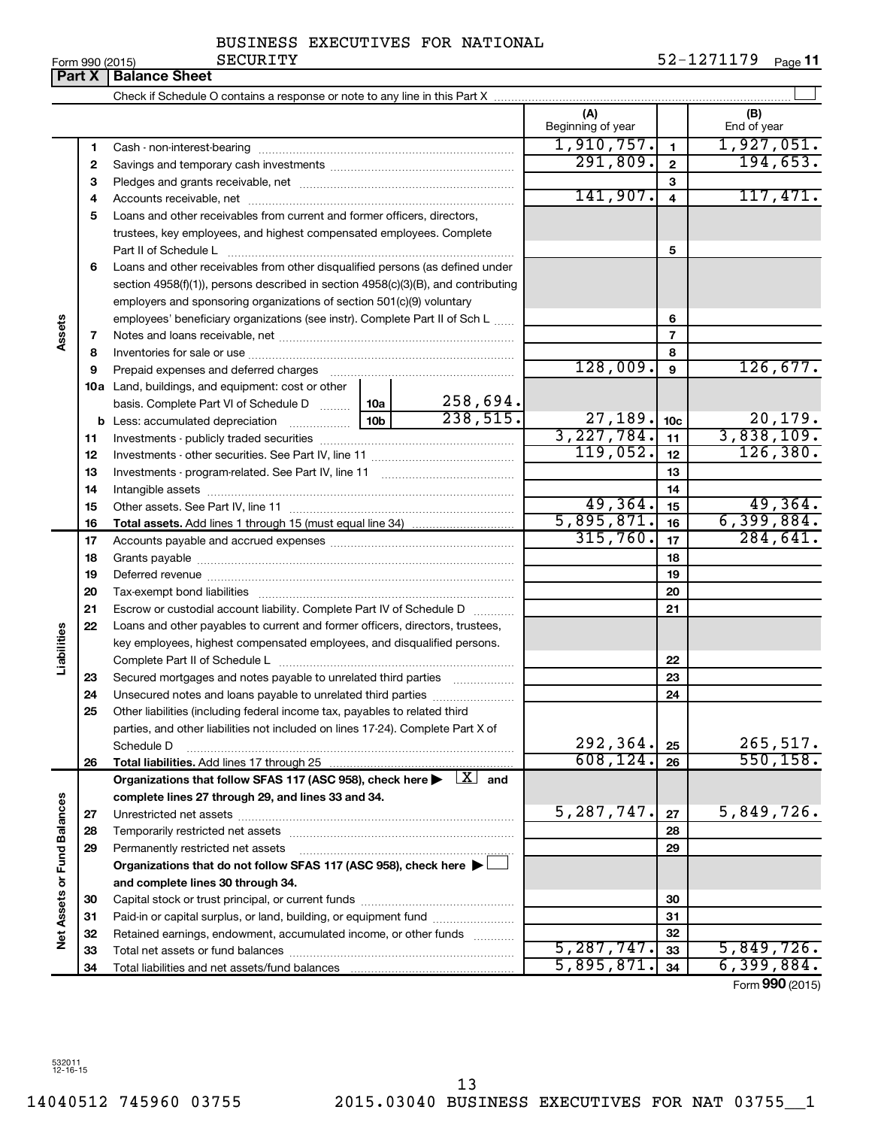Form 990 (2015) Page **11** SECURITY 52-1271179

|                             |    |                                                                                                                                                                                                                               |  |          | (A)<br>Beginning of year |                          | (B)<br>End of year |
|-----------------------------|----|-------------------------------------------------------------------------------------------------------------------------------------------------------------------------------------------------------------------------------|--|----------|--------------------------|--------------------------|--------------------|
|                             | 1  |                                                                                                                                                                                                                               |  |          | 1,910,757.               | $\mathbf{1}$             | 1,927,051.         |
|                             | 2  |                                                                                                                                                                                                                               |  |          | 291,809.                 | $\mathbf{2}$             | 194,653.           |
|                             | З  |                                                                                                                                                                                                                               |  |          |                          | 3                        |                    |
|                             | 4  |                                                                                                                                                                                                                               |  |          | 141,907.                 | $\overline{4}$           | 117,471.           |
|                             | 5  | Loans and other receivables from current and former officers, directors,                                                                                                                                                      |  |          |                          |                          |                    |
|                             |    | trustees, key employees, and highest compensated employees. Complete                                                                                                                                                          |  |          |                          |                          |                    |
|                             |    | Part II of Schedule L                                                                                                                                                                                                         |  |          |                          | 5                        |                    |
|                             | 6  | Loans and other receivables from other disqualified persons (as defined under                                                                                                                                                 |  |          |                          |                          |                    |
|                             |    | section 4958(f)(1)), persons described in section 4958(c)(3)(B), and contributing                                                                                                                                             |  |          |                          |                          |                    |
|                             |    | employers and sponsoring organizations of section 501(c)(9) voluntary                                                                                                                                                         |  |          |                          |                          |                    |
|                             |    | employees' beneficiary organizations (see instr). Complete Part II of Sch L                                                                                                                                                   |  |          |                          | 6                        |                    |
| Assets                      | 7  |                                                                                                                                                                                                                               |  |          |                          | $\overline{\phantom{a}}$ |                    |
|                             | 8  |                                                                                                                                                                                                                               |  |          |                          | 8                        |                    |
|                             | 9  | Prepaid expenses and deferred charges [11] [11] Prepaid expenses and deferred charges [11] [11] Martin Marian Marian Marian Marian Marian Marian Marian Marian Marian Marian Marian Marian Marian Marian Marian Marian Marian |  |          | 128,009.                 | 9                        | 126,677.           |
|                             |    | 10a Land, buildings, and equipment: cost or other                                                                                                                                                                             |  |          |                          |                          |                    |
|                             |    | basis. Complete Part VI of Schedule D  10a                                                                                                                                                                                    |  | 258,694. |                          |                          |                    |
|                             |    |                                                                                                                                                                                                                               |  | 238,515. | 27, 189.                 | 10 <sub>c</sub>          | 20, 179.           |
|                             | 11 |                                                                                                                                                                                                                               |  |          | 3,227,784.               | 11                       | 3,838,109.         |
|                             | 12 |                                                                                                                                                                                                                               |  |          | 119,052.                 | 12                       | 126, 380.          |
|                             | 13 |                                                                                                                                                                                                                               |  |          |                          | 13                       |                    |
|                             | 14 |                                                                                                                                                                                                                               |  |          |                          | 14                       |                    |
|                             | 15 |                                                                                                                                                                                                                               |  |          | 49,364.                  | 15                       | 49,364.            |
|                             | 16 |                                                                                                                                                                                                                               |  |          | 5,895,871.               | 16                       | 6,399,884.         |
|                             | 17 |                                                                                                                                                                                                                               |  |          | 315,760.                 | 17                       | 284,641.           |
|                             | 18 |                                                                                                                                                                                                                               |  |          |                          | 18                       |                    |
|                             | 19 |                                                                                                                                                                                                                               |  |          |                          | 19                       |                    |
|                             | 20 |                                                                                                                                                                                                                               |  |          |                          | 20                       |                    |
|                             | 21 | Escrow or custodial account liability. Complete Part IV of Schedule D                                                                                                                                                         |  |          |                          | 21                       |                    |
|                             | 22 | Loans and other payables to current and former officers, directors, trustees,                                                                                                                                                 |  |          |                          |                          |                    |
| Liabilities                 |    | key employees, highest compensated employees, and disqualified persons.                                                                                                                                                       |  |          |                          |                          |                    |
|                             |    |                                                                                                                                                                                                                               |  |          |                          | 22                       |                    |
|                             | 23 | Secured mortgages and notes payable to unrelated third parties                                                                                                                                                                |  |          |                          | 23                       |                    |
|                             | 24 | Unsecured notes and loans payable to unrelated third parties                                                                                                                                                                  |  |          |                          | 24                       |                    |
|                             | 25 | Other liabilities (including federal income tax, payables to related third                                                                                                                                                    |  |          |                          |                          |                    |
|                             |    | parties, and other liabilities not included on lines 17-24). Complete Part X of                                                                                                                                               |  |          |                          |                          |                    |
|                             |    | Schedule D                                                                                                                                                                                                                    |  |          | 292,364.                 | 25                       | 265, 517.          |
|                             | 26 |                                                                                                                                                                                                                               |  |          | 608, 124.                | 26                       | 550, 158.          |
|                             |    | Organizations that follow SFAS 117 (ASC 958), check here $\blacktriangleright \begin{array}{c} \boxed{X} \\ \end{array}$ and                                                                                                  |  |          |                          |                          |                    |
|                             |    | complete lines 27 through 29, and lines 33 and 34.                                                                                                                                                                            |  |          |                          |                          |                    |
|                             | 27 |                                                                                                                                                                                                                               |  |          | 5,287,747.               | 27                       | 5,849,726.         |
|                             | 28 |                                                                                                                                                                                                                               |  |          |                          | 28                       |                    |
|                             | 29 | Permanently restricted net assets                                                                                                                                                                                             |  |          |                          | 29                       |                    |
|                             |    | Organizations that do not follow SFAS 117 (ASC 958), check here $\blacktriangleright\Box$                                                                                                                                     |  |          |                          |                          |                    |
|                             |    | and complete lines 30 through 34.                                                                                                                                                                                             |  |          |                          |                          |                    |
|                             | 30 |                                                                                                                                                                                                                               |  |          |                          | 30                       |                    |
| Net Assets or Fund Balances | 31 | Paid-in or capital surplus, or land, building, or equipment fund                                                                                                                                                              |  |          |                          | 31                       |                    |
|                             | 32 | Retained earnings, endowment, accumulated income, or other funds                                                                                                                                                              |  |          |                          | 32                       |                    |
|                             | 33 |                                                                                                                                                                                                                               |  |          | 5, 287, 747.             | 33                       | 5,849,726.         |
|                             | 34 |                                                                                                                                                                                                                               |  |          | 5,895,871.               | 34                       | 6,399,884.         |

Form (2015) **990**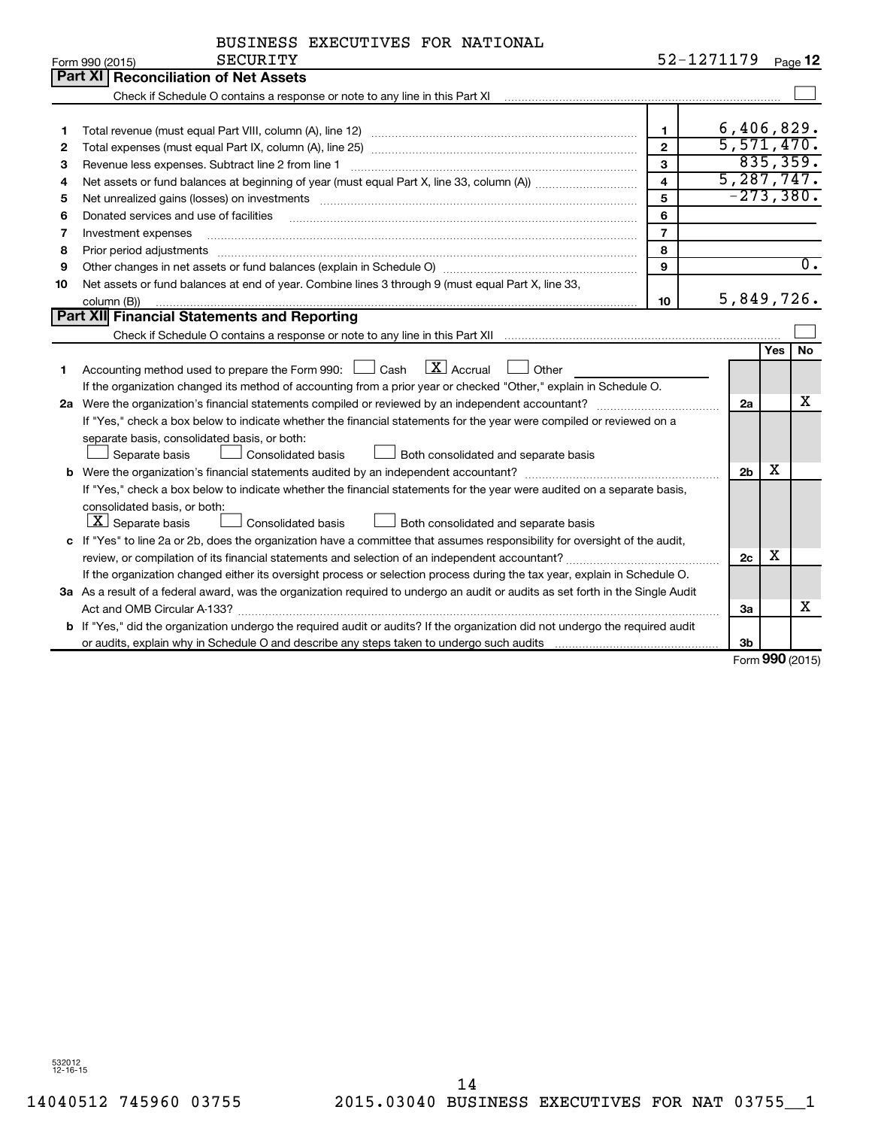| BUSINESS EXECUTIVES FOR NATIONAL |  |  |
|----------------------------------|--|--|
|----------------------------------|--|--|

|    | <b>SECURITY</b><br>Form 990 (2015)                                                                                                                                                                                                                 | 52-1271179              |                |            | Page 12          |  |  |  |
|----|----------------------------------------------------------------------------------------------------------------------------------------------------------------------------------------------------------------------------------------------------|-------------------------|----------------|------------|------------------|--|--|--|
|    | Part XI Reconciliation of Net Assets                                                                                                                                                                                                               |                         |                |            |                  |  |  |  |
|    |                                                                                                                                                                                                                                                    |                         |                |            |                  |  |  |  |
|    |                                                                                                                                                                                                                                                    |                         |                |            |                  |  |  |  |
| 1  |                                                                                                                                                                                                                                                    | $\mathbf{1}$            | 6,406,829.     |            |                  |  |  |  |
| 2  |                                                                                                                                                                                                                                                    | $\overline{2}$          | 5,571,470.     |            |                  |  |  |  |
| 3  | Revenue less expenses. Subtract line 2 from line 1                                                                                                                                                                                                 | 3                       |                |            | 835, 359.        |  |  |  |
| 4  |                                                                                                                                                                                                                                                    | $\overline{\mathbf{4}}$ | 5, 287, 747.   |            |                  |  |  |  |
| 5  | $-273,380.$<br>5<br>Net unrealized gains (losses) on investments [11] matter than the control of the state of the state of the state of the state of the state of the state of the state of the state of the state of the state of the state of th |                         |                |            |                  |  |  |  |
| 6  | Donated services and use of facilities                                                                                                                                                                                                             | 6                       |                |            |                  |  |  |  |
| 7  | Investment expenses                                                                                                                                                                                                                                | $\overline{7}$          |                |            |                  |  |  |  |
| 8  | Prior period adjustments www.communication.communication.communications.com                                                                                                                                                                        | 8                       |                |            |                  |  |  |  |
| 9  |                                                                                                                                                                                                                                                    | 9                       |                |            | $\overline{0}$ . |  |  |  |
| 10 | Net assets or fund balances at end of year. Combine lines 3 through 9 (must equal Part X, line 33,                                                                                                                                                 |                         |                |            |                  |  |  |  |
|    | column (B))                                                                                                                                                                                                                                        | 10                      | 5,849,726.     |            |                  |  |  |  |
|    | <b>Part XII</b> Financial Statements and Reporting                                                                                                                                                                                                 |                         |                |            |                  |  |  |  |
|    |                                                                                                                                                                                                                                                    |                         |                |            |                  |  |  |  |
|    |                                                                                                                                                                                                                                                    |                         |                | <b>Yes</b> | <b>No</b>        |  |  |  |
| 1  | Accounting method used to prepare the Form 990: $\Box$ Cash $\Box X$ Accrual<br><b>Other</b>                                                                                                                                                       |                         |                |            |                  |  |  |  |
|    | If the organization changed its method of accounting from a prior year or checked "Other," explain in Schedule O.                                                                                                                                  |                         |                |            |                  |  |  |  |
|    |                                                                                                                                                                                                                                                    |                         | 2a             |            | X                |  |  |  |
|    | If "Yes," check a box below to indicate whether the financial statements for the year were compiled or reviewed on a                                                                                                                               |                         |                |            |                  |  |  |  |
|    | separate basis, consolidated basis, or both:                                                                                                                                                                                                       |                         |                |            |                  |  |  |  |
|    | Separate basis<br>Consolidated basis<br>Both consolidated and separate basis                                                                                                                                                                       |                         |                |            |                  |  |  |  |
|    |                                                                                                                                                                                                                                                    |                         | 2 <sub>b</sub> | x          |                  |  |  |  |
|    | If "Yes," check a box below to indicate whether the financial statements for the year were audited on a separate basis,                                                                                                                            |                         |                |            |                  |  |  |  |
|    | consolidated basis, or both:                                                                                                                                                                                                                       |                         |                |            |                  |  |  |  |
|    | $ \mathbf{X} $ Separate basis<br>Consolidated basis<br>Both consolidated and separate basis                                                                                                                                                        |                         |                |            |                  |  |  |  |
|    | c If "Yes" to line 2a or 2b, does the organization have a committee that assumes responsibility for oversight of the audit,                                                                                                                        |                         |                |            |                  |  |  |  |
|    |                                                                                                                                                                                                                                                    |                         | 2c             | х          |                  |  |  |  |
|    | If the organization changed either its oversight process or selection process during the tax year, explain in Schedule O.                                                                                                                          |                         |                |            |                  |  |  |  |
|    | 3a As a result of a federal award, was the organization required to undergo an audit or audits as set forth in the Single Audit                                                                                                                    |                         |                |            |                  |  |  |  |
|    |                                                                                                                                                                                                                                                    |                         | За             |            | x                |  |  |  |
|    | b If "Yes," did the organization undergo the required audit or audits? If the organization did not undergo the required audit                                                                                                                      |                         |                |            |                  |  |  |  |
|    |                                                                                                                                                                                                                                                    |                         | 3 <sub>b</sub> |            |                  |  |  |  |

Form (2015) **990**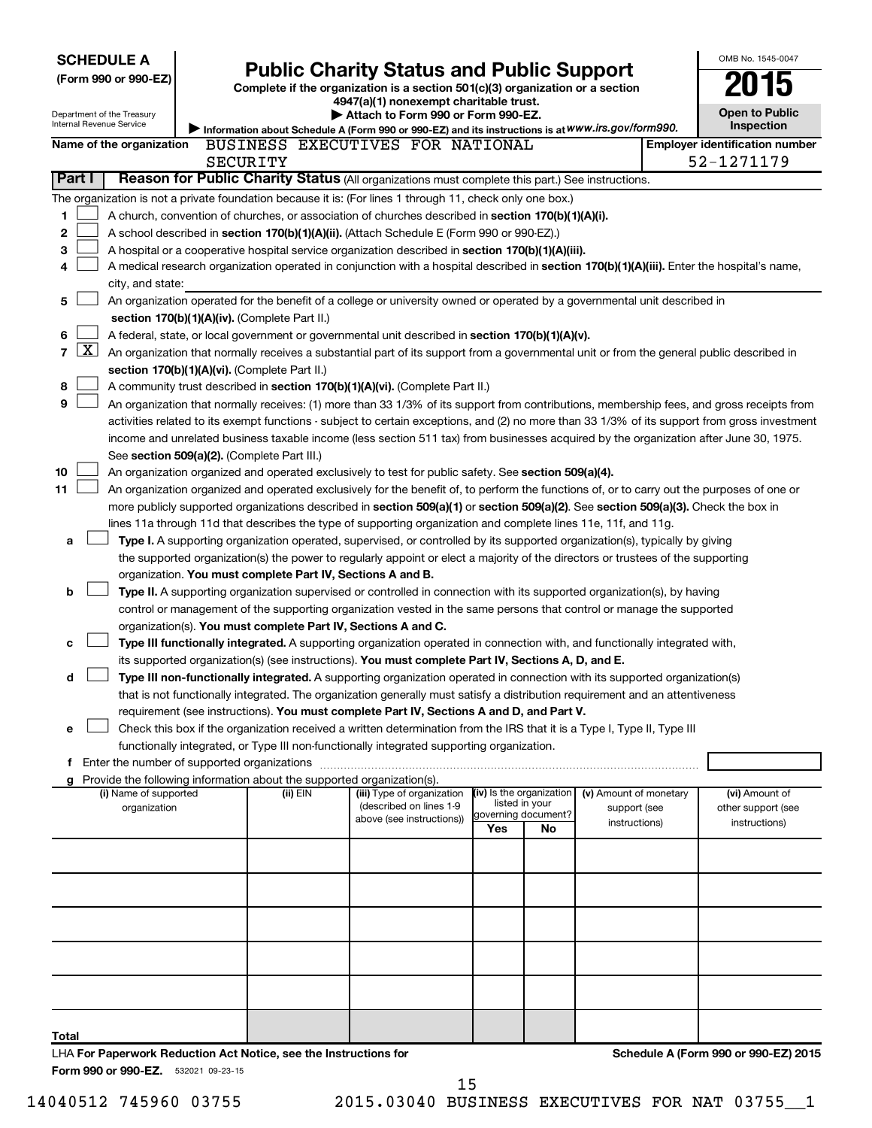| <b>SCHEDULE A</b><br><b>Public Charity Status and Public Support</b><br>(Form 990 or 990-EZ)<br>Complete if the organization is a section 501(c)(3) organization or a section<br>4947(a)(1) nonexempt charitable trust.<br>Attach to Form 990 or Form 990-EZ.<br>Department of the Treasury |                                       |  |                                                                        |                                                                                                                                               |                          |                     |                                        | OMB No. 1545-0047<br><b>Open to Public</b>          |
|---------------------------------------------------------------------------------------------------------------------------------------------------------------------------------------------------------------------------------------------------------------------------------------------|---------------------------------------|--|------------------------------------------------------------------------|-----------------------------------------------------------------------------------------------------------------------------------------------|--------------------------|---------------------|----------------------------------------|-----------------------------------------------------|
|                                                                                                                                                                                                                                                                                             | Internal Revenue Service              |  |                                                                        | Information about Schedule A (Form 990 or 990-EZ) and its instructions is at WWW.irs.gov/form990.                                             |                          |                     |                                        | <b>Inspection</b>                                   |
|                                                                                                                                                                                                                                                                                             | Name of the organization              |  | SECURITY                                                               | BUSINESS EXECUTIVES FOR NATIONAL                                                                                                              |                          |                     |                                        | <b>Employer identification number</b><br>52-1271179 |
| Part I                                                                                                                                                                                                                                                                                      |                                       |  |                                                                        | Reason for Public Charity Status (All organizations must complete this part.) See instructions.                                               |                          |                     |                                        |                                                     |
|                                                                                                                                                                                                                                                                                             |                                       |  |                                                                        | The organization is not a private foundation because it is: (For lines 1 through 11, check only one box.)                                     |                          |                     |                                        |                                                     |
| 1                                                                                                                                                                                                                                                                                           |                                       |  |                                                                        | A church, convention of churches, or association of churches described in section 170(b)(1)(A)(i).                                            |                          |                     |                                        |                                                     |
| 2                                                                                                                                                                                                                                                                                           |                                       |  |                                                                        | A school described in section 170(b)(1)(A)(ii). (Attach Schedule E (Form 990 or 990-EZ).)                                                     |                          |                     |                                        |                                                     |
| 3                                                                                                                                                                                                                                                                                           |                                       |  |                                                                        | A hospital or a cooperative hospital service organization described in section 170(b)(1)(A)(iii).                                             |                          |                     |                                        |                                                     |
| 4                                                                                                                                                                                                                                                                                           |                                       |  |                                                                        | A medical research organization operated in conjunction with a hospital described in section 170(b)(1)(A)(iii). Enter the hospital's name,    |                          |                     |                                        |                                                     |
|                                                                                                                                                                                                                                                                                             | city, and state:                      |  |                                                                        |                                                                                                                                               |                          |                     |                                        |                                                     |
| 5                                                                                                                                                                                                                                                                                           |                                       |  |                                                                        | An organization operated for the benefit of a college or university owned or operated by a governmental unit described in                     |                          |                     |                                        |                                                     |
|                                                                                                                                                                                                                                                                                             |                                       |  | section 170(b)(1)(A)(iv). (Complete Part II.)                          |                                                                                                                                               |                          |                     |                                        |                                                     |
| 6                                                                                                                                                                                                                                                                                           |                                       |  |                                                                        | A federal, state, or local government or governmental unit described in section 170(b)(1)(A)(v).                                              |                          |                     |                                        |                                                     |
| $\lfloor x \rfloor$<br>7                                                                                                                                                                                                                                                                    |                                       |  |                                                                        | An organization that normally receives a substantial part of its support from a governmental unit or from the general public described in     |                          |                     |                                        |                                                     |
| 8                                                                                                                                                                                                                                                                                           |                                       |  | section 170(b)(1)(A)(vi). (Complete Part II.)                          | A community trust described in section 170(b)(1)(A)(vi). (Complete Part II.)                                                                  |                          |                     |                                        |                                                     |
| 9                                                                                                                                                                                                                                                                                           |                                       |  |                                                                        | An organization that normally receives: (1) more than 33 1/3% of its support from contributions, membership fees, and gross receipts from     |                          |                     |                                        |                                                     |
|                                                                                                                                                                                                                                                                                             |                                       |  |                                                                        | activities related to its exempt functions - subject to certain exceptions, and (2) no more than 33 1/3% of its support from gross investment |                          |                     |                                        |                                                     |
|                                                                                                                                                                                                                                                                                             |                                       |  |                                                                        | income and unrelated business taxable income (less section 511 tax) from businesses acquired by the organization after June 30, 1975.         |                          |                     |                                        |                                                     |
|                                                                                                                                                                                                                                                                                             |                                       |  | See section 509(a)(2). (Complete Part III.)                            |                                                                                                                                               |                          |                     |                                        |                                                     |
| 10                                                                                                                                                                                                                                                                                          |                                       |  |                                                                        | An organization organized and operated exclusively to test for public safety. See section 509(a)(4).                                          |                          |                     |                                        |                                                     |
| 11                                                                                                                                                                                                                                                                                          |                                       |  |                                                                        | An organization organized and operated exclusively for the benefit of, to perform the functions of, or to carry out the purposes of one or    |                          |                     |                                        |                                                     |
|                                                                                                                                                                                                                                                                                             |                                       |  |                                                                        | more publicly supported organizations described in section 509(a)(1) or section 509(a)(2). See section 509(a)(3). Check the box in            |                          |                     |                                        |                                                     |
|                                                                                                                                                                                                                                                                                             |                                       |  |                                                                        | lines 11a through 11d that describes the type of supporting organization and complete lines 11e, 11f, and 11g.                                |                          |                     |                                        |                                                     |
| a                                                                                                                                                                                                                                                                                           |                                       |  |                                                                        | Type I. A supporting organization operated, supervised, or controlled by its supported organization(s), typically by giving                   |                          |                     |                                        |                                                     |
|                                                                                                                                                                                                                                                                                             |                                       |  |                                                                        | the supported organization(s) the power to regularly appoint or elect a majority of the directors or trustees of the supporting               |                          |                     |                                        |                                                     |
|                                                                                                                                                                                                                                                                                             |                                       |  | organization. You must complete Part IV, Sections A and B.             |                                                                                                                                               |                          |                     |                                        |                                                     |
| b                                                                                                                                                                                                                                                                                           |                                       |  |                                                                        | Type II. A supporting organization supervised or controlled in connection with its supported organization(s), by having                       |                          |                     |                                        |                                                     |
|                                                                                                                                                                                                                                                                                             |                                       |  |                                                                        | control or management of the supporting organization vested in the same persons that control or manage the supported                          |                          |                     |                                        |                                                     |
| c                                                                                                                                                                                                                                                                                           |                                       |  | organization(s). You must complete Part IV, Sections A and C.          | Type III functionally integrated. A supporting organization operated in connection with, and functionally integrated with,                    |                          |                     |                                        |                                                     |
|                                                                                                                                                                                                                                                                                             |                                       |  |                                                                        | its supported organization(s) (see instructions). You must complete Part IV, Sections A, D, and E.                                            |                          |                     |                                        |                                                     |
| d                                                                                                                                                                                                                                                                                           |                                       |  |                                                                        | Type III non-functionally integrated. A supporting organization operated in connection with its supported organization(s)                     |                          |                     |                                        |                                                     |
|                                                                                                                                                                                                                                                                                             |                                       |  |                                                                        | that is not functionally integrated. The organization generally must satisfy a distribution requirement and an attentiveness                  |                          |                     |                                        |                                                     |
|                                                                                                                                                                                                                                                                                             |                                       |  |                                                                        | requirement (see instructions). You must complete Part IV, Sections A and D, and Part V.                                                      |                          |                     |                                        |                                                     |
| e                                                                                                                                                                                                                                                                                           |                                       |  |                                                                        | Check this box if the organization received a written determination from the IRS that it is a Type I, Type II, Type III                       |                          |                     |                                        |                                                     |
|                                                                                                                                                                                                                                                                                             |                                       |  |                                                                        | functionally integrated, or Type III non-functionally integrated supporting organization.                                                     |                          |                     |                                        |                                                     |
|                                                                                                                                                                                                                                                                                             |                                       |  |                                                                        |                                                                                                                                               |                          |                     |                                        |                                                     |
|                                                                                                                                                                                                                                                                                             |                                       |  | Provide the following information about the supported organization(s). |                                                                                                                                               |                          |                     |                                        |                                                     |
|                                                                                                                                                                                                                                                                                             | (i) Name of supported<br>organization |  | (ii) EIN                                                               | (iii) Type of organization<br>(described on lines 1-9                                                                                         | (iv) Is the organization | listed in your      | (v) Amount of monetary<br>support (see | (vi) Amount of<br>other support (see                |
|                                                                                                                                                                                                                                                                                             |                                       |  |                                                                        | above (see instructions))                                                                                                                     |                          | governing document? | instructions)                          | instructions)                                       |
|                                                                                                                                                                                                                                                                                             |                                       |  |                                                                        |                                                                                                                                               | Yes                      | No                  |                                        |                                                     |
|                                                                                                                                                                                                                                                                                             |                                       |  |                                                                        |                                                                                                                                               |                          |                     |                                        |                                                     |
|                                                                                                                                                                                                                                                                                             |                                       |  |                                                                        |                                                                                                                                               |                          |                     |                                        |                                                     |
|                                                                                                                                                                                                                                                                                             |                                       |  |                                                                        |                                                                                                                                               |                          |                     |                                        |                                                     |
|                                                                                                                                                                                                                                                                                             |                                       |  |                                                                        |                                                                                                                                               |                          |                     |                                        |                                                     |
|                                                                                                                                                                                                                                                                                             |                                       |  |                                                                        |                                                                                                                                               |                          |                     |                                        |                                                     |
|                                                                                                                                                                                                                                                                                             |                                       |  |                                                                        |                                                                                                                                               |                          |                     |                                        |                                                     |
|                                                                                                                                                                                                                                                                                             |                                       |  |                                                                        |                                                                                                                                               |                          |                     |                                        |                                                     |
|                                                                                                                                                                                                                                                                                             |                                       |  |                                                                        |                                                                                                                                               |                          |                     |                                        |                                                     |
|                                                                                                                                                                                                                                                                                             |                                       |  |                                                                        |                                                                                                                                               |                          |                     |                                        |                                                     |
|                                                                                                                                                                                                                                                                                             |                                       |  |                                                                        |                                                                                                                                               |                          |                     |                                        |                                                     |
| Total                                                                                                                                                                                                                                                                                       |                                       |  |                                                                        |                                                                                                                                               |                          |                     |                                        |                                                     |
|                                                                                                                                                                                                                                                                                             | Form 990 or 990-EZ. 532021 09-23-15   |  | LHA For Paperwork Reduction Act Notice, see the Instructions for       |                                                                                                                                               |                          |                     |                                        | Schedule A (Form 990 or 990-EZ) 2015                |

14040512 745960 03755 2015.03040 BUSINESS EXECUTIVES FOR NAT 03755\_\_1 15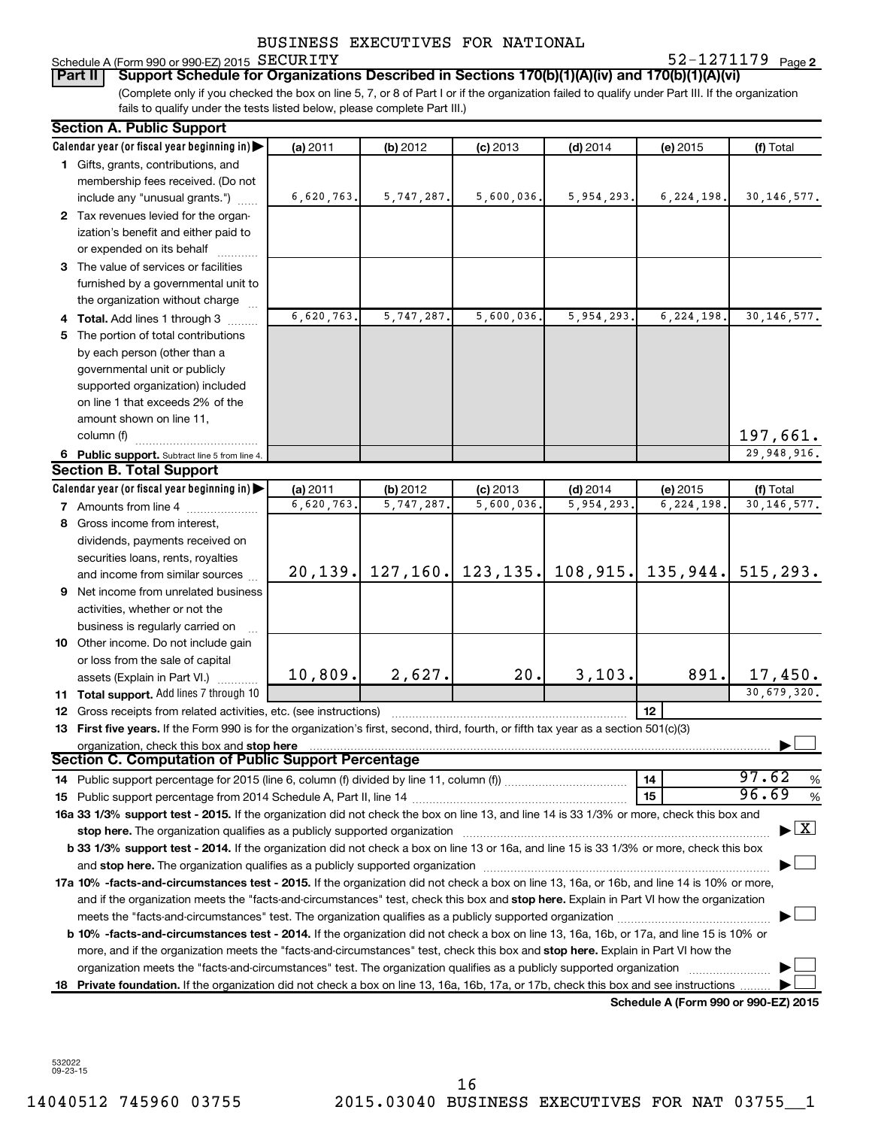# Schedule A (Form 990 or 990-EZ) 2015 SECURITY<br>| Part II | Support Schedule for Organization

**2** SECURITY 52-1271179

(Complete only if you checked the box on line 5, 7, or 8 of Part I or if the organization failed to qualify under Part III. If the organization fails to qualify under the tests listed below, please complete Part III.) **Part III Support Schedule for Organizations Described in Sections 170(b)(1)(A)(iv) and 170(b)(1)(A)(vi)** 

| <b>Section A. Public Support</b>                                                                                                           |            |            |            |            |                                      |                                    |
|--------------------------------------------------------------------------------------------------------------------------------------------|------------|------------|------------|------------|--------------------------------------|------------------------------------|
| Calendar year (or fiscal year beginning in)                                                                                                | (a) 2011   | (b) 2012   | $(c)$ 2013 | $(d)$ 2014 | (e) 2015                             | (f) Total                          |
| 1 Gifts, grants, contributions, and                                                                                                        |            |            |            |            |                                      |                                    |
| membership fees received. (Do not                                                                                                          |            |            |            |            |                                      |                                    |
| include any "unusual grants.")                                                                                                             | 6,620,763. | 5,747,287. | 5,600,036. | 5,954,293. | 6, 224, 198.                         | 30, 146, 577.                      |
| 2 Tax revenues levied for the organ-                                                                                                       |            |            |            |            |                                      |                                    |
| ization's benefit and either paid to                                                                                                       |            |            |            |            |                                      |                                    |
| or expended on its behalf                                                                                                                  |            |            |            |            |                                      |                                    |
| 3 The value of services or facilities                                                                                                      |            |            |            |            |                                      |                                    |
| furnished by a governmental unit to                                                                                                        |            |            |            |            |                                      |                                    |
| the organization without charge                                                                                                            |            |            |            |            |                                      |                                    |
| 4 Total. Add lines 1 through 3                                                                                                             | 6,620,763. | 5,747,287. | 5,600,036. | 5,954,293  | 6, 224, 198.                         | 30, 146, 577.                      |
| 5 The portion of total contributions                                                                                                       |            |            |            |            |                                      |                                    |
| by each person (other than a                                                                                                               |            |            |            |            |                                      |                                    |
| governmental unit or publicly                                                                                                              |            |            |            |            |                                      |                                    |
| supported organization) included                                                                                                           |            |            |            |            |                                      |                                    |
| on line 1 that exceeds 2% of the                                                                                                           |            |            |            |            |                                      |                                    |
| amount shown on line 11,                                                                                                                   |            |            |            |            |                                      |                                    |
| column (f)                                                                                                                                 |            |            |            |            |                                      | 197,661.                           |
| 6 Public support. Subtract line 5 from line 4.                                                                                             |            |            |            |            |                                      | 29,948,916.                        |
| <b>Section B. Total Support</b>                                                                                                            |            |            |            |            |                                      |                                    |
| Calendar year (or fiscal year beginning in)                                                                                                | (a) 2011   | (b) 2012   | $(c)$ 2013 | $(d)$ 2014 | (e) 2015                             | (f) Total                          |
| <b>7</b> Amounts from line 4                                                                                                               | 6,620,763. | 5,747,287  | 5,600,036  | 5,954,293  | 6, 224, 198                          | 30, 146, 577.                      |
| 8 Gross income from interest,                                                                                                              |            |            |            |            |                                      |                                    |
| dividends, payments received on                                                                                                            |            |            |            |            |                                      |                                    |
| securities loans, rents, royalties                                                                                                         |            |            |            |            |                                      |                                    |
| and income from similar sources                                                                                                            | 20, 139.   | 127, 160.  | 123, 135.  | 108, 915.  | 135,944.                             | 515, 293.                          |
| 9 Net income from unrelated business                                                                                                       |            |            |            |            |                                      |                                    |
| activities, whether or not the                                                                                                             |            |            |            |            |                                      |                                    |
| business is regularly carried on                                                                                                           |            |            |            |            |                                      |                                    |
| 10 Other income. Do not include gain                                                                                                       |            |            |            |            |                                      |                                    |
| or loss from the sale of capital                                                                                                           |            |            |            |            |                                      |                                    |
| assets (Explain in Part VI.)                                                                                                               | 10,809.    | 2,627.     | 20.        | 3,103.     | 891.                                 | 17,450.                            |
| 11 Total support. Add lines 7 through 10                                                                                                   |            |            |            |            |                                      | 30,679,320.                        |
| <b>12</b> Gross receipts from related activities, etc. (see instructions)                                                                  |            |            |            |            | 12                                   |                                    |
| 13 First five years. If the Form 990 is for the organization's first, second, third, fourth, or fifth tax year as a section 501(c)(3)      |            |            |            |            |                                      |                                    |
| organization, check this box and stop here                                                                                                 |            |            |            |            |                                      |                                    |
| <b>Section C. Computation of Public Support Percentage</b>                                                                                 |            |            |            |            |                                      |                                    |
|                                                                                                                                            |            |            |            |            | 14                                   | 97.62<br>%                         |
|                                                                                                                                            |            |            |            |            | 15                                   | 96.69<br>%                         |
| 16a 33 1/3% support test - 2015. If the organization did not check the box on line 13, and line 14 is 33 1/3% or more, check this box and  |            |            |            |            |                                      |                                    |
| stop here. The organization qualifies as a publicly supported organization manufaction manufacture or the organization                     |            |            |            |            |                                      | $\blacktriangleright$ $\mathbf{X}$ |
| b 33 1/3% support test - 2014. If the organization did not check a box on line 13 or 16a, and line 15 is 33 1/3% or more, check this box   |            |            |            |            |                                      |                                    |
|                                                                                                                                            |            |            |            |            |                                      |                                    |
| 17a 10% -facts-and-circumstances test - 2015. If the organization did not check a box on line 13, 16a, or 16b, and line 14 is 10% or more, |            |            |            |            |                                      |                                    |
| and if the organization meets the "facts-and-circumstances" test, check this box and stop here. Explain in Part VI how the organization    |            |            |            |            |                                      |                                    |
|                                                                                                                                            |            |            |            |            |                                      |                                    |
| b 10% -facts-and-circumstances test - 2014. If the organization did not check a box on line 13, 16a, 16b, or 17a, and line 15 is 10% or    |            |            |            |            |                                      |                                    |
| more, and if the organization meets the "facts-and-circumstances" test, check this box and stop here. Explain in Part VI how the           |            |            |            |            |                                      |                                    |
| organization meets the "facts-and-circumstances" test. The organization qualifies as a publicly supported organization                     |            |            |            |            |                                      |                                    |
| 18 Private foundation. If the organization did not check a box on line 13, 16a, 16b, 17a, or 17b, check this box and see instructions      |            |            |            |            |                                      |                                    |
|                                                                                                                                            |            |            |            |            | Schedule A (Form 990 or 990-EZ) 2015 |                                    |

532022 09-23-15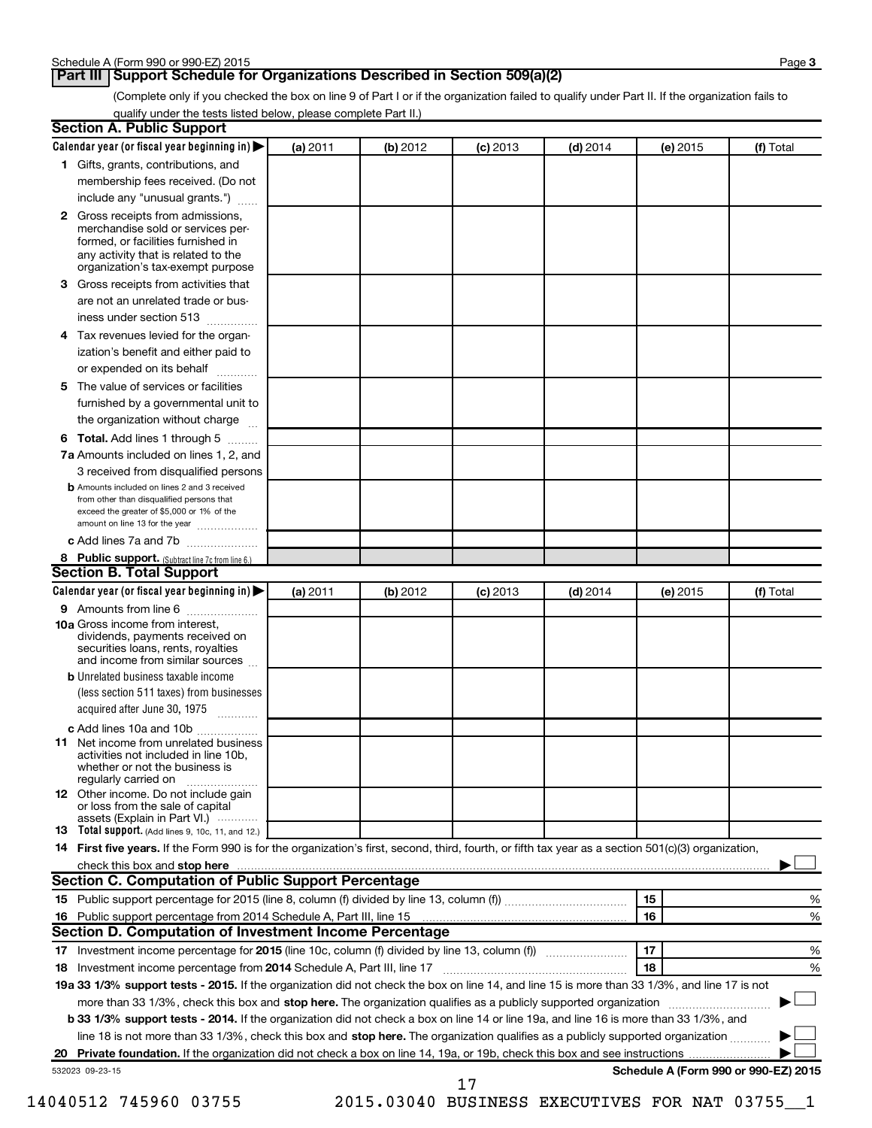### **Part III Support Schedule for Organizations Described in Section 509(a)(2)**

(Complete only if you checked the box on line 9 of Part I or if the organization failed to qualify under Part II. If the organization fails to qualify under the tests listed below, please complete Part II.)

| <b>Section A. Public Support</b>                                                                                                                                                         |          |          |            |            |          |                                      |
|------------------------------------------------------------------------------------------------------------------------------------------------------------------------------------------|----------|----------|------------|------------|----------|--------------------------------------|
| Calendar year (or fiscal year beginning in)                                                                                                                                              | (a) 2011 | (b) 2012 | $(c)$ 2013 | $(d)$ 2014 | (e) 2015 | (f) Total                            |
| 1 Gifts, grants, contributions, and                                                                                                                                                      |          |          |            |            |          |                                      |
| membership fees received. (Do not                                                                                                                                                        |          |          |            |            |          |                                      |
| include any "unusual grants.")                                                                                                                                                           |          |          |            |            |          |                                      |
| 2 Gross receipts from admissions,<br>merchandise sold or services per-<br>formed, or facilities furnished in<br>any activity that is related to the<br>organization's tax-exempt purpose |          |          |            |            |          |                                      |
| 3 Gross receipts from activities that                                                                                                                                                    |          |          |            |            |          |                                      |
| are not an unrelated trade or bus-                                                                                                                                                       |          |          |            |            |          |                                      |
| iness under section 513                                                                                                                                                                  |          |          |            |            |          |                                      |
| 4 Tax revenues levied for the organ-                                                                                                                                                     |          |          |            |            |          |                                      |
| ization's benefit and either paid to<br>or expended on its behalf                                                                                                                        |          |          |            |            |          |                                      |
| 5 The value of services or facilities                                                                                                                                                    |          |          |            |            |          |                                      |
| furnished by a governmental unit to                                                                                                                                                      |          |          |            |            |          |                                      |
| the organization without charge                                                                                                                                                          |          |          |            |            |          |                                      |
| 6 Total. Add lines 1 through 5                                                                                                                                                           |          |          |            |            |          |                                      |
| 7a Amounts included on lines 1, 2, and                                                                                                                                                   |          |          |            |            |          |                                      |
| 3 received from disqualified persons                                                                                                                                                     |          |          |            |            |          |                                      |
| <b>b</b> Amounts included on lines 2 and 3 received<br>from other than disqualified persons that<br>exceed the greater of \$5,000 or 1% of the<br>amount on line 13 for the year         |          |          |            |            |          |                                      |
| c Add lines 7a and 7b                                                                                                                                                                    |          |          |            |            |          |                                      |
| 8 Public support. (Subtract line 7c from line 6.)                                                                                                                                        |          |          |            |            |          |                                      |
| <b>Section B. Total Support</b>                                                                                                                                                          |          |          |            |            |          |                                      |
| Calendar year (or fiscal year beginning in) $\blacktriangleright$                                                                                                                        | (a) 2011 | (b) 2012 | $(c)$ 2013 | $(d)$ 2014 | (e) 2015 | (f) Total                            |
| 9 Amounts from line 6                                                                                                                                                                    |          |          |            |            |          |                                      |
| <b>10a</b> Gross income from interest,<br>dividends, payments received on<br>securities loans, rents, royalties<br>and income from similar sources                                       |          |          |            |            |          |                                      |
| <b>b</b> Unrelated business taxable income<br>(less section 511 taxes) from businesses                                                                                                   |          |          |            |            |          |                                      |
| acquired after June 30, 1975<br>$\frac{1}{2}$                                                                                                                                            |          |          |            |            |          |                                      |
| c Add lines 10a and 10b                                                                                                                                                                  |          |          |            |            |          |                                      |
| <b>11</b> Net income from unrelated business<br>activities not included in line 10b.<br>whether or not the business is<br>regularly carried on                                           |          |          |            |            |          |                                      |
| 12 Other income. Do not include gain<br>or loss from the sale of capital<br>assets (Explain in Part VI.)                                                                                 |          |          |            |            |          |                                      |
| <b>13</b> Total support. (Add lines 9, 10c, 11, and 12.)                                                                                                                                 |          |          |            |            |          |                                      |
| 14 First five years. If the Form 990 is for the organization's first, second, third, fourth, or fifth tax year as a section 501(c)(3) organization,                                      |          |          |            |            |          |                                      |
|                                                                                                                                                                                          |          |          |            |            |          |                                      |
| <b>Section C. Computation of Public Support Percentage</b>                                                                                                                               |          |          |            |            |          |                                      |
|                                                                                                                                                                                          |          |          |            |            | 15       | ℅                                    |
| 16 Public support percentage from 2014 Schedule A, Part III, line 15                                                                                                                     |          |          |            |            | 16       | %                                    |
| Section D. Computation of Investment Income Percentage                                                                                                                                   |          |          |            |            |          |                                      |
|                                                                                                                                                                                          |          |          |            |            | 17       | %                                    |
| 18 Investment income percentage from 2014 Schedule A, Part III, line 17                                                                                                                  |          |          |            |            | 18       | %                                    |
| 19a 33 1/3% support tests - 2015. If the organization did not check the box on line 14, and line 15 is more than 33 1/3%, and line 17 is not                                             |          |          |            |            |          |                                      |
| more than 33 1/3%, check this box and stop here. The organization qualifies as a publicly supported organization                                                                         |          |          |            |            |          |                                      |
| b 33 1/3% support tests - 2014. If the organization did not check a box on line 14 or line 19a, and line 16 is more than 33 1/3%, and                                                    |          |          |            |            |          |                                      |
| line 18 is not more than 33 1/3%, check this box and stop here. The organization qualifies as a publicly supported organization                                                          |          |          |            |            |          |                                      |
|                                                                                                                                                                                          |          |          |            |            |          |                                      |
| 532023 09-23-15                                                                                                                                                                          |          |          | 17         |            |          | Schedule A (Form 990 or 990-EZ) 2015 |

14040512 745960 03755 2015.03040 BUSINESS EXECUTIVES FOR NAT 03755\_\_1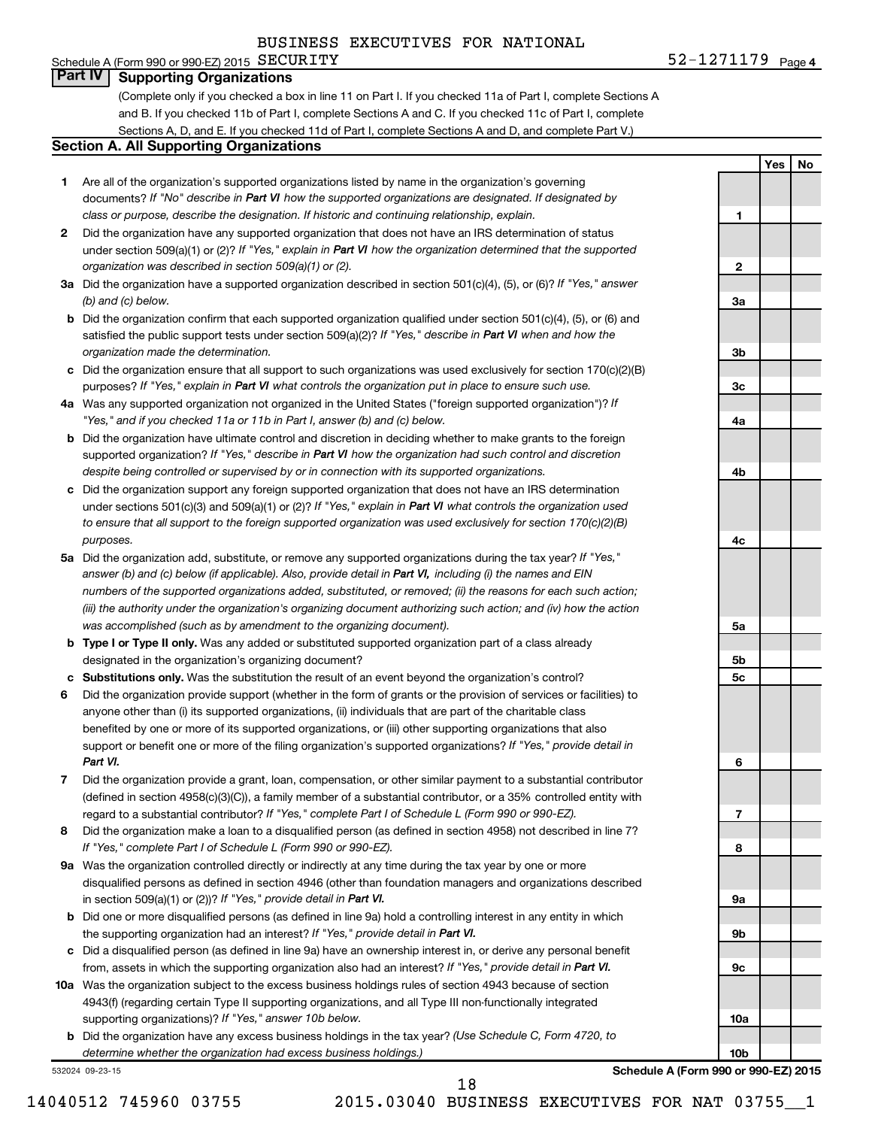#### Schedule A (Form 990 or 990-EZ) 2015  $SECURITY$ **Part IV Supporting Organizations**

(Complete only if you checked a box in line 11 on Part I. If you checked 11a of Part I, complete Sections A and B. If you checked 11b of Part I, complete Sections A and C. If you checked 11c of Part I, complete Sections A, D, and E. If you checked 11d of Part I, complete Sections A and D, and complete Part V.)

#### **Section A. All Supporting Organizations**

- **1** Are all of the organization's supported organizations listed by name in the organization's governing documents? If "No" describe in Part VI how the supported organizations are designated. If designated by *class or purpose, describe the designation. If historic and continuing relationship, explain.*
- **2** Did the organization have any supported organization that does not have an IRS determination of status under section 509(a)(1) or (2)? If "Yes," explain in Part VI how the organization determined that the supported *organization was described in section 509(a)(1) or (2).*
- **3a** Did the organization have a supported organization described in section 501(c)(4), (5), or (6)? If "Yes," answer *(b) and (c) below.*
- **b** Did the organization confirm that each supported organization qualified under section 501(c)(4), (5), or (6) and satisfied the public support tests under section 509(a)(2)? If "Yes," describe in Part VI when and how the *organization made the determination.*
- **c** Did the organization ensure that all support to such organizations was used exclusively for section 170(c)(2)(B) purposes? If "Yes," explain in Part VI what controls the organization put in place to ensure such use.
- **4 a** *If* Was any supported organization not organized in the United States ("foreign supported organization")? *"Yes," and if you checked 11a or 11b in Part I, answer (b) and (c) below.*
- **b** Did the organization have ultimate control and discretion in deciding whether to make grants to the foreign supported organization? If "Yes," describe in Part VI how the organization had such control and discretion *despite being controlled or supervised by or in connection with its supported organizations.*
- **c** Did the organization support any foreign supported organization that does not have an IRS determination under sections 501(c)(3) and 509(a)(1) or (2)? If "Yes," explain in Part VI what controls the organization used *to ensure that all support to the foreign supported organization was used exclusively for section 170(c)(2)(B) purposes.*
- **5a** Did the organization add, substitute, or remove any supported organizations during the tax year? If "Yes," answer (b) and (c) below (if applicable). Also, provide detail in Part VI, including (i) the names and EIN *numbers of the supported organizations added, substituted, or removed; (ii) the reasons for each such action; (iii) the authority under the organization's organizing document authorizing such action; and (iv) how the action was accomplished (such as by amendment to the organizing document).*
- **b** Type I or Type II only. Was any added or substituted supported organization part of a class already designated in the organization's organizing document?
- **c Substitutions only.**  Was the substitution the result of an event beyond the organization's control?
- **6** Did the organization provide support (whether in the form of grants or the provision of services or facilities) to support or benefit one or more of the filing organization's supported organizations? If "Yes," provide detail in anyone other than (i) its supported organizations, (ii) individuals that are part of the charitable class benefited by one or more of its supported organizations, or (iii) other supporting organizations that also *Part VI.*
- **7** Did the organization provide a grant, loan, compensation, or other similar payment to a substantial contributor regard to a substantial contributor? If "Yes," complete Part I of Schedule L (Form 990 or 990-EZ). (defined in section 4958(c)(3)(C)), a family member of a substantial contributor, or a 35% controlled entity with
- **8** Did the organization make a loan to a disqualified person (as defined in section 4958) not described in line 7? *If "Yes," complete Part I of Schedule L (Form 990 or 990-EZ).*
- **9 a** Was the organization controlled directly or indirectly at any time during the tax year by one or more in section 509(a)(1) or (2))? If "Yes," provide detail in Part VI. disqualified persons as defined in section 4946 (other than foundation managers and organizations described
- **b** Did one or more disqualified persons (as defined in line 9a) hold a controlling interest in any entity in which the supporting organization had an interest? If "Yes," provide detail in Part VI.
- **c** Did a disqualified person (as defined in line 9a) have an ownership interest in, or derive any personal benefit from, assets in which the supporting organization also had an interest? If "Yes," provide detail in Part VI.
- **10 a** Was the organization subject to the excess business holdings rules of section 4943 because of section supporting organizations)? If "Yes," answer 10b below. 4943(f) (regarding certain Type II supporting organizations, and all Type III non-functionally integrated
	- **b** Did the organization have any excess business holdings in the tax year? (Use Schedule C, Form 4720, to *determine whether the organization had excess business holdings.)*

532024 09-23-15

**2 3a 3b 3c 4a 4b 4c 5a 5b 5c**

**Schedule A (Form 990 or 990-EZ) 2015**

18

**6**

**7**

**8**

**9a**

**9b**

**9c**

**10a**

**10b**

**4** 52-1271179 Page 4

**1**

**Yes No**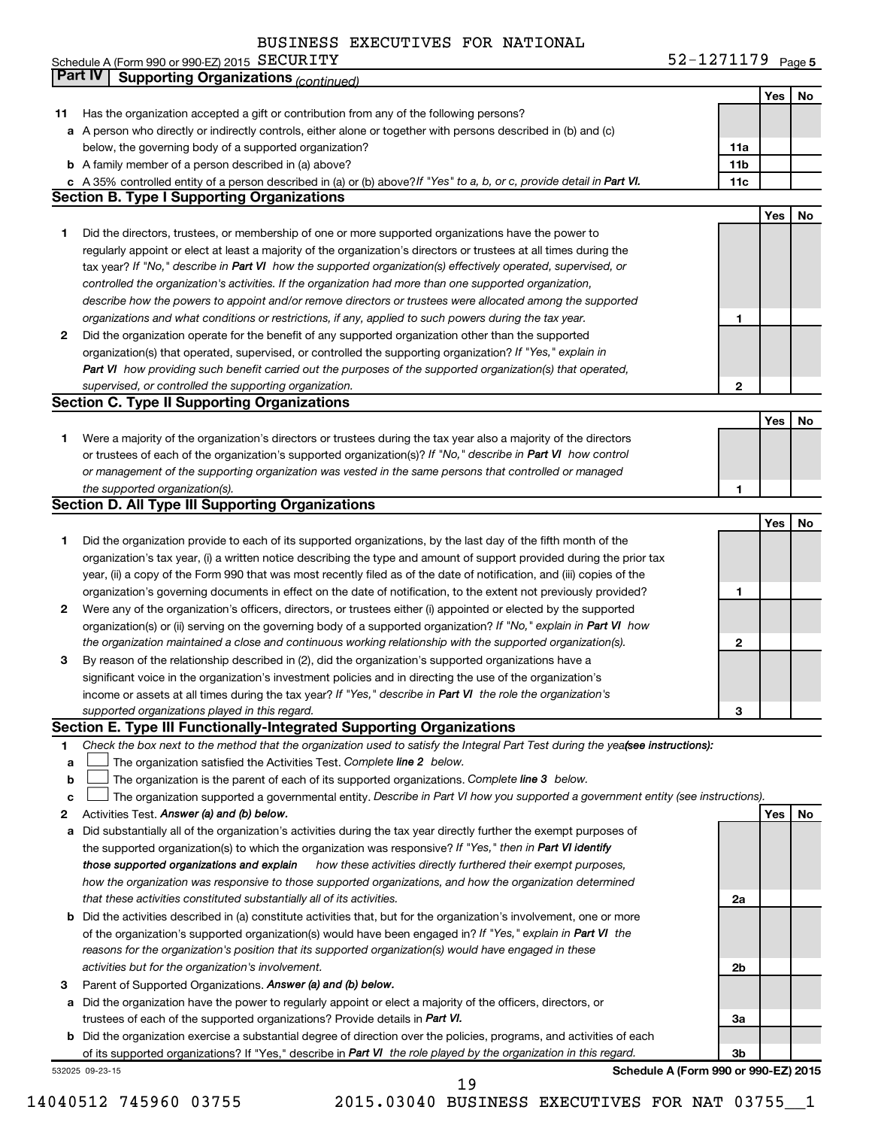|                | Schedule A (Form 990 or 990-EZ) 2015 SECURITY                                                                                                                                                                             | 52-1271179 Page 5 |     |    |
|----------------|---------------------------------------------------------------------------------------------------------------------------------------------------------------------------------------------------------------------------|-------------------|-----|----|
| <b>Part IV</b> | <b>Supporting Organizations (continued)</b>                                                                                                                                                                               |                   |     |    |
|                |                                                                                                                                                                                                                           |                   | Yes | No |
| 11             | Has the organization accepted a gift or contribution from any of the following persons?                                                                                                                                   |                   |     |    |
|                | a A person who directly or indirectly controls, either alone or together with persons described in (b) and (c)                                                                                                            |                   |     |    |
|                | below, the governing body of a supported organization?                                                                                                                                                                    | 11a               |     |    |
|                | <b>b</b> A family member of a person described in (a) above?                                                                                                                                                              | 11b               |     |    |
|                | c A 35% controlled entity of a person described in (a) or (b) above? If "Yes" to a, b, or c, provide detail in Part VI.                                                                                                   | 11c               |     |    |
|                | <b>Section B. Type I Supporting Organizations</b>                                                                                                                                                                         |                   |     |    |
|                |                                                                                                                                                                                                                           |                   | Yes | No |
| 1.             | Did the directors, trustees, or membership of one or more supported organizations have the power to                                                                                                                       |                   |     |    |
|                | regularly appoint or elect at least a majority of the organization's directors or trustees at all times during the                                                                                                        |                   |     |    |
|                | tax year? If "No," describe in Part VI how the supported organization(s) effectively operated, supervised, or                                                                                                             |                   |     |    |
|                | controlled the organization's activities. If the organization had more than one supported organization,                                                                                                                   |                   |     |    |
|                | describe how the powers to appoint and/or remove directors or trustees were allocated among the supported                                                                                                                 |                   |     |    |
|                | organizations and what conditions or restrictions, if any, applied to such powers during the tax year.                                                                                                                    | 1                 |     |    |
| $\mathbf{2}$   | Did the organization operate for the benefit of any supported organization other than the supported                                                                                                                       |                   |     |    |
|                | organization(s) that operated, supervised, or controlled the supporting organization? If "Yes," explain in<br>Part VI how providing such benefit carried out the purposes of the supported organization(s) that operated, |                   |     |    |
|                | supervised, or controlled the supporting organization.                                                                                                                                                                    | 2                 |     |    |
|                | <b>Section C. Type II Supporting Organizations</b>                                                                                                                                                                        |                   |     |    |
|                |                                                                                                                                                                                                                           |                   | Yes | No |
| 1.             | Were a majority of the organization's directors or trustees during the tax year also a majority of the directors                                                                                                          |                   |     |    |
|                | or trustees of each of the organization's supported organization(s)? If "No," describe in Part VI how control                                                                                                             |                   |     |    |
|                | or management of the supporting organization was vested in the same persons that controlled or managed                                                                                                                    |                   |     |    |
|                | the supported organization(s).                                                                                                                                                                                            | 1                 |     |    |
|                | <b>Section D. All Type III Supporting Organizations</b>                                                                                                                                                                   |                   |     |    |
|                |                                                                                                                                                                                                                           |                   | Yes | No |
| 1              | Did the organization provide to each of its supported organizations, by the last day of the fifth month of the                                                                                                            |                   |     |    |
|                | organization's tax year, (i) a written notice describing the type and amount of support provided during the prior tax                                                                                                     |                   |     |    |
|                | year, (ii) a copy of the Form 990 that was most recently filed as of the date of notification, and (iii) copies of the                                                                                                    |                   |     |    |
|                | organization's governing documents in effect on the date of notification, to the extent not previously provided?                                                                                                          | 1                 |     |    |
| 2              | Were any of the organization's officers, directors, or trustees either (i) appointed or elected by the supported                                                                                                          |                   |     |    |
|                | organization(s) or (ii) serving on the governing body of a supported organization? If "No," explain in Part VI how                                                                                                        |                   |     |    |
|                | the organization maintained a close and continuous working relationship with the supported organization(s).                                                                                                               | 2                 |     |    |
| 3              | By reason of the relationship described in (2), did the organization's supported organizations have a                                                                                                                     |                   |     |    |
|                | significant voice in the organization's investment policies and in directing the use of the organization's                                                                                                                |                   |     |    |
|                | income or assets at all times during the tax year? If "Yes," describe in Part VI the role the organization's<br>supported organizations played in this regard.                                                            | З                 |     |    |
|                | Section E. Type III Functionally-Integrated Supporting Organizations                                                                                                                                                      |                   |     |    |
| 1              | Check the box next to the method that the organization used to satisfy the Integral Part Test during the yeafsee instructions):                                                                                           |                   |     |    |
| a              | The organization satisfied the Activities Test. Complete line 2 below.                                                                                                                                                    |                   |     |    |
| b              | The organization is the parent of each of its supported organizations. Complete line 3 below.                                                                                                                             |                   |     |    |
| с              | The organization supported a governmental entity. Describe in Part VI how you supported a government entity (see instructions).                                                                                           |                   |     |    |
| 2              | Activities Test. Answer (a) and (b) below.                                                                                                                                                                                |                   | Yes | No |
| а              | Did substantially all of the organization's activities during the tax year directly further the exempt purposes of                                                                                                        |                   |     |    |
|                | the supported organization(s) to which the organization was responsive? If "Yes," then in Part VI identify                                                                                                                |                   |     |    |
|                | those supported organizations and explain<br>how these activities directly furthered their exempt purposes,                                                                                                               |                   |     |    |
|                | how the organization was responsive to those supported organizations, and how the organization determined                                                                                                                 |                   |     |    |
|                | that these activities constituted substantially all of its activities.                                                                                                                                                    | 2a                |     |    |
| b              | Did the activities described in (a) constitute activities that, but for the organization's involvement, one or more                                                                                                       |                   |     |    |
|                | of the organization's supported organization(s) would have been engaged in? If "Yes," explain in Part VI the                                                                                                              |                   |     |    |
|                | reasons for the organization's position that its supported organization(s) would have engaged in these                                                                                                                    |                   |     |    |
|                | activities but for the organization's involvement.                                                                                                                                                                        | 2b                |     |    |
| з              | Parent of Supported Organizations. Answer (a) and (b) below.                                                                                                                                                              |                   |     |    |
| а              | Did the organization have the power to regularly appoint or elect a majority of the officers, directors, or                                                                                                               |                   |     |    |
|                | trustees of each of the supported organizations? Provide details in Part VI.                                                                                                                                              | За                |     |    |
| b              | Did the organization exercise a substantial degree of direction over the policies, programs, and activities of each                                                                                                       |                   |     |    |
|                | of its supported organizations? If "Yes," describe in Part VI the role played by the organization in this regard.<br>Schedule A (Form 990 or 990-EZ) 2015                                                                 | 3b                |     |    |
|                | 532025 09-23-15                                                                                                                                                                                                           |                   |     |    |

14040512 745960 03755 2015.03040 BUSINESS EXECUTIVES FOR NAT 03755\_\_1 19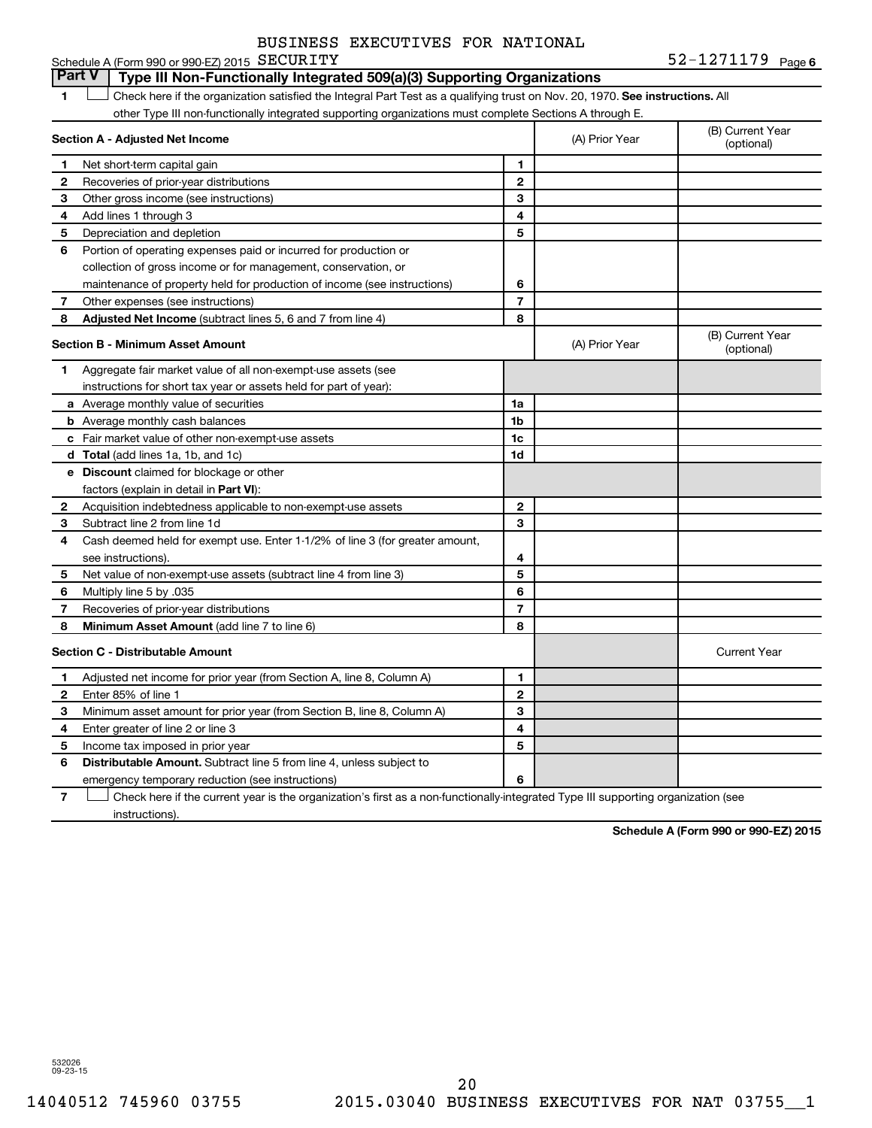#### **6** SECURITY **6**  $52-1271179$  Page 6 1  $\Box$  Check here if the organization satisfied the Integral Part Test as a qualifying trust on Nov. 20, 1970. See instructions. All **Section A - Adjusted Net Income 1 2 3 4 5 6 7 8 1 2 3 4 5 6 7 Adjusted Net Income** (subtract lines 5, 6 and 7 from line 4) **8 8 Section B - Minimum Asset Amount 1 2 3 4 5 6 7 8 a** Average monthly value of securities **b** Average monthly cash balances **c** Fair market value of other non-exempt-use assets **d Total**  (add lines 1a, 1b, and 1c) **e Discount** claimed for blockage or other **1a 1b 1c 1d 2 3 4 5 6 7 8** factors (explain in detail in Part VI): **Minimum Asset Amount**  (add line 7 to line 6) **Section C - Distributable Amount 1 2 3 4 5 6 1 2 3 4 5 6** Distributable Amount. Subtract line 5 from line 4, unless subject to Schedule A (Form 990 or 990-EZ) 2015  $SECURITY$ other Type III non-functionally integrated supporting organizations must complete Sections A through E. (B) Current Year (A) Prior Year Net short-term capital gain Recoveries of prior-year distributions Other gross income (see instructions) Add lines 1 through 3 Depreciation and depletion Portion of operating expenses paid or incurred for production or collection of gross income or for management, conservation, or maintenance of property held for production of income (see instructions) Other expenses (see instructions) (B) Current Year  $(A)$  Prior Year  $\left\{\n\begin{array}{ccc}\n\end{array}\n\right\}$  (optional) Aggregate fair market value of all non-exempt-use assets (see instructions for short tax year or assets held for part of year): Acquisition indebtedness applicable to non-exempt-use assets Subtract line 2 from line 1d Cash deemed held for exempt use. Enter 1-1/2% of line 3 (for greater amount, see instructions). Net value of non-exempt-use assets (subtract line 4 from line 3) Multiply line 5 by .035 Recoveries of prior-year distributions Current Year Adjusted net income for prior year (from Section A, line 8, Column A) Enter 85% of line 1 Minimum asset amount for prior year (from Section B, line 8, Column A) Enter greater of line 2 or line 3 Income tax imposed in prior year emergency temporary reduction (see instructions) **Part V Type III Non-Functionally Integrated 509(a)(3) Supporting Organizations**   $\Box$

**7** Check here if the current year is the organization's first as a non-functionally-integrated Type III supporting organization (see † instructions).

**Schedule A (Form 990 or 990-EZ) 2015**

532026 09-23-15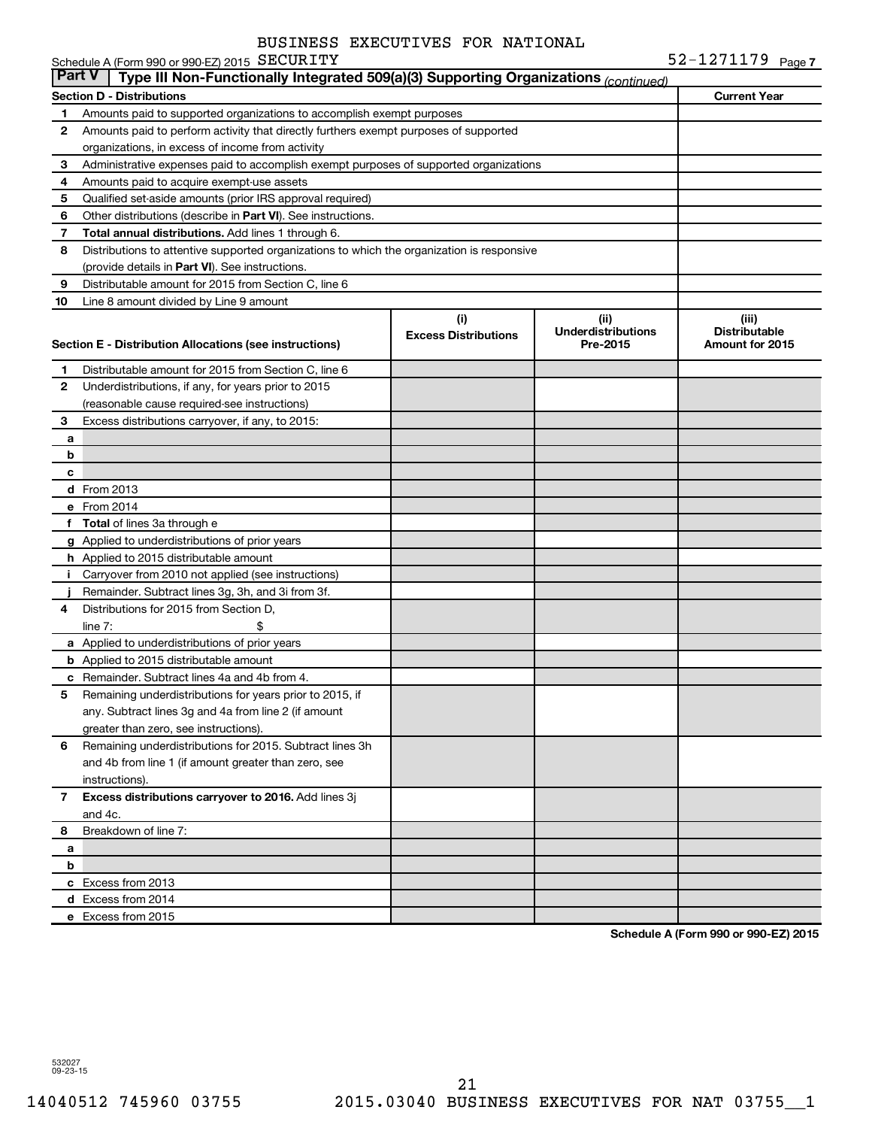| 52-1271179 Page 7<br>Schedule A (Form 990 or 990-EZ) 2015 SECURITY |                                                                                                                  |                                    |                                               |                                                  |  |  |
|--------------------------------------------------------------------|------------------------------------------------------------------------------------------------------------------|------------------------------------|-----------------------------------------------|--------------------------------------------------|--|--|
| <b>Part V</b>                                                      | Type III Non-Functionally Integrated 509(a)(3) Supporting Organizations (continued)                              |                                    |                                               |                                                  |  |  |
|                                                                    | <b>Section D - Distributions</b>                                                                                 |                                    |                                               | <b>Current Year</b>                              |  |  |
| 1                                                                  | Amounts paid to supported organizations to accomplish exempt purposes                                            |                                    |                                               |                                                  |  |  |
| 2                                                                  | Amounts paid to perform activity that directly furthers exempt purposes of supported                             |                                    |                                               |                                                  |  |  |
|                                                                    | organizations, in excess of income from activity                                                                 |                                    |                                               |                                                  |  |  |
| 3                                                                  | Administrative expenses paid to accomplish exempt purposes of supported organizations                            |                                    |                                               |                                                  |  |  |
| 4                                                                  | Amounts paid to acquire exempt-use assets                                                                        |                                    |                                               |                                                  |  |  |
| 5                                                                  | Qualified set-aside amounts (prior IRS approval required)                                                        |                                    |                                               |                                                  |  |  |
| 6                                                                  | Other distributions (describe in Part VI). See instructions.                                                     |                                    |                                               |                                                  |  |  |
| 7                                                                  | Total annual distributions. Add lines 1 through 6.                                                               |                                    |                                               |                                                  |  |  |
| 8                                                                  | Distributions to attentive supported organizations to which the organization is responsive                       |                                    |                                               |                                                  |  |  |
|                                                                    | (provide details in Part VI). See instructions.                                                                  |                                    |                                               |                                                  |  |  |
| 9                                                                  | Distributable amount for 2015 from Section C, line 6                                                             |                                    |                                               |                                                  |  |  |
| 10                                                                 | Line 8 amount divided by Line 9 amount                                                                           |                                    |                                               |                                                  |  |  |
|                                                                    | Section E - Distribution Allocations (see instructions)                                                          | (i)<br><b>Excess Distributions</b> | (ii)<br><b>Underdistributions</b><br>Pre-2015 | (iii)<br><b>Distributable</b><br>Amount for 2015 |  |  |
| 1.                                                                 | Distributable amount for 2015 from Section C, line 6                                                             |                                    |                                               |                                                  |  |  |
| $\mathbf{2}$                                                       | Underdistributions, if any, for years prior to 2015                                                              |                                    |                                               |                                                  |  |  |
|                                                                    | (reasonable cause required-see instructions)                                                                     |                                    |                                               |                                                  |  |  |
| 3                                                                  | Excess distributions carryover, if any, to 2015:                                                                 |                                    |                                               |                                                  |  |  |
| a                                                                  |                                                                                                                  |                                    |                                               |                                                  |  |  |
| b                                                                  |                                                                                                                  |                                    |                                               |                                                  |  |  |
| с                                                                  |                                                                                                                  |                                    |                                               |                                                  |  |  |
|                                                                    | d From 2013                                                                                                      |                                    |                                               |                                                  |  |  |
|                                                                    | e From 2014                                                                                                      |                                    |                                               |                                                  |  |  |
|                                                                    | f Total of lines 3a through e                                                                                    |                                    |                                               |                                                  |  |  |
|                                                                    | g Applied to underdistributions of prior years                                                                   |                                    |                                               |                                                  |  |  |
|                                                                    | <b>h</b> Applied to 2015 distributable amount                                                                    |                                    |                                               |                                                  |  |  |
| i.                                                                 | Carryover from 2010 not applied (see instructions)                                                               |                                    |                                               |                                                  |  |  |
|                                                                    | Remainder. Subtract lines 3g, 3h, and 3i from 3f.                                                                |                                    |                                               |                                                  |  |  |
| 4                                                                  | Distributions for 2015 from Section D,                                                                           |                                    |                                               |                                                  |  |  |
|                                                                    | \$<br>$line 7$ :                                                                                                 |                                    |                                               |                                                  |  |  |
|                                                                    | a Applied to underdistributions of prior years                                                                   |                                    |                                               |                                                  |  |  |
|                                                                    | <b>b</b> Applied to 2015 distributable amount                                                                    |                                    |                                               |                                                  |  |  |
|                                                                    | <b>c</b> Remainder. Subtract lines 4a and 4b from 4.                                                             |                                    |                                               |                                                  |  |  |
| 5                                                                  | Remaining underdistributions for years prior to 2015, if<br>any. Subtract lines 3g and 4a from line 2 (if amount |                                    |                                               |                                                  |  |  |
|                                                                    | greater than zero, see instructions).                                                                            |                                    |                                               |                                                  |  |  |
| 6                                                                  | Remaining underdistributions for 2015. Subtract lines 3h                                                         |                                    |                                               |                                                  |  |  |
|                                                                    | and 4b from line 1 (if amount greater than zero, see                                                             |                                    |                                               |                                                  |  |  |
|                                                                    | instructions).                                                                                                   |                                    |                                               |                                                  |  |  |
| 7                                                                  | Excess distributions carryover to 2016. Add lines 3j                                                             |                                    |                                               |                                                  |  |  |
|                                                                    | and 4c.                                                                                                          |                                    |                                               |                                                  |  |  |
| 8                                                                  | Breakdown of line 7:                                                                                             |                                    |                                               |                                                  |  |  |
| a                                                                  |                                                                                                                  |                                    |                                               |                                                  |  |  |
| b                                                                  |                                                                                                                  |                                    |                                               |                                                  |  |  |
|                                                                    | c Excess from 2013                                                                                               |                                    |                                               |                                                  |  |  |
|                                                                    | d Excess from 2014                                                                                               |                                    |                                               |                                                  |  |  |
|                                                                    | e Excess from 2015                                                                                               |                                    |                                               |                                                  |  |  |
|                                                                    |                                                                                                                  |                                    |                                               |                                                  |  |  |

**Schedule A (Form 990 or 990-EZ) 2015**

532027 09-23-15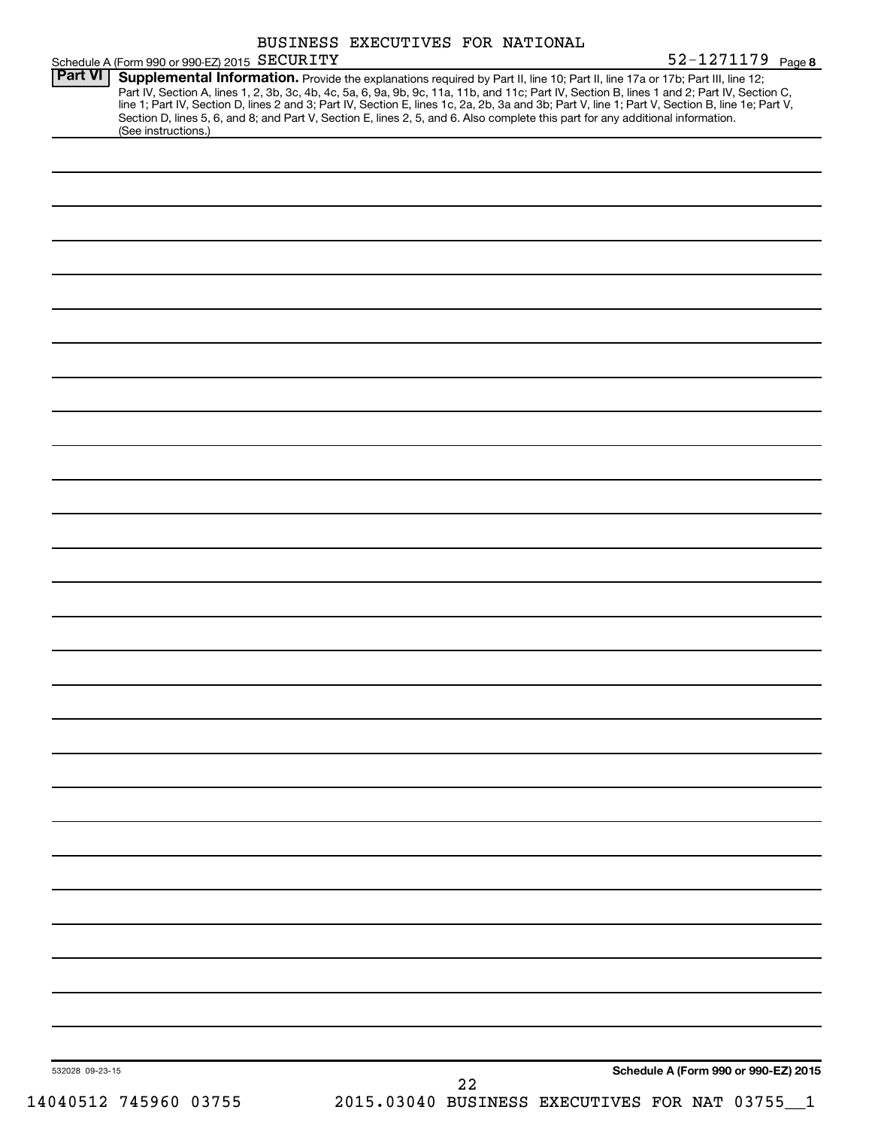| <b>Part VI</b>  | Schedule A (Form 990 or 990-EZ) 2015 SECURITY<br>Supplemental Information. Provide the explanations required by Part II, line 10; Part II, line 17a or 17b; Part III, line 12; |  |  | 52-1271179 Page 8                                                                                                                                                                                                                                                                               |
|-----------------|--------------------------------------------------------------------------------------------------------------------------------------------------------------------------------|--|--|-------------------------------------------------------------------------------------------------------------------------------------------------------------------------------------------------------------------------------------------------------------------------------------------------|
|                 | Section D, lines 5, 6, and 8; and Part V, Section E, lines 2, 5, and 6. Also complete this part for any additional information.<br>(See instructions.)                         |  |  | Part IV, Section A, lines 1, 2, 3b, 3c, 4b, 4c, 5a, 6, 9a, 9b, 9c, 11a, 11b, and 11c; Part IV, Section B, lines 1 and 2; Part IV, Section C,<br>line 1; Part IV, Section D, lines 2 and 3; Part IV, Section E, lines 1c, 2a, 2b, 3a and 3b; Part V, line 1; Part V, Section B, line 1e; Part V, |
|                 |                                                                                                                                                                                |  |  |                                                                                                                                                                                                                                                                                                 |
|                 |                                                                                                                                                                                |  |  |                                                                                                                                                                                                                                                                                                 |
|                 |                                                                                                                                                                                |  |  |                                                                                                                                                                                                                                                                                                 |
|                 |                                                                                                                                                                                |  |  |                                                                                                                                                                                                                                                                                                 |
|                 |                                                                                                                                                                                |  |  |                                                                                                                                                                                                                                                                                                 |
|                 |                                                                                                                                                                                |  |  |                                                                                                                                                                                                                                                                                                 |
|                 |                                                                                                                                                                                |  |  |                                                                                                                                                                                                                                                                                                 |
|                 |                                                                                                                                                                                |  |  |                                                                                                                                                                                                                                                                                                 |
|                 |                                                                                                                                                                                |  |  |                                                                                                                                                                                                                                                                                                 |
|                 |                                                                                                                                                                                |  |  |                                                                                                                                                                                                                                                                                                 |
|                 |                                                                                                                                                                                |  |  |                                                                                                                                                                                                                                                                                                 |
|                 |                                                                                                                                                                                |  |  |                                                                                                                                                                                                                                                                                                 |
|                 |                                                                                                                                                                                |  |  |                                                                                                                                                                                                                                                                                                 |
|                 |                                                                                                                                                                                |  |  |                                                                                                                                                                                                                                                                                                 |
|                 |                                                                                                                                                                                |  |  |                                                                                                                                                                                                                                                                                                 |
|                 |                                                                                                                                                                                |  |  |                                                                                                                                                                                                                                                                                                 |
|                 |                                                                                                                                                                                |  |  |                                                                                                                                                                                                                                                                                                 |
|                 |                                                                                                                                                                                |  |  |                                                                                                                                                                                                                                                                                                 |
|                 |                                                                                                                                                                                |  |  |                                                                                                                                                                                                                                                                                                 |
|                 |                                                                                                                                                                                |  |  |                                                                                                                                                                                                                                                                                                 |
|                 |                                                                                                                                                                                |  |  |                                                                                                                                                                                                                                                                                                 |
|                 |                                                                                                                                                                                |  |  |                                                                                                                                                                                                                                                                                                 |
|                 |                                                                                                                                                                                |  |  |                                                                                                                                                                                                                                                                                                 |
|                 |                                                                                                                                                                                |  |  |                                                                                                                                                                                                                                                                                                 |
|                 |                                                                                                                                                                                |  |  |                                                                                                                                                                                                                                                                                                 |
|                 |                                                                                                                                                                                |  |  |                                                                                                                                                                                                                                                                                                 |
|                 |                                                                                                                                                                                |  |  |                                                                                                                                                                                                                                                                                                 |
|                 |                                                                                                                                                                                |  |  |                                                                                                                                                                                                                                                                                                 |
|                 |                                                                                                                                                                                |  |  |                                                                                                                                                                                                                                                                                                 |
|                 |                                                                                                                                                                                |  |  |                                                                                                                                                                                                                                                                                                 |
|                 |                                                                                                                                                                                |  |  |                                                                                                                                                                                                                                                                                                 |
|                 |                                                                                                                                                                                |  |  |                                                                                                                                                                                                                                                                                                 |
|                 |                                                                                                                                                                                |  |  |                                                                                                                                                                                                                                                                                                 |
|                 |                                                                                                                                                                                |  |  |                                                                                                                                                                                                                                                                                                 |
| 532028 09-23-15 |                                                                                                                                                                                |  |  | Schedule A (Form 990 or 990-EZ) 2015                                                                                                                                                                                                                                                            |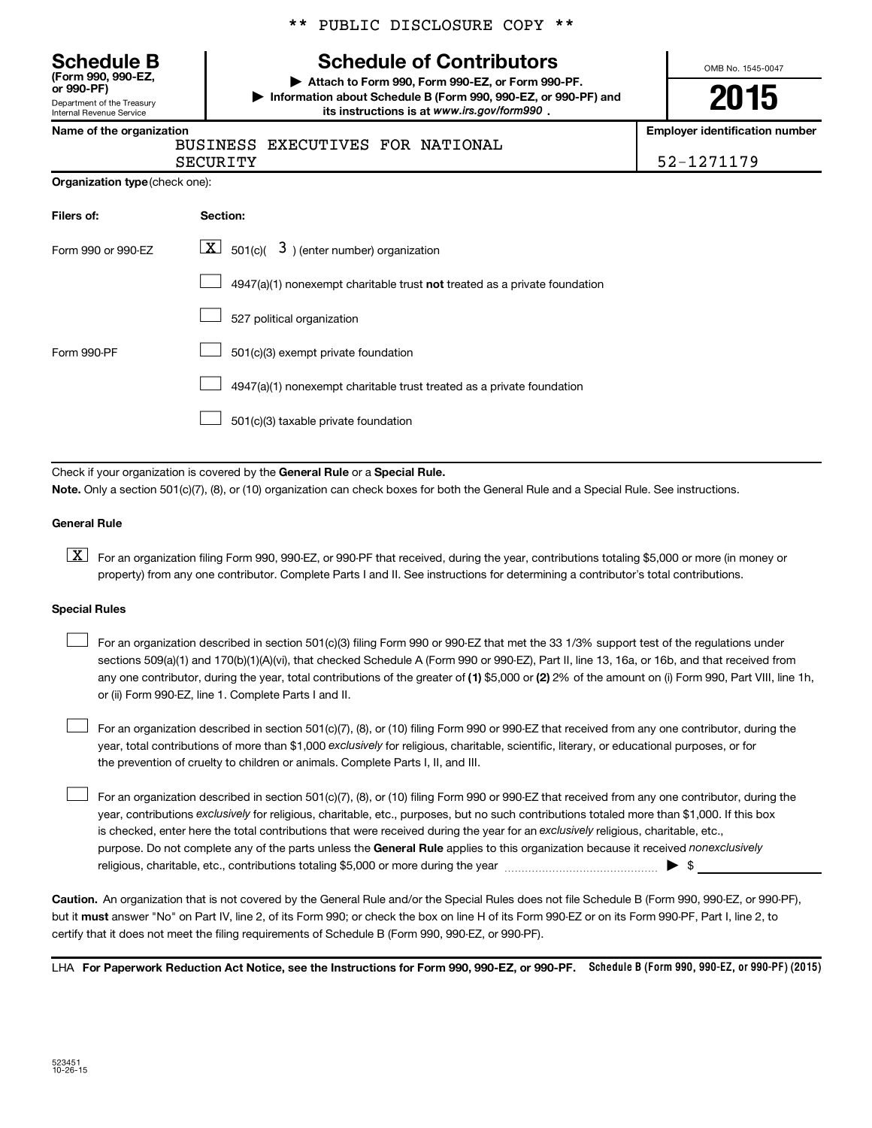\*\* PUBLIC DISCLOSURE COPY \*\*

## **Schedule B Schedule of Contributors**

**or 990-PF) | Attach to Form 990, Form 990-EZ, or Form 990-PF. | Information about Schedule B (Form 990, 990-EZ, or 990-PF) and** its instructions is at www.irs.gov/form990.

OMB No. 1545-0047

# **2015**

**Employer identification number** 

| Name of the organization |  |  |
|--------------------------|--|--|
|                          |  |  |

Department of the Treasury Internal Revenue Service

**(Form 990, 990-EZ,**

## BUSINESS EXECUTIVES FOR NATIONAL

SECURITY 52-1271179

|  | Organization type (check one): |
|--|--------------------------------|
|--|--------------------------------|

| Filers of:         | Section:                                                                  |
|--------------------|---------------------------------------------------------------------------|
| Form 990 or 990-EZ | $\boxed{\textbf{X}}$ 501(c)( 3) (enter number) organization               |
|                    | 4947(a)(1) nonexempt charitable trust not treated as a private foundation |
|                    | 527 political organization                                                |
| Form 990-PF        | 501(c)(3) exempt private foundation                                       |
|                    | 4947(a)(1) nonexempt charitable trust treated as a private foundation     |
|                    | 501(c)(3) taxable private foundation                                      |

Check if your organization is covered by the General Rule or a Special Rule.

**Note.**  Only a section 501(c)(7), (8), or (10) organization can check boxes for both the General Rule and a Special Rule. See instructions.

#### **General Rule**

**K** For an organization filing Form 990, 990-EZ, or 990-PF that received, during the year, contributions totaling \$5,000 or more (in money or property) from any one contributor. Complete Parts I and II. See instructions for determining a contributor's total contributions.

#### **Special Rules**

 $\Box$ 

any one contributor, during the year, total contributions of the greater of **(1)** \$5,000 or **(2)** 2% of the amount on (i) Form 990, Part VIII, line 1h, For an organization described in section 501(c)(3) filing Form 990 or 990-EZ that met the 33 1/3% support test of the regulations under sections 509(a)(1) and 170(b)(1)(A)(vi), that checked Schedule A (Form 990 or 990-EZ), Part II, line 13, 16a, or 16b, and that received from or (ii) Form 990-EZ, line 1. Complete Parts I and II.  $\Box$ 

year, total contributions of more than \$1,000 *exclusively* for religious, charitable, scientific, literary, or educational purposes, or for For an organization described in section 501(c)(7), (8), or (10) filing Form 990 or 990-EZ that received from any one contributor, during the the prevention of cruelty to children or animals. Complete Parts I, II, and III.  $\Box$ 

purpose. Do not complete any of the parts unless the General Rule applies to this organization because it received nonexclusively year, contributions exclusively for religious, charitable, etc., purposes, but no such contributions totaled more than \$1,000. If this box is checked, enter here the total contributions that were received during the year for an exclusively religious, charitable, etc., For an organization described in section 501(c)(7), (8), or (10) filing Form 990 or 990-EZ that received from any one contributor, during the religious, charitable, etc., contributions totaling \$5,000 or more during the year  $\ldots$  $\ldots$  $\ldots$  $\ldots$  $\ldots$  $\ldots$ 

**Caution.** An organization that is not covered by the General Rule and/or the Special Rules does not file Schedule B (Form 990, 990-EZ, or 990-PF),  **must** but it answer "No" on Part IV, line 2, of its Form 990; or check the box on line H of its Form 990-EZ or on its Form 990-PF, Part I, line 2, to certify that it does not meet the filing requirements of Schedule B (Form 990, 990-EZ, or 990-PF).

LHA For Paperwork Reduction Act Notice, see the Instructions for Form 990, 990-EZ, or 990-PF. Schedule B (Form 990, 990-EZ, or 990-PF) (2015)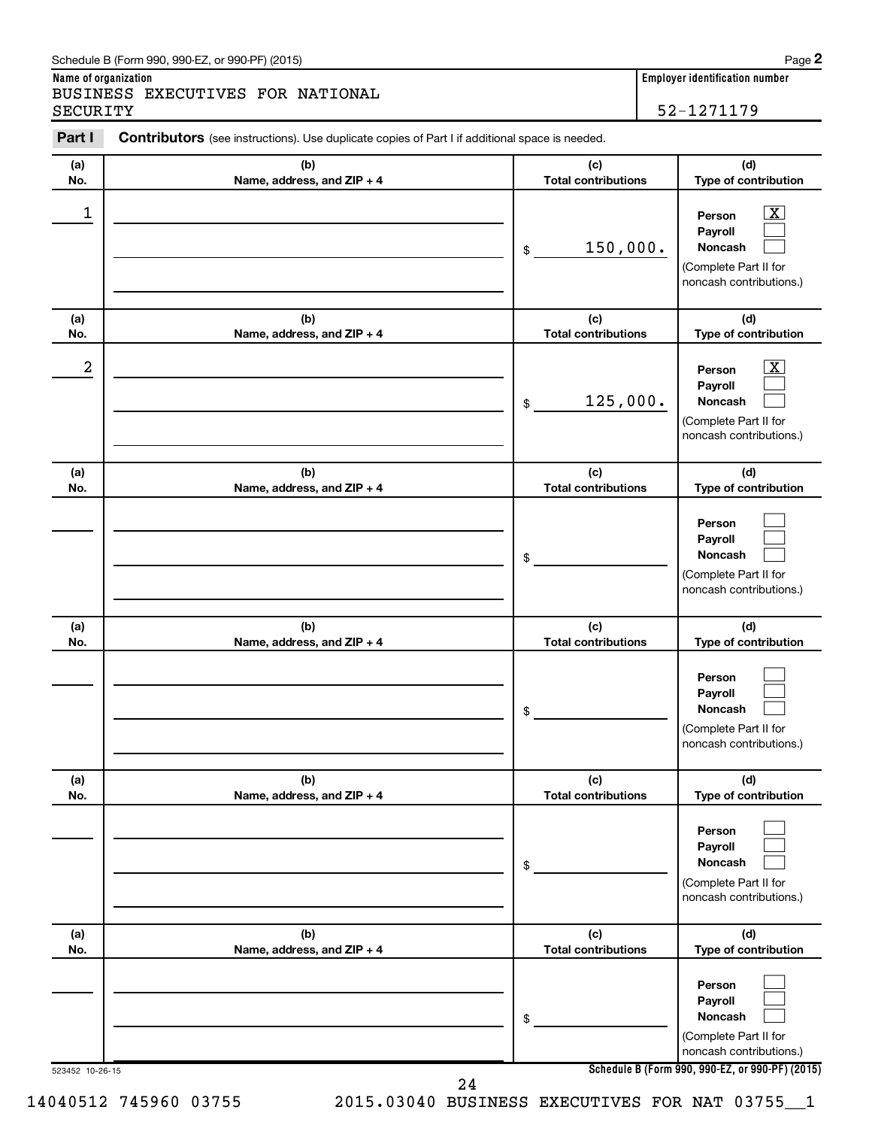#### Schedule B (Form 990, 990-EZ, or 990-PF) (2015)

**Name of organization Employer identification number** BUSINESS EXECUTIVES FOR NATIONAL SECURITY FOR THE SECURITY SECURITY SECURITY SECURITY

**Part I** Contributors (see instructions). Use duplicate copies of Part I if additional space is needed.

#### **(a) No. (b) Name, address, and ZIP + 4 (c) Total contributions (d) Type of contribution Person Payroll Noncash (a) No. (b) Name, address, and ZIP + 4 (c) Total contributions (d) Type of contribution Person Payroll Noncash (a) No. (b) Name, address, and ZIP + 4 (c) Total contributions (d) Type of contribution Person Payroll Noncash (a) No. (b) Name, address, and ZIP + 4 (c) Total contributions (d) Type of contribution Person Payroll Noncash (a) No. (b) Name, address, and ZIP + 4 (c) Total contributions (d) Type of contribution Person Payroll Noncash (a) No. (b) Name, address, and ZIP + 4 (c) Total contributions (d) Type of contribution Person Payroll Noncash** \$ (Complete Part II for noncash contributions.) \$ (Complete Part II for noncash contributions.) \$ (Complete Part II for noncash contributions.) \$ (Complete Part II for noncash contributions.) \$ (Complete Part II for noncash contributions.) \$ (Complete Part II for  $\boxed{\textbf{X}}$  $\Box$  $\Box$  $\overline{\mathbf{X}}$  $\Box$  $\Box$  $\Box$  $\Box$  $\Box$  $\Box$  $\Box$  $\Box$  $\Box$  $\Box$  $\Box$  $\Box$  $\Box$  $\Box$  $\begin{array}{|c|c|c|c|c|}\hline \ \text{1} & \text{Person} & \text{X} \ \hline \end{array}$ 150,000.  $2$  Person  $\overline{\text{X}}$ 125,000.

523452 10-26-15

**Schedule B (Form 990, 990-EZ, or 990-PF) (2015)**

noncash contributions.)

24

14040512 745960 03755 2015.03040 BUSINESS EXECUTIVES FOR NAT 03755\_\_1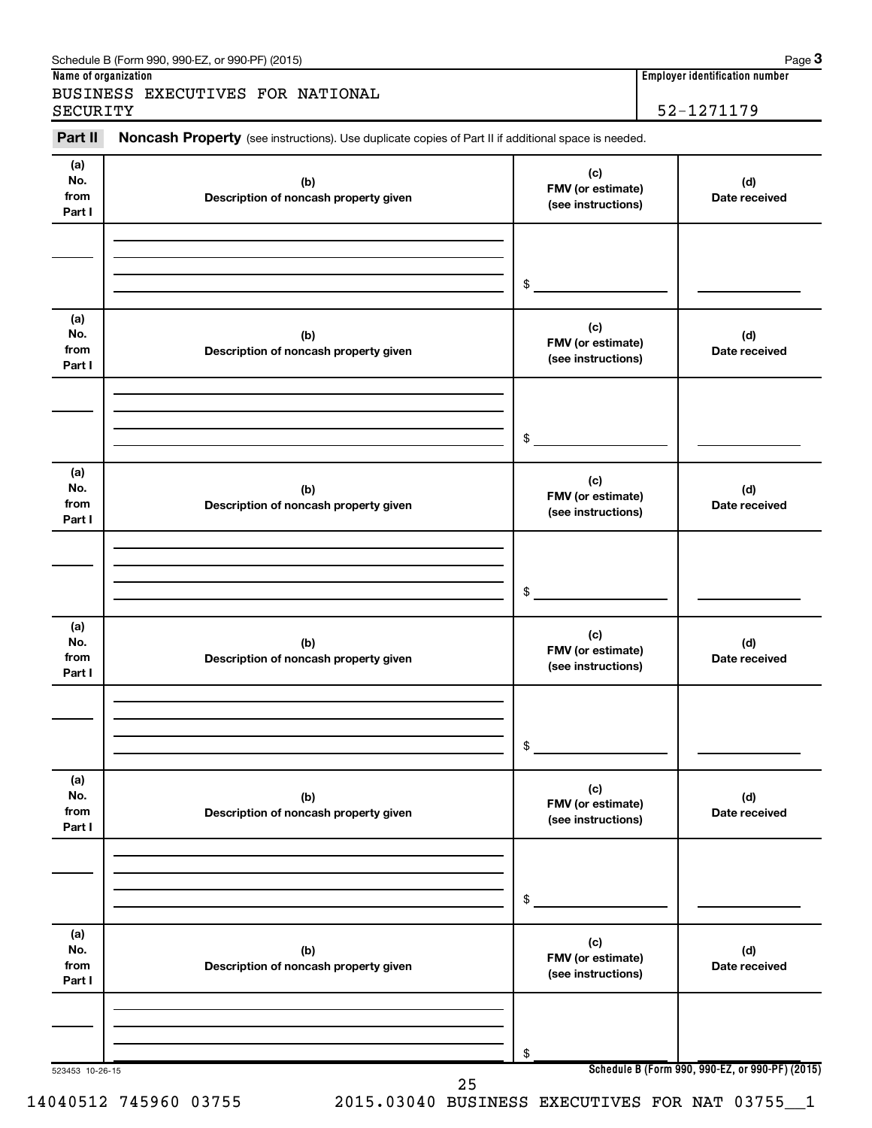| Page 3<br>Schedule B (Form 990, 990-EZ, or 990-PF) (2015)                                                             |                                                       |                                       |  |  |  |  |  |
|-----------------------------------------------------------------------------------------------------------------------|-------------------------------------------------------|---------------------------------------|--|--|--|--|--|
| Name of organization                                                                                                  |                                                       | <b>Employer identification number</b> |  |  |  |  |  |
| BUSINESS EXECUTIVES FOR NATIONAL                                                                                      |                                                       |                                       |  |  |  |  |  |
| SECURITY                                                                                                              | 52-1271179                                            |                                       |  |  |  |  |  |
| Part II<br><b>Noncash Property</b> (see instructions). Use duplicate copies of Part II if additional space is needed. |                                                       |                                       |  |  |  |  |  |
| (a)<br>No.<br>(b)<br>from<br>Description of noncash property given<br>Part I                                          | (c)<br><b>FMV</b> (or estimate)<br>(see instructions) | (d)<br>Date received                  |  |  |  |  |  |
|                                                                                                                       |                                                       |                                       |  |  |  |  |  |

|                              |                                              | \$                                             |                      |
|------------------------------|----------------------------------------------|------------------------------------------------|----------------------|
| (a)<br>No.<br>from<br>Part I | (b)<br>Description of noncash property given | (c)<br>FMV (or estimate)<br>(see instructions) | (d)<br>Date received |
|                              |                                              | \$                                             |                      |
| (a)<br>No.<br>from<br>Part I | (b)<br>Description of noncash property given | (c)<br>FMV (or estimate)<br>(see instructions) | (d)<br>Date received |
|                              |                                              | \$                                             |                      |
| (a)<br>No.<br>from<br>Part I | (b)<br>Description of noncash property given | (c)<br>FMV (or estimate)<br>(see instructions) | (d)<br>Date received |
|                              |                                              | \$                                             |                      |
| (a)<br>No.<br>from<br>Part I | (b)<br>Description of noncash property given | (c)<br>FMV (or estimate)<br>(see instructions) | (d)<br>Date received |
|                              |                                              | \$                                             |                      |
| (a)<br>No.<br>from<br>Part I | (b)<br>Description of noncash property given | (c)<br>FMV (or estimate)<br>(see instructions) | (d)<br>Date received |
|                              |                                              |                                                |                      |

#### 523453 10-26-15

**Schedule B (Form 990, 990-EZ, or 990-PF) (2015)**

25

14040512 745960 03755 2015.03040 BUSINESS EXECUTIVES FOR NAT 03755\_\_1

\$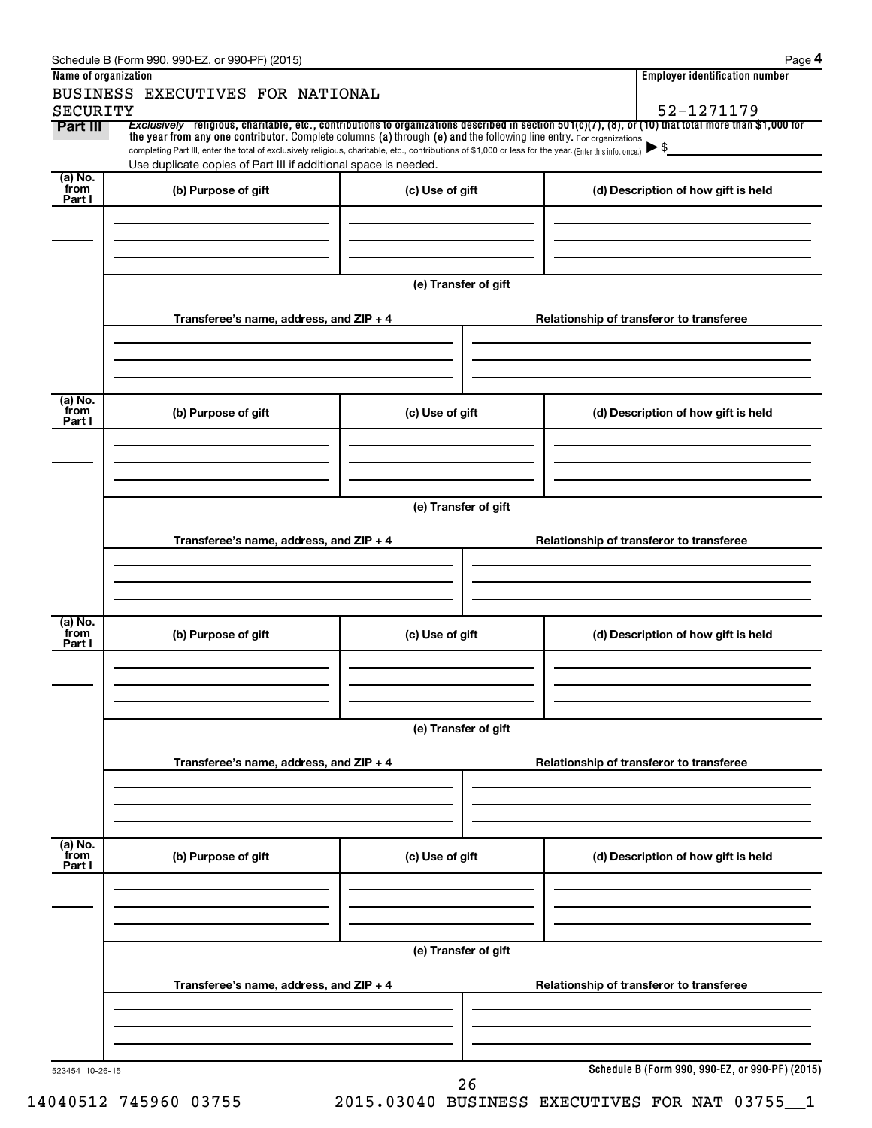|                             | BUSINESS EXECUTIVES FOR NATIONAL                                                                                                                                                                                                                                                |                      |                                          |                                                 |  |  |  |  |
|-----------------------------|---------------------------------------------------------------------------------------------------------------------------------------------------------------------------------------------------------------------------------------------------------------------------------|----------------------|------------------------------------------|-------------------------------------------------|--|--|--|--|
| <b>SECURITY</b><br>Part III | Exclusively religious, charitable, etc., contributions to organizations described in section 501(c)(7), (8), or (10) that total more than \$1,000 for                                                                                                                           |                      |                                          | 52-1271179                                      |  |  |  |  |
|                             | the year from any one contributor. Complete columns (a) through (e) and the following line entry. For organizations<br>completing Part III, enter the total of exclusively religious, charitable, etc., contributions of \$1,000 or less for the year. (Enter this info. once.) |                      |                                          | $\blacktriangleright$ \$                        |  |  |  |  |
|                             | Use duplicate copies of Part III if additional space is needed.                                                                                                                                                                                                                 |                      |                                          |                                                 |  |  |  |  |
| (a) No.<br>`from            | (b) Purpose of gift                                                                                                                                                                                                                                                             | (c) Use of gift      |                                          | (d) Description of how gift is held             |  |  |  |  |
| Part I                      |                                                                                                                                                                                                                                                                                 |                      |                                          |                                                 |  |  |  |  |
|                             |                                                                                                                                                                                                                                                                                 |                      |                                          |                                                 |  |  |  |  |
|                             |                                                                                                                                                                                                                                                                                 |                      |                                          |                                                 |  |  |  |  |
|                             |                                                                                                                                                                                                                                                                                 | (e) Transfer of gift |                                          |                                                 |  |  |  |  |
|                             | Transferee's name, address, and ZIP + 4                                                                                                                                                                                                                                         |                      | Relationship of transferor to transferee |                                                 |  |  |  |  |
|                             |                                                                                                                                                                                                                                                                                 |                      |                                          |                                                 |  |  |  |  |
|                             |                                                                                                                                                                                                                                                                                 |                      |                                          |                                                 |  |  |  |  |
|                             |                                                                                                                                                                                                                                                                                 |                      |                                          |                                                 |  |  |  |  |
| (a) No.<br>`from<br>Part I  | (b) Purpose of gift                                                                                                                                                                                                                                                             | (c) Use of gift      |                                          | (d) Description of how gift is held             |  |  |  |  |
|                             |                                                                                                                                                                                                                                                                                 |                      |                                          |                                                 |  |  |  |  |
|                             |                                                                                                                                                                                                                                                                                 |                      |                                          |                                                 |  |  |  |  |
|                             |                                                                                                                                                                                                                                                                                 |                      |                                          |                                                 |  |  |  |  |
|                             | (e) Transfer of gift                                                                                                                                                                                                                                                            |                      |                                          |                                                 |  |  |  |  |
|                             | Transferee's name, address, and ZIP + 4                                                                                                                                                                                                                                         |                      |                                          | Relationship of transferor to transferee        |  |  |  |  |
|                             |                                                                                                                                                                                                                                                                                 |                      |                                          |                                                 |  |  |  |  |
|                             |                                                                                                                                                                                                                                                                                 |                      |                                          |                                                 |  |  |  |  |
| (a) No.                     |                                                                                                                                                                                                                                                                                 |                      |                                          |                                                 |  |  |  |  |
| `from<br>Part I             | (b) Purpose of gift                                                                                                                                                                                                                                                             | (c) Use of gift      |                                          | (d) Description of how gift is held             |  |  |  |  |
|                             |                                                                                                                                                                                                                                                                                 |                      |                                          |                                                 |  |  |  |  |
|                             |                                                                                                                                                                                                                                                                                 |                      |                                          |                                                 |  |  |  |  |
|                             |                                                                                                                                                                                                                                                                                 |                      |                                          |                                                 |  |  |  |  |
|                             | (e) Transfer of gift                                                                                                                                                                                                                                                            |                      |                                          |                                                 |  |  |  |  |
|                             | Transferee's name, address, and ZIP + 4                                                                                                                                                                                                                                         |                      | Relationship of transferor to transferee |                                                 |  |  |  |  |
|                             |                                                                                                                                                                                                                                                                                 |                      |                                          |                                                 |  |  |  |  |
|                             |                                                                                                                                                                                                                                                                                 |                      |                                          |                                                 |  |  |  |  |
| (a) No.<br>from             | (b) Purpose of gift                                                                                                                                                                                                                                                             | (c) Use of gift      |                                          | (d) Description of how gift is held             |  |  |  |  |
| Part I                      |                                                                                                                                                                                                                                                                                 |                      |                                          |                                                 |  |  |  |  |
|                             |                                                                                                                                                                                                                                                                                 |                      |                                          |                                                 |  |  |  |  |
|                             |                                                                                                                                                                                                                                                                                 |                      |                                          |                                                 |  |  |  |  |
|                             | (e) Transfer of gift                                                                                                                                                                                                                                                            |                      |                                          |                                                 |  |  |  |  |
|                             | Transferee's name, address, and ZIP + 4                                                                                                                                                                                                                                         |                      |                                          | Relationship of transferor to transferee        |  |  |  |  |
|                             |                                                                                                                                                                                                                                                                                 |                      |                                          |                                                 |  |  |  |  |
|                             |                                                                                                                                                                                                                                                                                 |                      |                                          |                                                 |  |  |  |  |
|                             |                                                                                                                                                                                                                                                                                 |                      |                                          |                                                 |  |  |  |  |
| 523454 10-26-15             |                                                                                                                                                                                                                                                                                 | 26                   |                                          | Schedule B (Form 990, 990-EZ, or 990-PF) (2015) |  |  |  |  |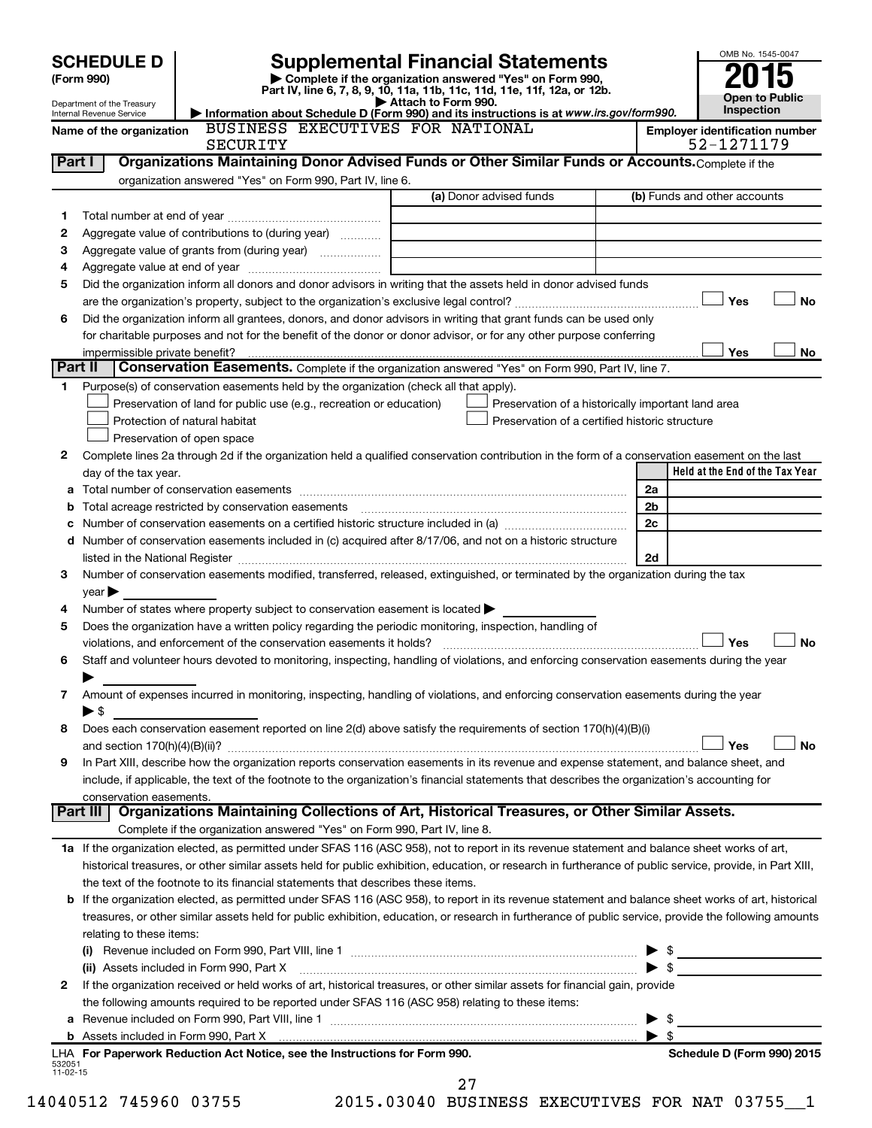|                                                                                                                                         |                                                                                                                                                                                                                                                                                                                                                                   |                          | OMB No. 1545-0047                                   |  |  |  |  |
|-----------------------------------------------------------------------------------------------------------------------------------------|-------------------------------------------------------------------------------------------------------------------------------------------------------------------------------------------------------------------------------------------------------------------------------------------------------------------------------------------------------------------|--------------------------|-----------------------------------------------------|--|--|--|--|
| <b>Supplemental Financial Statements</b><br><b>SCHEDULE D</b><br>Complete if the organization answered "Yes" on Form 990,<br>(Form 990) |                                                                                                                                                                                                                                                                                                                                                                   |                          |                                                     |  |  |  |  |
|                                                                                                                                         | Part IV, line 6, 7, 8, 9, 10, 11a, 11b, 11c, 11d, 11e, 11f, 12a, or 12b.<br>Attach to Form 990.<br>Department of the Treasury                                                                                                                                                                                                                                     |                          |                                                     |  |  |  |  |
|                                                                                                                                         | Information about Schedule D (Form 990) and its instructions is at www.irs.gov/form990.<br>Internal Revenue Service                                                                                                                                                                                                                                               |                          | <b>Inspection</b>                                   |  |  |  |  |
|                                                                                                                                         | BUSINESS EXECUTIVES FOR NATIONAL<br>Name of the organization<br><b>SECURITY</b>                                                                                                                                                                                                                                                                                   |                          | <b>Employer identification number</b><br>52-1271179 |  |  |  |  |
|                                                                                                                                         | Organizations Maintaining Donor Advised Funds or Other Similar Funds or Accounts. Complete if the<br>Part I                                                                                                                                                                                                                                                       |                          |                                                     |  |  |  |  |
|                                                                                                                                         | organization answered "Yes" on Form 990, Part IV, line 6.                                                                                                                                                                                                                                                                                                         |                          |                                                     |  |  |  |  |
|                                                                                                                                         | (a) Donor advised funds                                                                                                                                                                                                                                                                                                                                           |                          | (b) Funds and other accounts                        |  |  |  |  |
| 1<br>2                                                                                                                                  | Aggregate value of contributions to (during year)                                                                                                                                                                                                                                                                                                                 |                          |                                                     |  |  |  |  |
| З                                                                                                                                       |                                                                                                                                                                                                                                                                                                                                                                   |                          |                                                     |  |  |  |  |
| 4                                                                                                                                       |                                                                                                                                                                                                                                                                                                                                                                   |                          |                                                     |  |  |  |  |
| 5                                                                                                                                       | Did the organization inform all donors and donor advisors in writing that the assets held in donor advised funds                                                                                                                                                                                                                                                  |                          |                                                     |  |  |  |  |
|                                                                                                                                         |                                                                                                                                                                                                                                                                                                                                                                   |                          | Yes<br><b>No</b>                                    |  |  |  |  |
| 6                                                                                                                                       | Did the organization inform all grantees, donors, and donor advisors in writing that grant funds can be used only                                                                                                                                                                                                                                                 |                          |                                                     |  |  |  |  |
|                                                                                                                                         | for charitable purposes and not for the benefit of the donor or donor advisor, or for any other purpose conferring                                                                                                                                                                                                                                                |                          |                                                     |  |  |  |  |
|                                                                                                                                         | impermissible private benefit?<br>Part II                                                                                                                                                                                                                                                                                                                         |                          | Yes<br>No                                           |  |  |  |  |
| 1                                                                                                                                       | Conservation Easements. Complete if the organization answered "Yes" on Form 990, Part IV, line 7.<br>Purpose(s) of conservation easements held by the organization (check all that apply).                                                                                                                                                                        |                          |                                                     |  |  |  |  |
|                                                                                                                                         | Preservation of land for public use (e.g., recreation or education)<br>Preservation of a historically important land area                                                                                                                                                                                                                                         |                          |                                                     |  |  |  |  |
|                                                                                                                                         | Protection of natural habitat<br>Preservation of a certified historic structure                                                                                                                                                                                                                                                                                   |                          |                                                     |  |  |  |  |
|                                                                                                                                         | Preservation of open space                                                                                                                                                                                                                                                                                                                                        |                          |                                                     |  |  |  |  |
| 2                                                                                                                                       | Complete lines 2a through 2d if the organization held a qualified conservation contribution in the form of a conservation easement on the last                                                                                                                                                                                                                    |                          |                                                     |  |  |  |  |
|                                                                                                                                         | day of the tax year.                                                                                                                                                                                                                                                                                                                                              |                          | Held at the End of the Tax Year                     |  |  |  |  |
| a                                                                                                                                       |                                                                                                                                                                                                                                                                                                                                                                   | 2a                       |                                                     |  |  |  |  |
| b                                                                                                                                       | Total acreage restricted by conservation easements                                                                                                                                                                                                                                                                                                                | 2 <sub>b</sub>           |                                                     |  |  |  |  |
| с                                                                                                                                       | Number of conservation easements on a certified historic structure included in (a) manufacture included in (a)                                                                                                                                                                                                                                                    | 2c                       |                                                     |  |  |  |  |
|                                                                                                                                         | d Number of conservation easements included in (c) acquired after 8/17/06, and not on a historic structure                                                                                                                                                                                                                                                        |                          |                                                     |  |  |  |  |
| 3                                                                                                                                       | listed in the National Register [111] Marshall Register [11] Marshall Register [11] Marshall Register [11] Marshall Register [11] Marshall Register [11] Marshall Register [11] Marshall Register [11] Marshall Register [11]<br>Number of conservation easements modified, transferred, released, extinguished, or terminated by the organization during the tax | 2d                       |                                                     |  |  |  |  |
|                                                                                                                                         | $year \triangleright$                                                                                                                                                                                                                                                                                                                                             |                          |                                                     |  |  |  |  |
| 4                                                                                                                                       | Number of states where property subject to conservation easement is located $\blacktriangleright$                                                                                                                                                                                                                                                                 |                          |                                                     |  |  |  |  |
| 5                                                                                                                                       | Does the organization have a written policy regarding the periodic monitoring, inspection, handling of                                                                                                                                                                                                                                                            |                          |                                                     |  |  |  |  |
|                                                                                                                                         | violations, and enforcement of the conservation easements it holds?                                                                                                                                                                                                                                                                                               |                          | Yes<br><b>No</b>                                    |  |  |  |  |
| 6                                                                                                                                       | Staff and volunteer hours devoted to monitoring, inspecting, handling of violations, and enforcing conservation easements during the year                                                                                                                                                                                                                         |                          |                                                     |  |  |  |  |
|                                                                                                                                         |                                                                                                                                                                                                                                                                                                                                                                   |                          |                                                     |  |  |  |  |
| 7                                                                                                                                       | Amount of expenses incurred in monitoring, inspecting, handling of violations, and enforcing conservation easements during the year                                                                                                                                                                                                                               |                          |                                                     |  |  |  |  |
| 8                                                                                                                                       | $\blacktriangleright$ \$                                                                                                                                                                                                                                                                                                                                          |                          |                                                     |  |  |  |  |
|                                                                                                                                         | Does each conservation easement reported on line $2(d)$ above satisfy the requirements of section 170(h)(4)(B)(i)                                                                                                                                                                                                                                                 |                          | Yes<br><b>No</b>                                    |  |  |  |  |
| 9                                                                                                                                       | In Part XIII, describe how the organization reports conservation easements in its revenue and expense statement, and balance sheet, and                                                                                                                                                                                                                           |                          |                                                     |  |  |  |  |
|                                                                                                                                         | include, if applicable, the text of the footnote to the organization's financial statements that describes the organization's accounting for                                                                                                                                                                                                                      |                          |                                                     |  |  |  |  |
|                                                                                                                                         | conservation easements.                                                                                                                                                                                                                                                                                                                                           |                          |                                                     |  |  |  |  |
|                                                                                                                                         | Part III   Organizations Maintaining Collections of Art, Historical Treasures, or Other Similar Assets.                                                                                                                                                                                                                                                           |                          |                                                     |  |  |  |  |
|                                                                                                                                         | Complete if the organization answered "Yes" on Form 990, Part IV, line 8.                                                                                                                                                                                                                                                                                         |                          |                                                     |  |  |  |  |
|                                                                                                                                         | 1a If the organization elected, as permitted under SFAS 116 (ASC 958), not to report in its revenue statement and balance sheet works of art,                                                                                                                                                                                                                     |                          |                                                     |  |  |  |  |
|                                                                                                                                         | historical treasures, or other similar assets held for public exhibition, education, or research in furtherance of public service, provide, in Part XIII,<br>the text of the footnote to its financial statements that describes these items.                                                                                                                     |                          |                                                     |  |  |  |  |
|                                                                                                                                         | <b>b</b> If the organization elected, as permitted under SFAS 116 (ASC 958), to report in its revenue statement and balance sheet works of art, historical                                                                                                                                                                                                        |                          |                                                     |  |  |  |  |
|                                                                                                                                         | treasures, or other similar assets held for public exhibition, education, or research in furtherance of public service, provide the following amounts                                                                                                                                                                                                             |                          |                                                     |  |  |  |  |
|                                                                                                                                         | relating to these items:                                                                                                                                                                                                                                                                                                                                          |                          |                                                     |  |  |  |  |
|                                                                                                                                         |                                                                                                                                                                                                                                                                                                                                                                   | - \$                     |                                                     |  |  |  |  |
|                                                                                                                                         |                                                                                                                                                                                                                                                                                                                                                                   | $\blacktriangleright$ \$ |                                                     |  |  |  |  |
| 2                                                                                                                                       | If the organization received or held works of art, historical treasures, or other similar assets for financial gain, provide                                                                                                                                                                                                                                      |                          |                                                     |  |  |  |  |
|                                                                                                                                         | the following amounts required to be reported under SFAS 116 (ASC 958) relating to these items:                                                                                                                                                                                                                                                                   |                          |                                                     |  |  |  |  |
| а                                                                                                                                       |                                                                                                                                                                                                                                                                                                                                                                   | - \$<br>▶                |                                                     |  |  |  |  |
|                                                                                                                                         | LHA For Paperwork Reduction Act Notice, see the Instructions for Form 990.                                                                                                                                                                                                                                                                                        | $\blacktriangleright$ s  | Schedule D (Form 990) 2015                          |  |  |  |  |
| 532051                                                                                                                                  |                                                                                                                                                                                                                                                                                                                                                                   |                          |                                                     |  |  |  |  |
| 11-02-15                                                                                                                                | 27                                                                                                                                                                                                                                                                                                                                                                |                          |                                                     |  |  |  |  |

|  |  |  | 14040512 745960 0375 |  |  |  |  |
|--|--|--|----------------------|--|--|--|--|
|  |  |  |                      |  |  |  |  |

 $15$  2015.03040 BUSINESS EXECUTIVES FOR NAT 03755 $\_\_1$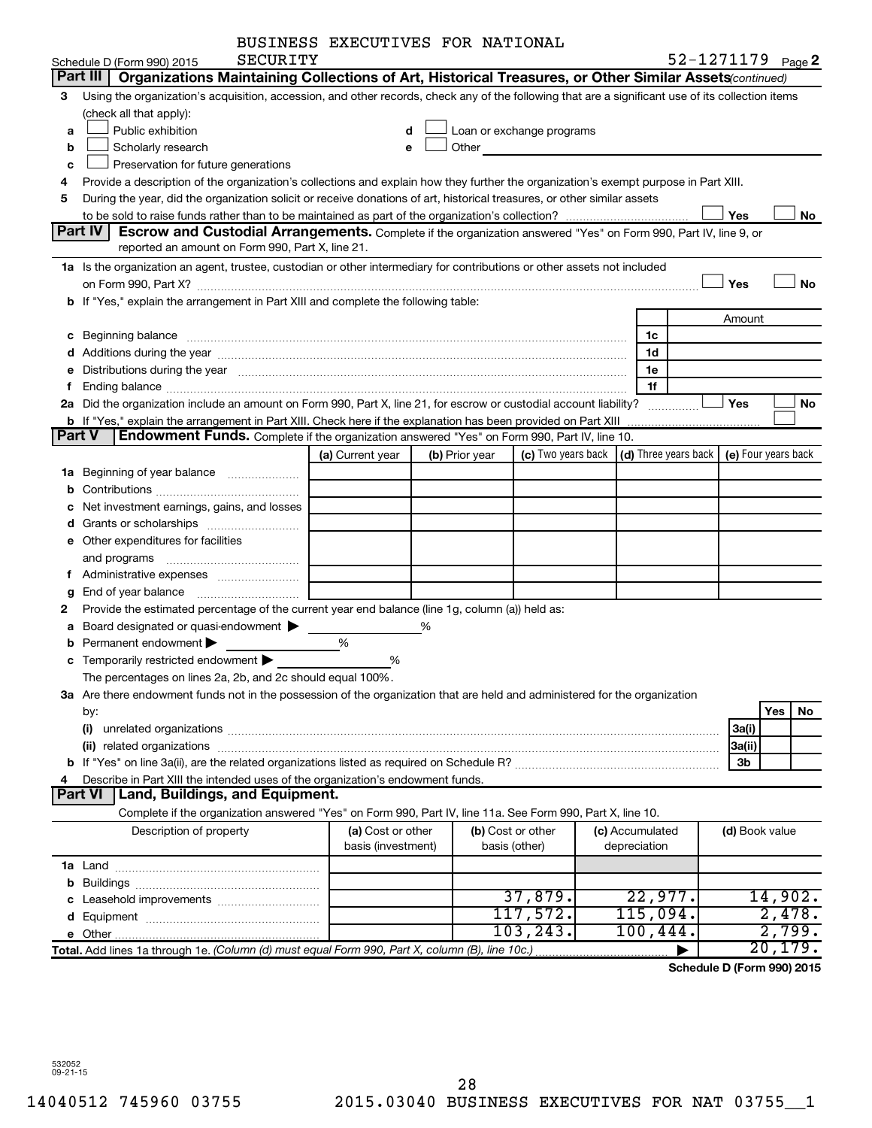| BUSINESS EXECUTIVES FOR NATIONAL |  |
|----------------------------------|--|
|                                  |  |

|               | SECURITY<br>Schedule D (Form 990) 2015                                                                                                                                                                                         |                    |                |                   |                                                                                                                                                                                                                               |                      |                     | 52-1271179 Page 2 |
|---------------|--------------------------------------------------------------------------------------------------------------------------------------------------------------------------------------------------------------------------------|--------------------|----------------|-------------------|-------------------------------------------------------------------------------------------------------------------------------------------------------------------------------------------------------------------------------|----------------------|---------------------|-------------------|
|               | Part III   Organizations Maintaining Collections of Art, Historical Treasures, or Other Similar Assets (continued)                                                                                                             |                    |                |                   |                                                                                                                                                                                                                               |                      |                     |                   |
| 3             | Using the organization's acquisition, accession, and other records, check any of the following that are a significant use of its collection items                                                                              |                    |                |                   |                                                                                                                                                                                                                               |                      |                     |                   |
|               | (check all that apply):                                                                                                                                                                                                        |                    |                |                   |                                                                                                                                                                                                                               |                      |                     |                   |
| a             | Public exhibition                                                                                                                                                                                                              | d                  |                |                   | Loan or exchange programs                                                                                                                                                                                                     |                      |                     |                   |
| b             | Scholarly research                                                                                                                                                                                                             | е                  |                |                   | Other and the contract of the contract of the contract of the contract of the contract of the contract of the contract of the contract of the contract of the contract of the contract of the contract of the contract of the |                      |                     |                   |
| c             | Preservation for future generations                                                                                                                                                                                            |                    |                |                   |                                                                                                                                                                                                                               |                      |                     |                   |
| 4             | Provide a description of the organization's collections and explain how they further the organization's exempt purpose in Part XIII.                                                                                           |                    |                |                   |                                                                                                                                                                                                                               |                      |                     |                   |
| 5             | During the year, did the organization solicit or receive donations of art, historical treasures, or other similar assets                                                                                                       |                    |                |                   |                                                                                                                                                                                                                               |                      |                     |                   |
|               |                                                                                                                                                                                                                                |                    |                |                   |                                                                                                                                                                                                                               |                      | Yes                 | No                |
|               | Part IV<br>Escrow and Custodial Arrangements. Complete if the organization answered "Yes" on Form 990, Part IV, line 9, or                                                                                                     |                    |                |                   |                                                                                                                                                                                                                               |                      |                     |                   |
|               | reported an amount on Form 990, Part X, line 21.                                                                                                                                                                               |                    |                |                   |                                                                                                                                                                                                                               |                      |                     |                   |
|               | 1a Is the organization an agent, trustee, custodian or other intermediary for contributions or other assets not included                                                                                                       |                    |                |                   |                                                                                                                                                                                                                               |                      |                     |                   |
|               |                                                                                                                                                                                                                                |                    |                |                   |                                                                                                                                                                                                                               |                      | Yes                 | <b>No</b>         |
|               | b If "Yes," explain the arrangement in Part XIII and complete the following table:                                                                                                                                             |                    |                |                   |                                                                                                                                                                                                                               |                      |                     |                   |
|               |                                                                                                                                                                                                                                |                    |                |                   |                                                                                                                                                                                                                               |                      | Amount              |                   |
|               | c Beginning balance measurements and the contract of the contract of the contract of the contract of the contract of the contract of the contract of the contract of the contract of the contract of the contract of the contr |                    |                |                   |                                                                                                                                                                                                                               | 1c                   |                     |                   |
|               |                                                                                                                                                                                                                                |                    |                |                   |                                                                                                                                                                                                                               | 1d                   |                     |                   |
|               | e Distributions during the year manufactured and contain an account of the year manufactured and the year manufactured and the year manufactured and the year manufactured and the year manufactured and the year manufactured |                    |                |                   |                                                                                                                                                                                                                               | 1e                   |                     |                   |
|               | Ending balance with a construction of the construction of the construction of the construction of the construction of the construction of the construction of the construction of the construction of the construction of the  |                    |                |                   |                                                                                                                                                                                                                               | 1f                   |                     |                   |
|               | 2a Did the organization include an amount on Form 990, Part X, line 21, for escrow or custodial account liability?                                                                                                             |                    |                |                   |                                                                                                                                                                                                                               |                      | Yes                 | No                |
| <b>Part V</b> | <b>b</b> If "Yes," explain the arrangement in Part XIII. Check here if the explanation has been provided on Part XIII<br>Endowment Funds. Complete if the organization answered "Yes" on Form 990, Part IV, line 10.           |                    |                |                   |                                                                                                                                                                                                                               |                      |                     |                   |
|               |                                                                                                                                                                                                                                | (a) Current year   | (b) Prior year |                   | (c) Two years back                                                                                                                                                                                                            | (d) Three years back | (e) Four years back |                   |
|               | 1a Beginning of year balance                                                                                                                                                                                                   |                    |                |                   |                                                                                                                                                                                                                               |                      |                     |                   |
|               |                                                                                                                                                                                                                                |                    |                |                   |                                                                                                                                                                                                                               |                      |                     |                   |
| с             | Net investment earnings, gains, and losses                                                                                                                                                                                     |                    |                |                   |                                                                                                                                                                                                                               |                      |                     |                   |
|               |                                                                                                                                                                                                                                |                    |                |                   |                                                                                                                                                                                                                               |                      |                     |                   |
|               | <b>e</b> Other expenditures for facilities                                                                                                                                                                                     |                    |                |                   |                                                                                                                                                                                                                               |                      |                     |                   |
|               | and programs                                                                                                                                                                                                                   |                    |                |                   |                                                                                                                                                                                                                               |                      |                     |                   |
| f.            |                                                                                                                                                                                                                                |                    |                |                   |                                                                                                                                                                                                                               |                      |                     |                   |
| g             |                                                                                                                                                                                                                                |                    |                |                   |                                                                                                                                                                                                                               |                      |                     |                   |
| 2             | Provide the estimated percentage of the current year end balance (line 1g, column (a)) held as:                                                                                                                                |                    |                |                   |                                                                                                                                                                                                                               |                      |                     |                   |
| а             | Board designated or quasi-endowment                                                                                                                                                                                            |                    | %              |                   |                                                                                                                                                                                                                               |                      |                     |                   |
| b             | Permanent endowment                                                                                                                                                                                                            | %                  |                |                   |                                                                                                                                                                                                                               |                      |                     |                   |
| c             | Temporarily restricted endowment                                                                                                                                                                                               | %                  |                |                   |                                                                                                                                                                                                                               |                      |                     |                   |
|               | The percentages on lines 2a, 2b, and 2c should equal 100%.                                                                                                                                                                     |                    |                |                   |                                                                                                                                                                                                                               |                      |                     |                   |
|               | 3a Are there endowment funds not in the possession of the organization that are held and administered for the organization                                                                                                     |                    |                |                   |                                                                                                                                                                                                                               |                      |                     |                   |
|               | by:                                                                                                                                                                                                                            |                    |                |                   |                                                                                                                                                                                                                               |                      |                     | Yes<br>No         |
|               | (i)                                                                                                                                                                                                                            |                    |                |                   |                                                                                                                                                                                                                               |                      | 3a(i)               |                   |
|               |                                                                                                                                                                                                                                |                    |                |                   |                                                                                                                                                                                                                               |                      | 3a(ii)              |                   |
|               |                                                                                                                                                                                                                                |                    |                |                   |                                                                                                                                                                                                                               |                      | 3b                  |                   |
| 4             | Describe in Part XIII the intended uses of the organization's endowment funds.                                                                                                                                                 |                    |                |                   |                                                                                                                                                                                                                               |                      |                     |                   |
|               | Part VI   Land, Buildings, and Equipment.                                                                                                                                                                                      |                    |                |                   |                                                                                                                                                                                                                               |                      |                     |                   |
|               | Complete if the organization answered "Yes" on Form 990, Part IV, line 11a. See Form 990, Part X, line 10.                                                                                                                     |                    |                |                   |                                                                                                                                                                                                                               |                      |                     |                   |
|               | Description of property                                                                                                                                                                                                        | (a) Cost or other  |                | (b) Cost or other |                                                                                                                                                                                                                               | (c) Accumulated      | (d) Book value      |                   |
|               |                                                                                                                                                                                                                                | basis (investment) |                | basis (other)     |                                                                                                                                                                                                                               | depreciation         |                     |                   |
|               |                                                                                                                                                                                                                                |                    |                |                   |                                                                                                                                                                                                                               |                      |                     |                   |
|               |                                                                                                                                                                                                                                |                    |                |                   |                                                                                                                                                                                                                               |                      |                     |                   |
|               |                                                                                                                                                                                                                                |                    |                |                   | 37,879.                                                                                                                                                                                                                       | 22,977.              |                     | 14,902.           |
|               |                                                                                                                                                                                                                                |                    |                |                   | 117,572.                                                                                                                                                                                                                      | 115,094.             |                     | 2,478.            |
|               |                                                                                                                                                                                                                                |                    |                |                   | 103, 243.                                                                                                                                                                                                                     | 100, 444.            |                     | 2,799.            |
|               | Total. Add lines 1a through 1e. (Column (d) must equal Form 990, Part X, column (B), line 10c.)                                                                                                                                |                    |                |                   |                                                                                                                                                                                                                               |                      |                     | 20, 179.          |

**Schedule D (Form 990) 2015**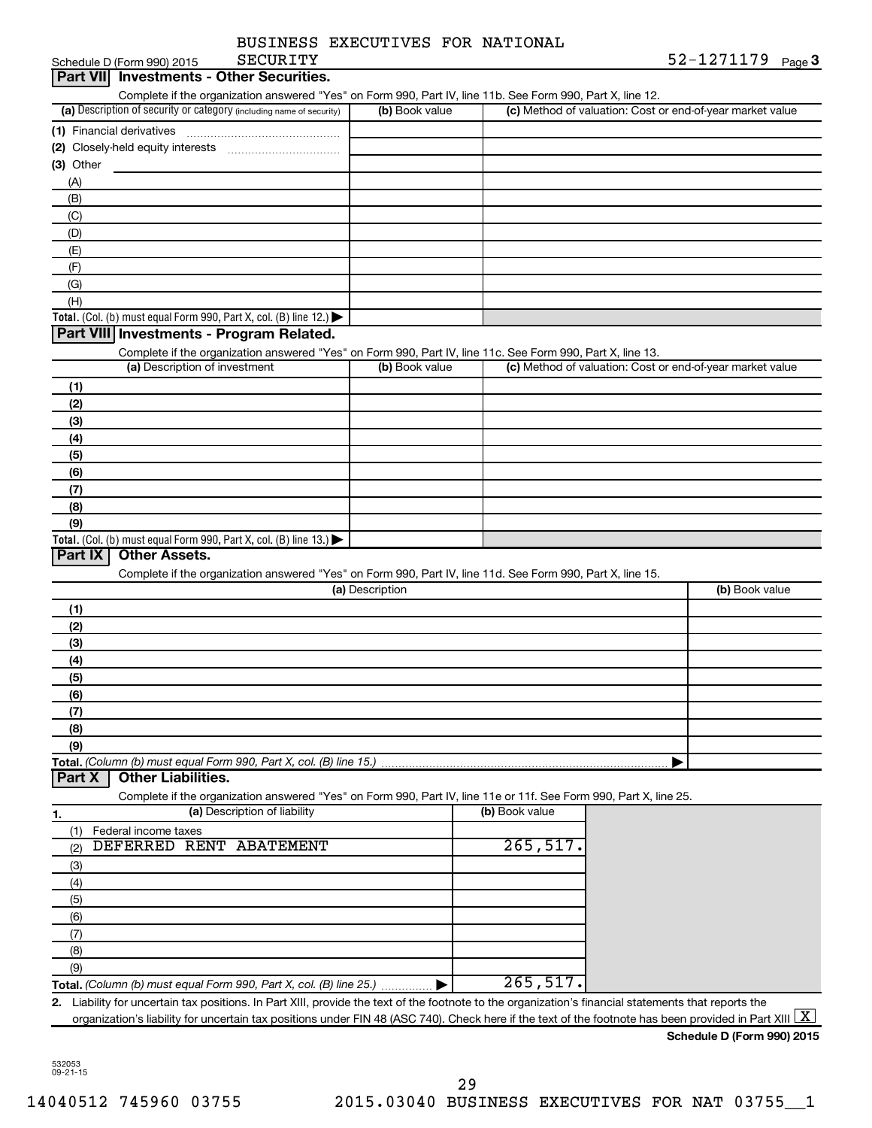| BUSINESS EXECUTIVES FOR NATIONAL |  |
|----------------------------------|--|
|                                  |  |

| Schedule D (Form 990) 2015                                                                                                                        |                 |                | 52-1271179<br>Page                                        |
|---------------------------------------------------------------------------------------------------------------------------------------------------|-----------------|----------------|-----------------------------------------------------------|
| Part VII Investments - Other Securities.                                                                                                          |                 |                |                                                           |
| Complete if the organization answered "Yes" on Form 990, Part IV, line 11b. See Form 990, Part X, line 12.                                        |                 |                |                                                           |
| (a) Description of security or category (including name of security)                                                                              | (b) Book value  |                | (c) Method of valuation: Cost or end-of-year market value |
| (1) Financial derivatives                                                                                                                         |                 |                |                                                           |
|                                                                                                                                                   |                 |                |                                                           |
| (3) Other                                                                                                                                         |                 |                |                                                           |
| (A)                                                                                                                                               |                 |                |                                                           |
| (B)                                                                                                                                               |                 |                |                                                           |
| (C)                                                                                                                                               |                 |                |                                                           |
| (D)                                                                                                                                               |                 |                |                                                           |
| (E)                                                                                                                                               |                 |                |                                                           |
| (F)                                                                                                                                               |                 |                |                                                           |
| (G)                                                                                                                                               |                 |                |                                                           |
| (H)                                                                                                                                               |                 |                |                                                           |
| Total. (Col. (b) must equal Form 990, Part X, col. (B) line 12.) $\blacktriangleright$                                                            |                 |                |                                                           |
| Part VIII Investments - Program Related.                                                                                                          |                 |                |                                                           |
| Complete if the organization answered "Yes" on Form 990, Part IV, line 11c. See Form 990, Part X, line 13.<br>(a) Description of investment       | (b) Book value  |                | (c) Method of valuation: Cost or end-of-year market value |
|                                                                                                                                                   |                 |                |                                                           |
| (1)                                                                                                                                               |                 |                |                                                           |
| (2)                                                                                                                                               |                 |                |                                                           |
| (3)                                                                                                                                               |                 |                |                                                           |
| (4)                                                                                                                                               |                 |                |                                                           |
| (5)                                                                                                                                               |                 |                |                                                           |
| (6)                                                                                                                                               |                 |                |                                                           |
| (7)                                                                                                                                               |                 |                |                                                           |
| (8)                                                                                                                                               |                 |                |                                                           |
| (9)<br>Total. (Col. (b) must equal Form 990, Part X, col. (B) line $13.$ )                                                                        |                 |                |                                                           |
|                                                                                                                                                   |                 |                |                                                           |
|                                                                                                                                                   |                 |                |                                                           |
| Part IX<br><b>Other Assets.</b>                                                                                                                   |                 |                |                                                           |
| Complete if the organization answered "Yes" on Form 990, Part IV, line 11d. See Form 990, Part X, line 15.                                        |                 |                |                                                           |
|                                                                                                                                                   | (a) Description |                | (b) Book value                                            |
| (1)                                                                                                                                               |                 |                |                                                           |
| (2)                                                                                                                                               |                 |                |                                                           |
| (3)                                                                                                                                               |                 |                |                                                           |
| (4)                                                                                                                                               |                 |                |                                                           |
| (5)                                                                                                                                               |                 |                |                                                           |
| (6)                                                                                                                                               |                 |                |                                                           |
| (7)                                                                                                                                               |                 |                |                                                           |
| (8)                                                                                                                                               |                 |                |                                                           |
| (9)                                                                                                                                               |                 |                |                                                           |
| <b>Other Liabilities.</b><br>Part X                                                                                                               |                 |                |                                                           |
|                                                                                                                                                   |                 |                |                                                           |
| Complete if the organization answered "Yes" on Form 990, Part IV, line 11e or 11f. See Form 990, Part X, line 25.<br>(a) Description of liability |                 | (b) Book value |                                                           |
| (1)                                                                                                                                               |                 |                |                                                           |
| Federal income taxes<br>DEFERRED RENT ABATEMENT<br>(2)                                                                                            |                 | 265,517.       |                                                           |
|                                                                                                                                                   |                 |                |                                                           |
| (3)                                                                                                                                               |                 |                |                                                           |
| (4)                                                                                                                                               |                 |                |                                                           |
| Total. (Column (b) must equal Form 990, Part X, col. (B) line 15.)<br>1.<br>(5)                                                                   |                 |                |                                                           |
| (6)<br>(7)                                                                                                                                        |                 |                |                                                           |
| (8)                                                                                                                                               |                 |                |                                                           |
| (9)                                                                                                                                               |                 |                |                                                           |
| Total. (Column (b) must equal Form 990, Part X, col. (B) line 25.)                                                                                |                 | 265,517.       |                                                           |

**Schedule D (Form 990) 2015**

532053 09-21-15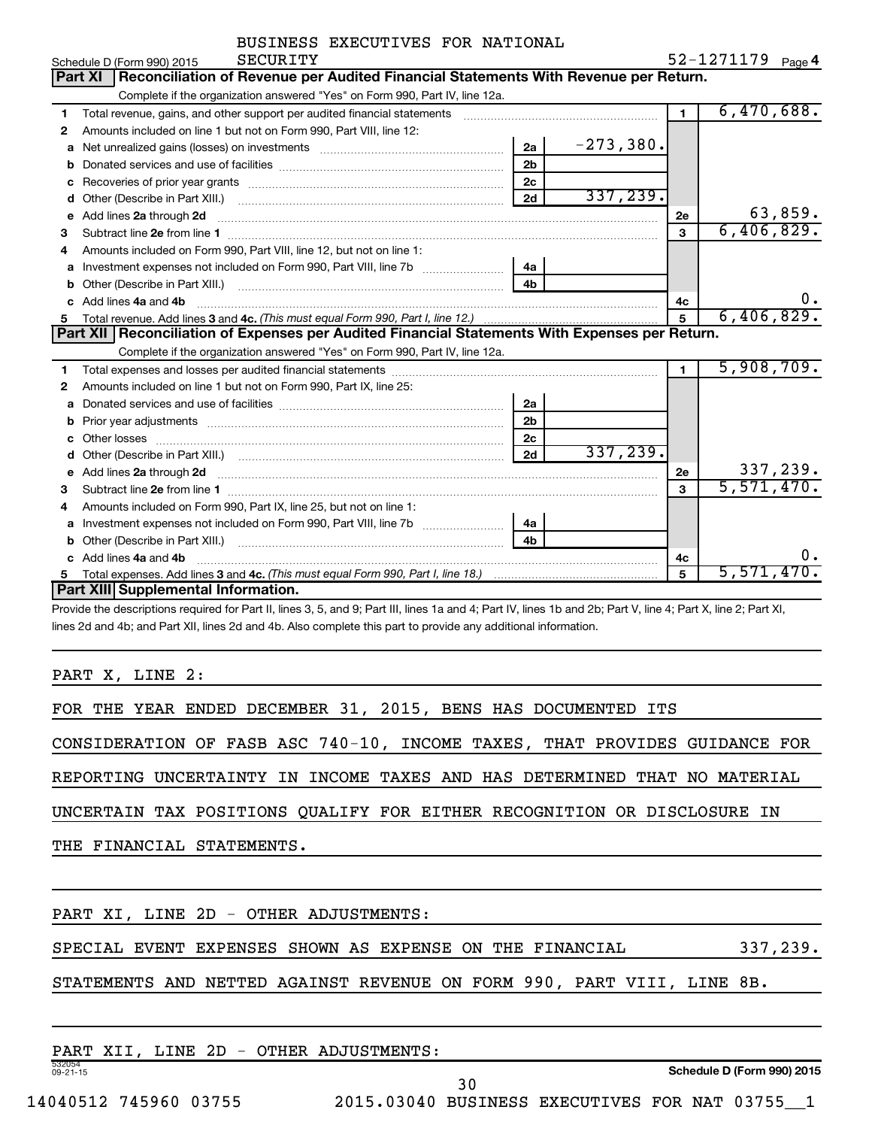|    | <b>SECURITY</b><br>Schedule D (Form 990) 2015                                                                         |                |             |                | $52 - 1271179$ Page 4 |
|----|-----------------------------------------------------------------------------------------------------------------------|----------------|-------------|----------------|-----------------------|
|    | Reconciliation of Revenue per Audited Financial Statements With Revenue per Return.<br>Part XI                        |                |             |                |                       |
|    | Complete if the organization answered "Yes" on Form 990, Part IV, line 12a.                                           |                |             |                |                       |
| 1  | Total revenue, gains, and other support per audited financial statements                                              |                |             | $\blacksquare$ | 6,470,688.            |
| 2  | Amounts included on line 1 but not on Form 990, Part VIII, line 12:                                                   |                |             |                |                       |
| a  |                                                                                                                       | 2a             | $-273,380.$ |                |                       |
| b  |                                                                                                                       | 2 <sub>b</sub> |             |                |                       |
|    |                                                                                                                       | 2c             |             |                |                       |
| d  |                                                                                                                       | 2d             | 337,239.    |                |                       |
| е  | Add lines 2a through 2d                                                                                               |                |             | 2е             | 63,859.               |
| 3  |                                                                                                                       |                |             | 3              | 6,406,829.            |
| 4  | Amounts included on Form 990, Part VIII, line 12, but not on line 1:                                                  |                |             |                |                       |
| a  | Investment expenses not included on Form 990, Part VIII, line 7b [11, 111, 120]                                       | 4a             |             |                |                       |
|    |                                                                                                                       | 4 <sub>h</sub> |             |                |                       |
| c. | Add lines 4a and 4b                                                                                                   |                |             | 4с             | υ.                    |
|    |                                                                                                                       |                |             | $5\phantom{1}$ | 6,406,829.            |
|    | Part XII   Reconciliation of Expenses per Audited Financial Statements With Expenses per Return.                      |                |             |                |                       |
|    | Complete if the organization answered "Yes" on Form 990, Part IV, line 12a.                                           |                |             |                |                       |
| 1  |                                                                                                                       |                |             | $\blacksquare$ | 5,908,709.            |
| 2  | Amounts included on line 1 but not on Form 990, Part IX, line 25:                                                     |                |             |                |                       |
| a  |                                                                                                                       | 2a             |             |                |                       |
| b  |                                                                                                                       | 2 <sub>b</sub> |             |                |                       |
| с  | Other losses                                                                                                          | 2 <sub>c</sub> |             |                |                       |
| d  |                                                                                                                       | 2d             | 337,239.    |                |                       |
| е  |                                                                                                                       |                |             | 2e             | 337,239.              |
| З  |                                                                                                                       |                |             | 3              | 5,571,470.            |
|    | Amounts included on Form 990, Part IX, line 25, but not on line 1:                                                    |                |             |                |                       |
| a  |                                                                                                                       | 4a             |             |                |                       |
| b  |                                                                                                                       | 4 <sub>b</sub> |             |                |                       |
|    | Add lines 4a and 4b                                                                                                   |                |             | 4c             | 0.                    |
| 5  |                                                                                                                       |                |             | 5              | 5,571,470.            |
|    | Part XIII Supplemental Information.                                                                                   |                |             |                |                       |
|    | <b>USING A PARTIA PLANE AND A PARTICULAR A PARTICULAR AND A PARTICULAR AND A PARTICULAR A PARTICULAR A PARTICULAR</b> |                |             |                |                       |

Provide the descriptions required for Part II, lines 3, 5, and 9; Part III, lines 1a and 4; Part IV, lines 1b and 2b; Part V, line 4; Part X, line 2; Part XI, lines 2d and 4b; and Part XII, lines 2d and 4b. Also complete this part to provide any additional information.

PART X, LINE 2:

FOR THE YEAR ENDED DECEMBER 31, 2015, BENS HAS DOCUMENTED ITS

CONSIDERATION OF FASB ASC 740-10, INCOME TAXES, THAT PROVIDES GUIDANCE FOR

REPORTING UNCERTAINTY IN INCOME TAXES AND HAS DETERMINED THAT NO MATERIAL

UNCERTAIN TAX POSITIONS QUALIFY FOR EITHER RECOGNITION OR DISCLOSURE IN

THE FINANCIAL STATEMENTS.

PART XI, LINE 2D - OTHER ADJUSTMENTS:

SPECIAL EVENT EXPENSES SHOWN AS EXPENSE ON THE FINANCIAL 337,239.

STATEMENTS AND NETTED AGAINST REVENUE ON FORM 990, PART VIII, LINE 8B.

| PART XII,                |  |  | LINE 2D - OTHER ADJUSTMENTS: |    |                                              |  |                            |  |
|--------------------------|--|--|------------------------------|----|----------------------------------------------|--|----------------------------|--|
| 532054<br>$09 - 21 - 15$ |  |  |                              |    |                                              |  | Schedule D (Form 990) 2015 |  |
| 14040512 745960 03755    |  |  |                              | 30 | 2015.03040 BUSINESS EXECUTIVES FOR NAT 03755 |  |                            |  |
|                          |  |  |                              |    |                                              |  |                            |  |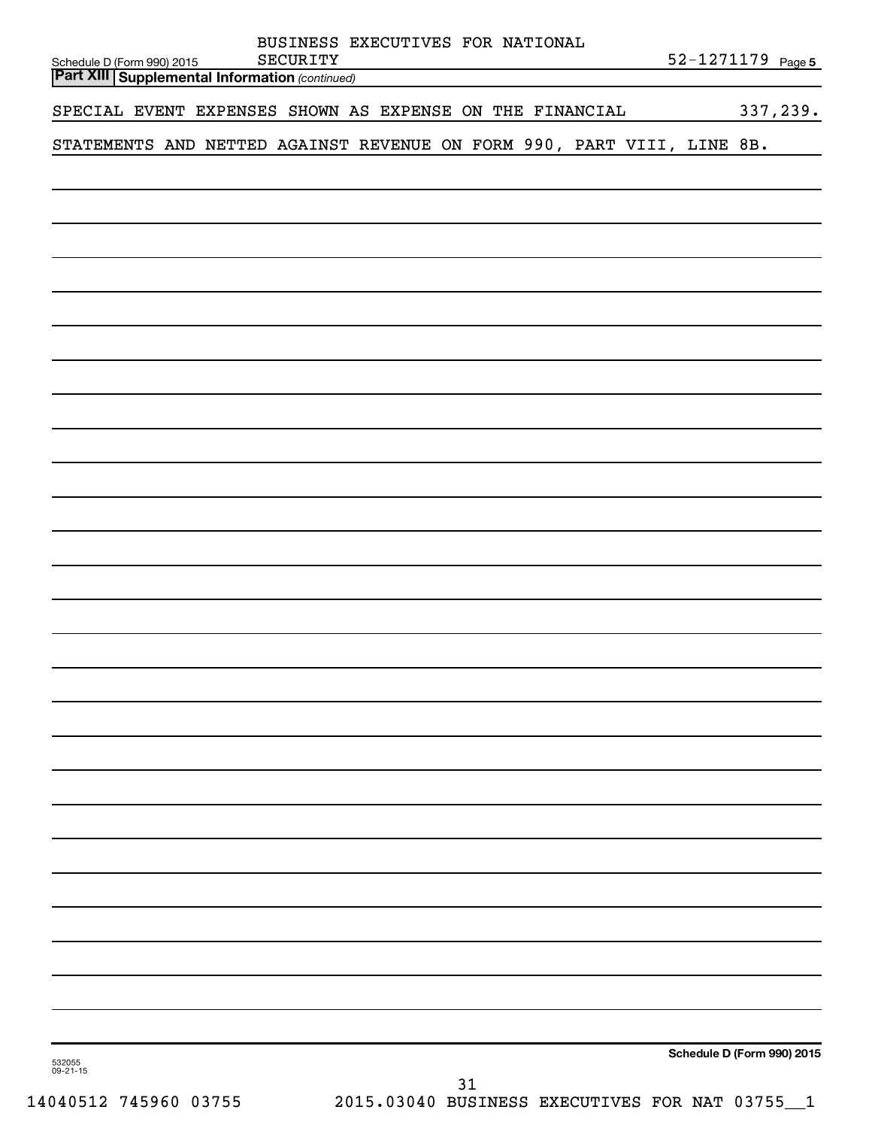| Schedule D (Form 990) 2015<br><b>Part XIII Supplemental Information (continued)</b> |  |  | BUSINESS EXECUTIVES FOR NATIONAL<br><b>SECURITY</b> |  |    |  |  | 52-1271179 Page 5          |          |  |
|-------------------------------------------------------------------------------------|--|--|-----------------------------------------------------|--|----|--|--|----------------------------|----------|--|
| SPECIAL EVENT EXPENSES SHOWN AS EXPENSE ON THE FINANCIAL                            |  |  |                                                     |  |    |  |  |                            | 337,239. |  |
| STATEMENTS AND NETTED AGAINST REVENUE ON FORM 990, PART VIII, LINE 8B.              |  |  |                                                     |  |    |  |  |                            |          |  |
|                                                                                     |  |  |                                                     |  |    |  |  |                            |          |  |
|                                                                                     |  |  |                                                     |  |    |  |  |                            |          |  |
|                                                                                     |  |  |                                                     |  |    |  |  |                            |          |  |
|                                                                                     |  |  |                                                     |  |    |  |  |                            |          |  |
|                                                                                     |  |  |                                                     |  |    |  |  |                            |          |  |
|                                                                                     |  |  |                                                     |  |    |  |  |                            |          |  |
|                                                                                     |  |  |                                                     |  |    |  |  |                            |          |  |
|                                                                                     |  |  |                                                     |  |    |  |  |                            |          |  |
|                                                                                     |  |  |                                                     |  |    |  |  |                            |          |  |
|                                                                                     |  |  |                                                     |  |    |  |  |                            |          |  |
|                                                                                     |  |  |                                                     |  |    |  |  |                            |          |  |
|                                                                                     |  |  |                                                     |  |    |  |  |                            |          |  |
|                                                                                     |  |  |                                                     |  |    |  |  |                            |          |  |
|                                                                                     |  |  |                                                     |  |    |  |  |                            |          |  |
|                                                                                     |  |  |                                                     |  |    |  |  |                            |          |  |
|                                                                                     |  |  |                                                     |  |    |  |  |                            |          |  |
|                                                                                     |  |  |                                                     |  |    |  |  |                            |          |  |
|                                                                                     |  |  |                                                     |  |    |  |  |                            |          |  |
|                                                                                     |  |  |                                                     |  |    |  |  |                            |          |  |
|                                                                                     |  |  |                                                     |  |    |  |  |                            |          |  |
|                                                                                     |  |  |                                                     |  |    |  |  |                            |          |  |
|                                                                                     |  |  |                                                     |  |    |  |  |                            |          |  |
|                                                                                     |  |  |                                                     |  |    |  |  |                            |          |  |
|                                                                                     |  |  |                                                     |  |    |  |  |                            |          |  |
|                                                                                     |  |  |                                                     |  |    |  |  |                            |          |  |
|                                                                                     |  |  |                                                     |  |    |  |  |                            |          |  |
| 532055<br>$09 - 21 - 15$                                                            |  |  |                                                     |  | 31 |  |  | Schedule D (Form 990) 2015 |          |  |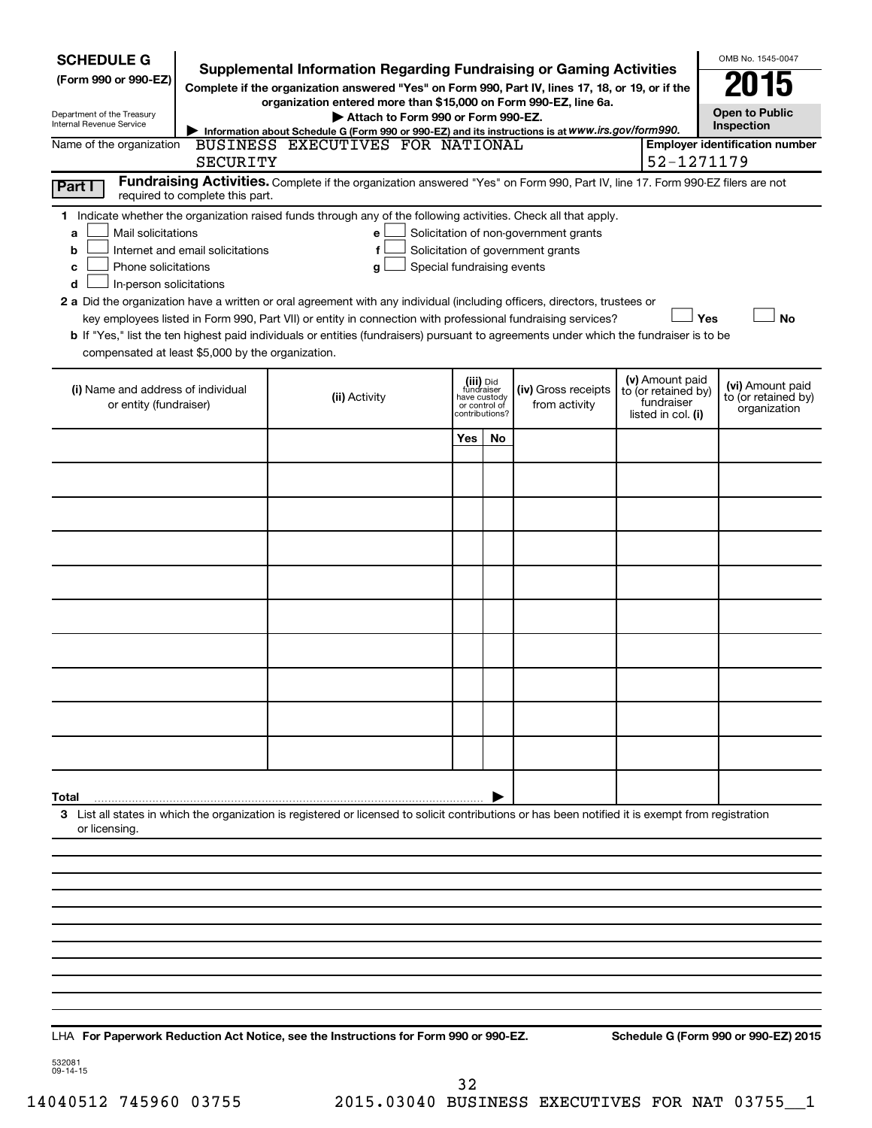| <b>SCHEDULE G</b><br><b>Supplemental Information Regarding Fundraising or Gaming Activities</b><br>(Form 990 or 990-EZ)<br>Complete if the organization answered "Yes" on Form 990, Part IV, lines 17, 18, or 19, or if the<br>organization entered more than \$15,000 on Form 990-EZ, line 6a.<br>Department of the Treasury<br>Internal Revenue Service                                                                                                                                                                                                                                                             |                                                                                                                                                          | OMB No. 1545-0047<br><b>Open to Public</b><br>Inspection                   |    |                                                                            |  |                                                                            |                                                         |  |  |  |  |  |
|-----------------------------------------------------------------------------------------------------------------------------------------------------------------------------------------------------------------------------------------------------------------------------------------------------------------------------------------------------------------------------------------------------------------------------------------------------------------------------------------------------------------------------------------------------------------------------------------------------------------------|----------------------------------------------------------------------------------------------------------------------------------------------------------|----------------------------------------------------------------------------|----|----------------------------------------------------------------------------|--|----------------------------------------------------------------------------|---------------------------------------------------------|--|--|--|--|--|
| Information about Schedule G (Form 990 or 990-EZ) and its instructions is at www.irs.gov/form990.<br>BUSINESS EXECUTIVES FOR NATIONAL<br><b>Employer identification number</b><br>Name of the organization<br>52-1271179<br>SECURITY                                                                                                                                                                                                                                                                                                                                                                                  |                                                                                                                                                          |                                                                            |    |                                                                            |  |                                                                            |                                                         |  |  |  |  |  |
| Fundraising Activities. Complete if the organization answered "Yes" on Form 990, Part IV, line 17. Form 990-EZ filers are not<br>Part I                                                                                                                                                                                                                                                                                                                                                                                                                                                                               |                                                                                                                                                          |                                                                            |    |                                                                            |  |                                                                            |                                                         |  |  |  |  |  |
| required to complete this part.<br>1 Indicate whether the organization raised funds through any of the following activities. Check all that apply.<br>Mail solicitations<br>a<br>Internet and email solicitations<br>b<br>Phone solicitations<br>с<br>In-person solicitations<br>d<br>2 a Did the organization have a written or oral agreement with any individual (including officers, directors, trustees or<br><b>b</b> If "Yes," list the ten highest paid individuals or entities (fundraisers) pursuant to agreements under which the fundraiser is to be<br>compensated at least \$5,000 by the organization. | е<br>f<br>Special fundraising events<br>g<br>key employees listed in Form 990, Part VII) or entity in connection with professional fundraising services? |                                                                            |    | Solicitation of non-government grants<br>Solicitation of government grants |  | Yes                                                                        | No                                                      |  |  |  |  |  |
| (i) Name and address of individual<br>or entity (fundraiser)                                                                                                                                                                                                                                                                                                                                                                                                                                                                                                                                                          | (ii) Activity                                                                                                                                            | (iii) Did<br>fundraiser<br>have custody<br>or control of<br>contributions? |    | (iv) Gross receipts<br>from activity                                       |  | (v) Amount paid<br>to (or retained by)<br>fundraiser<br>listed in col. (i) | (vi) Amount paid<br>to (or retained by)<br>organization |  |  |  |  |  |
|                                                                                                                                                                                                                                                                                                                                                                                                                                                                                                                                                                                                                       |                                                                                                                                                          | Yes                                                                        | No |                                                                            |  |                                                                            |                                                         |  |  |  |  |  |
|                                                                                                                                                                                                                                                                                                                                                                                                                                                                                                                                                                                                                       |                                                                                                                                                          |                                                                            |    |                                                                            |  |                                                                            |                                                         |  |  |  |  |  |
|                                                                                                                                                                                                                                                                                                                                                                                                                                                                                                                                                                                                                       |                                                                                                                                                          |                                                                            |    |                                                                            |  |                                                                            |                                                         |  |  |  |  |  |
|                                                                                                                                                                                                                                                                                                                                                                                                                                                                                                                                                                                                                       |                                                                                                                                                          |                                                                            |    |                                                                            |  |                                                                            |                                                         |  |  |  |  |  |
|                                                                                                                                                                                                                                                                                                                                                                                                                                                                                                                                                                                                                       |                                                                                                                                                          |                                                                            |    |                                                                            |  |                                                                            |                                                         |  |  |  |  |  |
|                                                                                                                                                                                                                                                                                                                                                                                                                                                                                                                                                                                                                       |                                                                                                                                                          |                                                                            |    |                                                                            |  |                                                                            |                                                         |  |  |  |  |  |
|                                                                                                                                                                                                                                                                                                                                                                                                                                                                                                                                                                                                                       |                                                                                                                                                          |                                                                            |    |                                                                            |  |                                                                            |                                                         |  |  |  |  |  |
|                                                                                                                                                                                                                                                                                                                                                                                                                                                                                                                                                                                                                       |                                                                                                                                                          |                                                                            |    |                                                                            |  |                                                                            |                                                         |  |  |  |  |  |
|                                                                                                                                                                                                                                                                                                                                                                                                                                                                                                                                                                                                                       |                                                                                                                                                          |                                                                            |    |                                                                            |  |                                                                            |                                                         |  |  |  |  |  |
|                                                                                                                                                                                                                                                                                                                                                                                                                                                                                                                                                                                                                       |                                                                                                                                                          |                                                                            |    |                                                                            |  |                                                                            |                                                         |  |  |  |  |  |
|                                                                                                                                                                                                                                                                                                                                                                                                                                                                                                                                                                                                                       |                                                                                                                                                          |                                                                            |    |                                                                            |  |                                                                            |                                                         |  |  |  |  |  |
| Total<br>3 List all states in which the organization is registered or licensed to solicit contributions or has been notified it is exempt from registration                                                                                                                                                                                                                                                                                                                                                                                                                                                           |                                                                                                                                                          |                                                                            |    |                                                                            |  |                                                                            |                                                         |  |  |  |  |  |
| or licensing.                                                                                                                                                                                                                                                                                                                                                                                                                                                                                                                                                                                                         |                                                                                                                                                          |                                                                            |    |                                                                            |  |                                                                            |                                                         |  |  |  |  |  |
|                                                                                                                                                                                                                                                                                                                                                                                                                                                                                                                                                                                                                       |                                                                                                                                                          |                                                                            |    |                                                                            |  |                                                                            |                                                         |  |  |  |  |  |
|                                                                                                                                                                                                                                                                                                                                                                                                                                                                                                                                                                                                                       |                                                                                                                                                          |                                                                            |    |                                                                            |  |                                                                            |                                                         |  |  |  |  |  |
|                                                                                                                                                                                                                                                                                                                                                                                                                                                                                                                                                                                                                       |                                                                                                                                                          |                                                                            |    |                                                                            |  |                                                                            |                                                         |  |  |  |  |  |
|                                                                                                                                                                                                                                                                                                                                                                                                                                                                                                                                                                                                                       |                                                                                                                                                          |                                                                            |    |                                                                            |  |                                                                            |                                                         |  |  |  |  |  |
|                                                                                                                                                                                                                                                                                                                                                                                                                                                                                                                                                                                                                       |                                                                                                                                                          |                                                                            |    |                                                                            |  |                                                                            |                                                         |  |  |  |  |  |

**For Paperwork Reduction Act Notice, see the Instructions for Form 990 or 990-EZ. Schedule G (Form 990 or 990-EZ) 2015** LHA

532081 09-14-15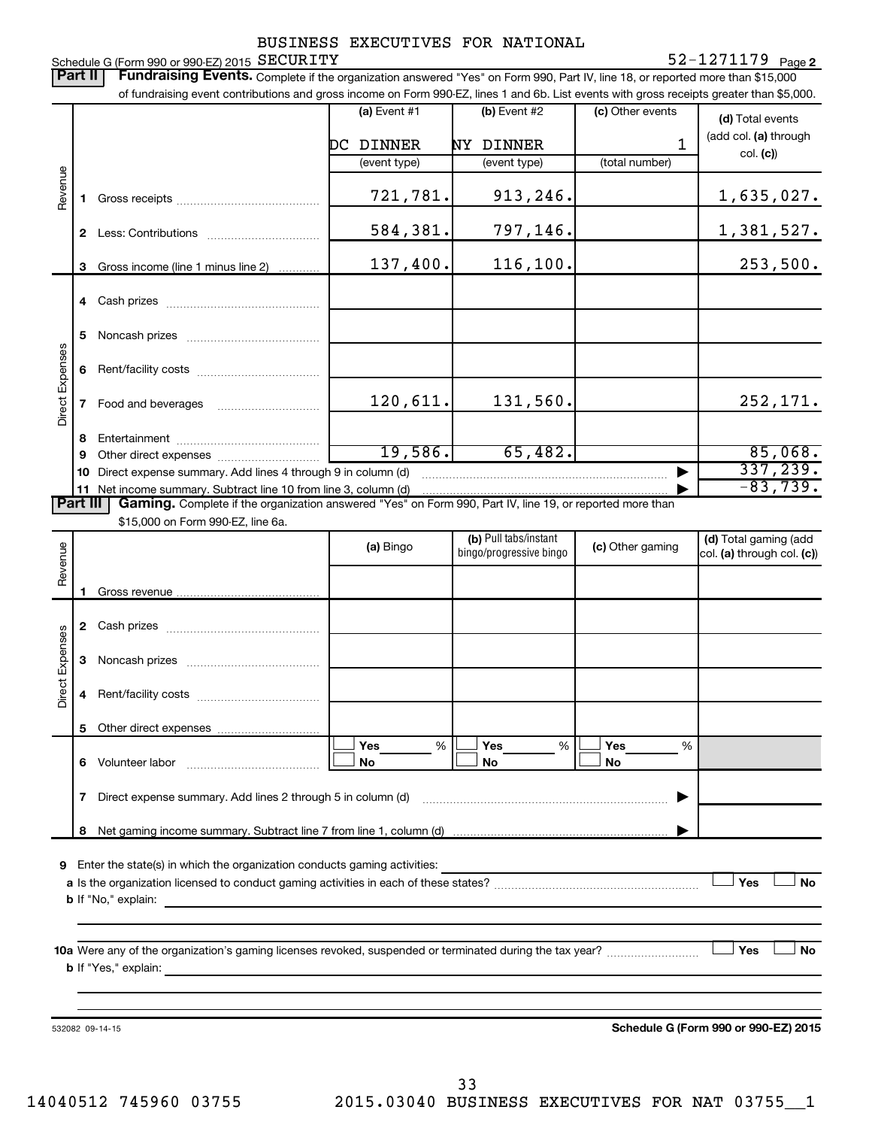### Schedule G (Form 990 or 990-EZ) 2015  ${\tt SECURITY}$ BUSINESS EXECUTIVES FOR NATIONAL

#### **2** SECURITY 52-1271179

Part II | Fundraising Events. Complete if the organization answered "Yes" on Form 990, Part IV, line 18, or reported more than \$15,000 of fundraising event contributions and gross income on Form 990-EZ, lines 1 and 6b. List events with gross receipts greater than \$5,000.  $(a)$  Event #1  $(b)$  Event #2 (c) Other events **(d)**  Total events (add col. (a) through DC DINNER NY DINNER 1 col. **(c)**) (event type) (event type) (total number) Revenue 721,781. 913,246. 1,635,027. **1** Gross receipts ~~~~~~~~~~~~~~ 584,381. 797,146. 1,381,527. **2** Less: Contributions ~~~~~~~~~~~ 137,400. 116,100. 253,500. **3** Gross income (line 1 minus line 2) . . . . . . . . . . . . **4** Cash prizes ~~~~~~~~~~~~~~~ **5** Noncash prizes ~~~~~~~~~~~~~ Direct Expenses Direct Expenses **6** Rent/facility costs ~~~~~~~~~~~~ 120,611. 131,560. 252,171. **7** Food and beverages **with the State Proof 8** Entertainment ~~~~~~~~~~~~~~ 19,586. 65,482. 85,068. **9** Other direct expenses  $\ldots$  **............................** 337,239. **10** Direct expense summary. Add lines 4 through 9 in column (d) ~~~~~~~~~~~~~~~~~~~~~~~~ | -83,739. **11** Net income summary. Subtract line 10 from line 3, column (d) | Part III | Gaming. Complete if the organization answered "Yes" on Form 990, Part IV, line 19, or reported more than \$15,000 on Form 990-EZ, line 6a. (b) Pull tabs/instant (d) Total gaming (add Revenue **(a)** Bingo **a b**ingo/progressive bingo **(c)** Other gaming bingo/progressive bingo col. (a) through col. (c)) Gross revenue **1 2** Cash prizes ~~~~~~~~~~~~~~~ Expenses Direct Expenses **3** Noncash prizes ~~~~~~~~~~~~~ Direct **4** Rent/facility costs ~~~~~~~~~~~~ **5** Other direct expenses  $|\Box$  Yes  $\qquad \%$   $|\Box$  Yes  $\qquad \%$   $|\Box$ **Yes Yes Yes** % % %  $|\Box$  No  $|\Box$  No  $|\Box$ **6** Volunteer labor ~~~~~~~~~~~~~ **No No No 7** Direct expense summary. Add lines 2 through 5 in column (d) ~~~~~~~~~~~~~~~~~~~~~~~~ | **8** Net gaming income summary. Subtract line 7 from line 1, column (d) | **9** Enter the state(s) in which the organization conducts gaming activities:  $|$  Yes **Yes No a** Is the organization licensed to conduct gaming activities in each of these states? ~~~~~~~~~~~~~~~~~~~~ **b** If "No," explain: **10 a** Were any of the organization's gaming licenses revoked, suspended or terminated during the tax year? ~~~~~~~~~ † † **Yes No b** If "Yes," explain: **Schedule G (Form 990 or 990-EZ) 2015** 532082 09-14-15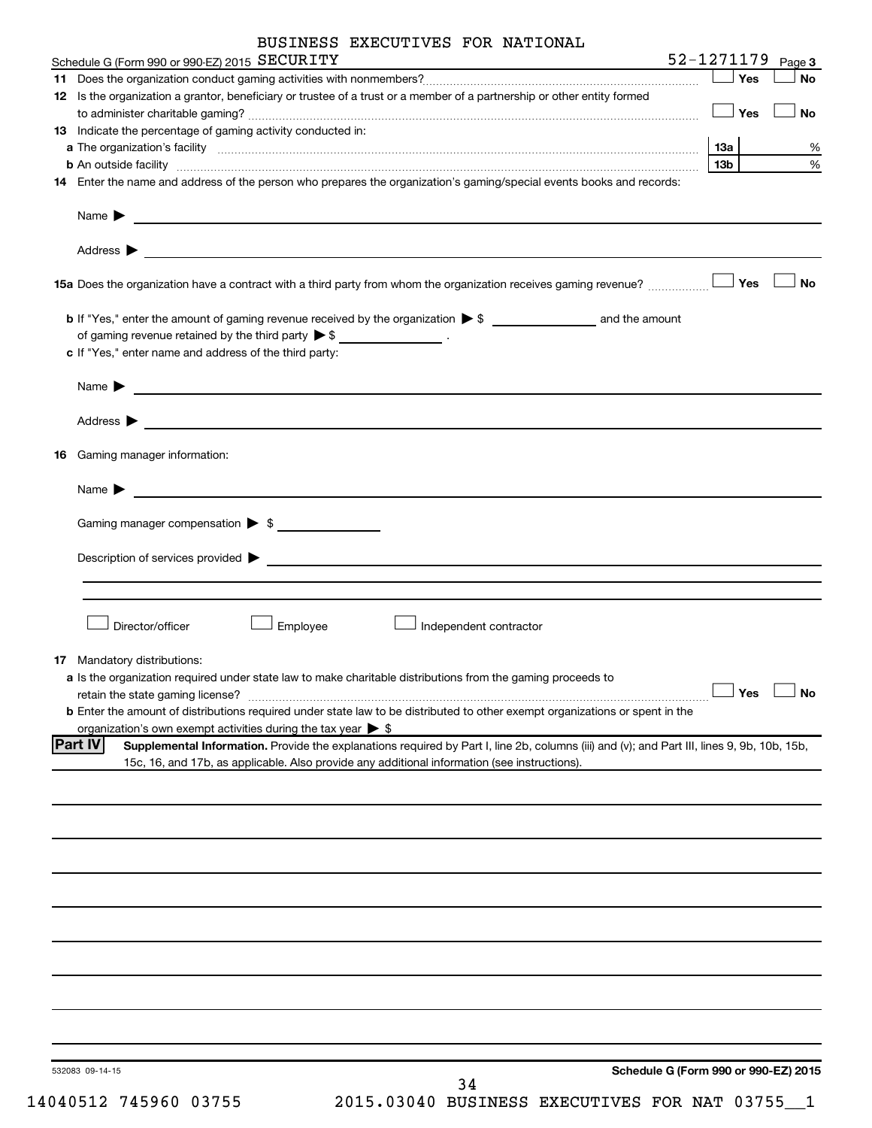| BUSINESS EXECUTIVES FOR NATIONAL                                                                                                                                                                                                                              |                   |           |
|---------------------------------------------------------------------------------------------------------------------------------------------------------------------------------------------------------------------------------------------------------------|-------------------|-----------|
| Schedule G (Form 990 or 990-EZ) 2015 SECURITY                                                                                                                                                                                                                 | 52-1271179 Page 3 |           |
|                                                                                                                                                                                                                                                               | Yes               | No        |
| 12 Is the organization a grantor, beneficiary or trustee of a trust or a member of a partnership or other entity formed                                                                                                                                       | $\Box$ Yes        | No        |
| 13 Indicate the percentage of gaming activity conducted in:                                                                                                                                                                                                   |                   |           |
|                                                                                                                                                                                                                                                               | 1За               | %         |
| b An outside facility www.communications.com/news/communications.com/news/communications.com/news/communicatio                                                                                                                                                | 13b l             | $\%$      |
| 14 Enter the name and address of the person who prepares the organization's gaming/special events books and records:                                                                                                                                          |                   |           |
| Name $\blacktriangleright$<br>the control of the control of the control of the control of the control of the control of the control of the control of the control of the control of the control of the control of the control of the control of the control   |                   |           |
|                                                                                                                                                                                                                                                               |                   |           |
|                                                                                                                                                                                                                                                               |                   | <b>No</b> |
| of gaming revenue retained by the third party $\triangleright$ \$ __________________.                                                                                                                                                                         |                   |           |
| c If "Yes," enter name and address of the third party:                                                                                                                                                                                                        |                   |           |
| Name $\blacktriangleright$<br><u> 1989 - Johann John Stein, markin fan it ferstjer fan de ferstjer fan it ferstjer fan it ferstjer fan it fers</u>                                                                                                            |                   |           |
| Address $\blacktriangleright$                                                                                                                                                                                                                                 |                   |           |
| <b>16</b> Gaming manager information:                                                                                                                                                                                                                         |                   |           |
| Name $\blacktriangleright$<br><u> 1989 - Johann Barbara, martxa alemaniar arg</u>                                                                                                                                                                             |                   |           |
| Gaming manager compensation > \$                                                                                                                                                                                                                              |                   |           |
| Description of services provided states and the contract of the contract of the contract of the contract of the contract of the contract of the contract of the contract of the contract of the contract of the contract of th                                |                   |           |
|                                                                                                                                                                                                                                                               |                   |           |
| Director/officer<br>Employee<br>Independent contractor                                                                                                                                                                                                        |                   |           |
| 17 Mandatory distributions:                                                                                                                                                                                                                                   |                   |           |
| a Is the organization required under state law to make charitable distributions from the gaming proceeds to<br>retain the state gaming license?                                                                                                               | Yes               | No        |
| <b>b</b> Enter the amount of distributions required under state law to be distributed to other exempt organizations or spent in the                                                                                                                           |                   |           |
| organization's own exempt activities during the tax year $\triangleright$ \$                                                                                                                                                                                  |                   |           |
| <b>Part IV</b><br>Supplemental Information. Provide the explanations required by Part I, line 2b, columns (iii) and (v); and Part III, lines 9, 9b, 10b, 15b,<br>15c, 16, and 17b, as applicable. Also provide any additional information (see instructions). |                   |           |
|                                                                                                                                                                                                                                                               |                   |           |
|                                                                                                                                                                                                                                                               |                   |           |
|                                                                                                                                                                                                                                                               |                   |           |
|                                                                                                                                                                                                                                                               |                   |           |
|                                                                                                                                                                                                                                                               |                   |           |
|                                                                                                                                                                                                                                                               |                   |           |
|                                                                                                                                                                                                                                                               |                   |           |
|                                                                                                                                                                                                                                                               |                   |           |
|                                                                                                                                                                                                                                                               |                   |           |
|                                                                                                                                                                                                                                                               |                   |           |
|                                                                                                                                                                                                                                                               |                   |           |
|                                                                                                                                                                                                                                                               |                   |           |
|                                                                                                                                                                                                                                                               |                   |           |
|                                                                                                                                                                                                                                                               |                   |           |
| Schedule G (Form 990 or 990-EZ) 2015<br>532083 09-14-15<br>34                                                                                                                                                                                                 |                   |           |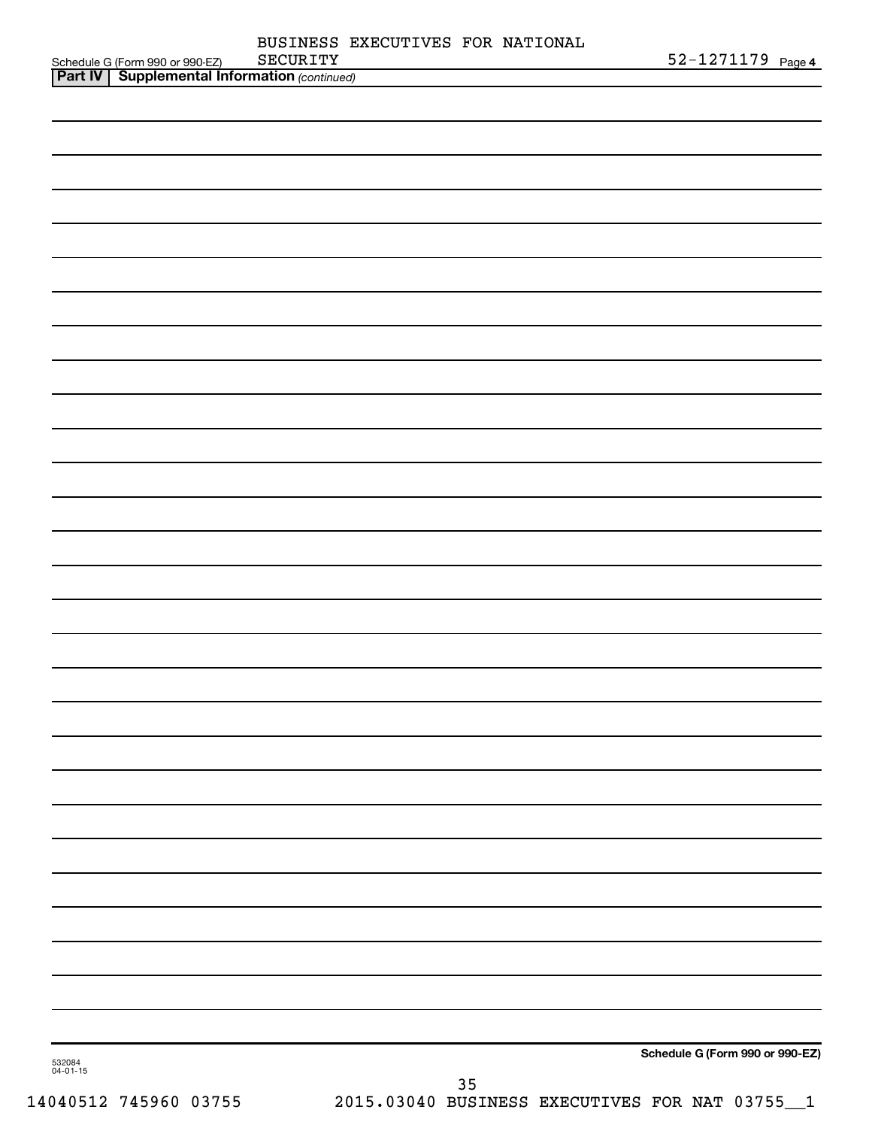|                                                                                                   | SECURITY | BUSINESS EXECUTIVES FOR NATIONAL | 52-1271179 Page 4               |
|---------------------------------------------------------------------------------------------------|----------|----------------------------------|---------------------------------|
| Schedule G (Form 990 or 990-EZ) SECURITY<br><b>Part IV   Supplemental Information</b> (continued) |          |                                  |                                 |
|                                                                                                   |          |                                  |                                 |
|                                                                                                   |          |                                  |                                 |
|                                                                                                   |          |                                  |                                 |
|                                                                                                   |          |                                  |                                 |
|                                                                                                   |          |                                  |                                 |
|                                                                                                   |          |                                  |                                 |
|                                                                                                   |          |                                  |                                 |
|                                                                                                   |          |                                  |                                 |
|                                                                                                   |          |                                  |                                 |
|                                                                                                   |          |                                  |                                 |
|                                                                                                   |          |                                  |                                 |
|                                                                                                   |          |                                  |                                 |
|                                                                                                   |          |                                  |                                 |
|                                                                                                   |          |                                  |                                 |
|                                                                                                   |          |                                  |                                 |
|                                                                                                   |          |                                  |                                 |
|                                                                                                   |          |                                  |                                 |
|                                                                                                   |          |                                  |                                 |
|                                                                                                   |          |                                  |                                 |
|                                                                                                   |          |                                  |                                 |
|                                                                                                   |          |                                  |                                 |
|                                                                                                   |          |                                  |                                 |
|                                                                                                   |          |                                  |                                 |
|                                                                                                   |          |                                  |                                 |
|                                                                                                   |          |                                  |                                 |
|                                                                                                   |          |                                  |                                 |
|                                                                                                   |          |                                  |                                 |
|                                                                                                   |          |                                  |                                 |
|                                                                                                   |          |                                  |                                 |
|                                                                                                   |          |                                  |                                 |
|                                                                                                   |          |                                  |                                 |
|                                                                                                   |          |                                  |                                 |
|                                                                                                   |          |                                  |                                 |
|                                                                                                   |          |                                  |                                 |
|                                                                                                   |          |                                  |                                 |
|                                                                                                   |          |                                  |                                 |
|                                                                                                   |          |                                  |                                 |
|                                                                                                   |          |                                  |                                 |
|                                                                                                   |          |                                  |                                 |
|                                                                                                   |          |                                  |                                 |
|                                                                                                   |          |                                  |                                 |
|                                                                                                   |          |                                  |                                 |
|                                                                                                   |          |                                  |                                 |
|                                                                                                   |          |                                  | Schedule G (Form 990 or 990-EZ) |
| 532084<br>04-01-15                                                                                |          |                                  |                                 |
|                                                                                                   |          | $35$                             |                                 |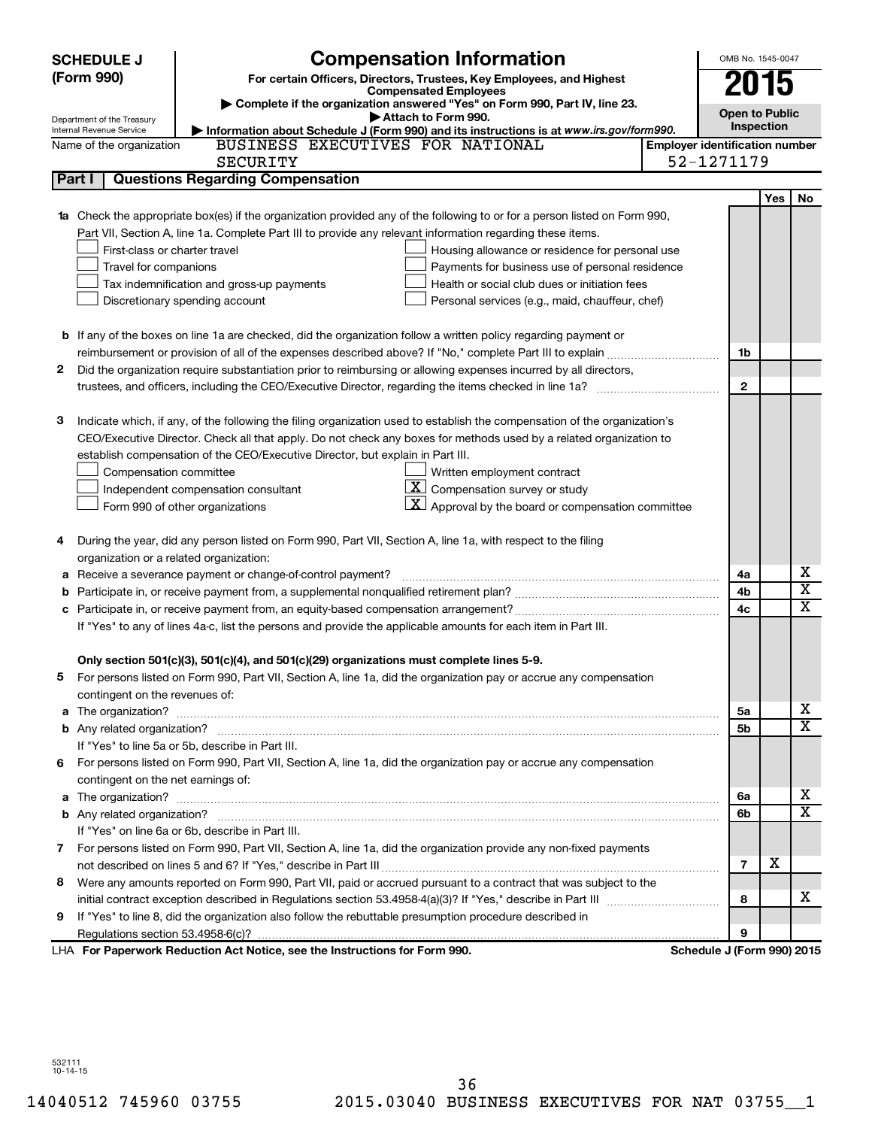|                                                                                                               | <b>SCHEDULE J</b>                                                                                                               | <b>Compensation Information</b>                                                                                           |                                       | OMB No. 1545-0047          |     |                              |
|---------------------------------------------------------------------------------------------------------------|---------------------------------------------------------------------------------------------------------------------------------|---------------------------------------------------------------------------------------------------------------------------|---------------------------------------|----------------------------|-----|------------------------------|
| (Form 990)                                                                                                    |                                                                                                                                 | For certain Officers, Directors, Trustees, Key Employees, and Highest                                                     |                                       | 2015                       |     |                              |
|                                                                                                               |                                                                                                                                 | <b>Compensated Employees</b>                                                                                              |                                       |                            |     |                              |
|                                                                                                               | Complete if the organization answered "Yes" on Form 990, Part IV, line 23.<br>Attach to Form 990.<br>Department of the Treasury |                                                                                                                           |                                       | <b>Open to Public</b>      |     |                              |
|                                                                                                               | Internal Revenue Service                                                                                                        | Information about Schedule J (Form 990) and its instructions is at www.irs.gov/form990.                                   |                                       | <b>Inspection</b>          |     |                              |
|                                                                                                               | Name of the organization                                                                                                        | BUSINESS EXECUTIVES FOR NATIONAL                                                                                          | <b>Employer identification number</b> |                            |     |                              |
|                                                                                                               |                                                                                                                                 | <b>SECURITY</b>                                                                                                           |                                       | 52-1271179                 |     |                              |
|                                                                                                               | Part I                                                                                                                          | <b>Questions Regarding Compensation</b>                                                                                   |                                       |                            |     |                              |
|                                                                                                               |                                                                                                                                 |                                                                                                                           |                                       |                            | Yes | No                           |
|                                                                                                               |                                                                                                                                 | Check the appropriate box(es) if the organization provided any of the following to or for a person listed on Form 990,    |                                       |                            |     |                              |
|                                                                                                               |                                                                                                                                 | Part VII, Section A, line 1a. Complete Part III to provide any relevant information regarding these items.                |                                       |                            |     |                              |
|                                                                                                               | First-class or charter travel                                                                                                   | Housing allowance or residence for personal use                                                                           |                                       |                            |     |                              |
|                                                                                                               | Travel for companions                                                                                                           | Payments for business use of personal residence                                                                           |                                       |                            |     |                              |
|                                                                                                               |                                                                                                                                 | Health or social club dues or initiation fees<br>Tax indemnification and gross-up payments                                |                                       |                            |     |                              |
|                                                                                                               |                                                                                                                                 | Discretionary spending account<br>Personal services (e.g., maid, chauffeur, chef)                                         |                                       |                            |     |                              |
|                                                                                                               |                                                                                                                                 |                                                                                                                           |                                       |                            |     |                              |
|                                                                                                               |                                                                                                                                 | <b>b</b> If any of the boxes on line 1a are checked, did the organization follow a written policy regarding payment or    |                                       |                            |     |                              |
|                                                                                                               |                                                                                                                                 |                                                                                                                           |                                       | 1b                         |     |                              |
| 2                                                                                                             |                                                                                                                                 | Did the organization require substantiation prior to reimbursing or allowing expenses incurred by all directors,          |                                       |                            |     |                              |
|                                                                                                               |                                                                                                                                 |                                                                                                                           |                                       | $\overline{2}$             |     |                              |
|                                                                                                               |                                                                                                                                 |                                                                                                                           |                                       |                            |     |                              |
| З                                                                                                             |                                                                                                                                 | Indicate which, if any, of the following the filing organization used to establish the compensation of the organization's |                                       |                            |     |                              |
|                                                                                                               |                                                                                                                                 | CEO/Executive Director. Check all that apply. Do not check any boxes for methods used by a related organization to        |                                       |                            |     |                              |
|                                                                                                               |                                                                                                                                 | establish compensation of the CEO/Executive Director, but explain in Part III.                                            |                                       |                            |     |                              |
|                                                                                                               | Compensation committee                                                                                                          | Written employment contract                                                                                               |                                       |                            |     |                              |
|                                                                                                               |                                                                                                                                 | $ \mathbf{X} $ Compensation survey or study<br>Independent compensation consultant                                        |                                       |                            |     |                              |
|                                                                                                               |                                                                                                                                 | $\mathbf{X}$ Approval by the board or compensation committee<br>Form 990 of other organizations                           |                                       |                            |     |                              |
|                                                                                                               |                                                                                                                                 |                                                                                                                           |                                       |                            |     |                              |
| 4                                                                                                             |                                                                                                                                 | During the year, did any person listed on Form 990, Part VII, Section A, line 1a, with respect to the filing              |                                       |                            |     |                              |
|                                                                                                               | organization or a related organization:                                                                                         |                                                                                                                           |                                       |                            |     |                              |
| а                                                                                                             |                                                                                                                                 | Receive a severance payment or change-of-control payment?                                                                 |                                       | 4a                         |     | x<br>$\overline{\mathbf{X}}$ |
| b                                                                                                             |                                                                                                                                 |                                                                                                                           |                                       | 4b                         |     | X                            |
|                                                                                                               |                                                                                                                                 |                                                                                                                           |                                       | 4c                         |     |                              |
| If "Yes" to any of lines 4a-c, list the persons and provide the applicable amounts for each item in Part III. |                                                                                                                                 |                                                                                                                           |                                       |                            |     |                              |
|                                                                                                               |                                                                                                                                 |                                                                                                                           |                                       |                            |     |                              |
|                                                                                                               |                                                                                                                                 | Only section 501(c)(3), 501(c)(4), and 501(c)(29) organizations must complete lines 5-9.                                  |                                       |                            |     |                              |
|                                                                                                               |                                                                                                                                 | For persons listed on Form 990, Part VII, Section A, line 1a, did the organization pay or accrue any compensation         |                                       |                            |     |                              |
|                                                                                                               | contingent on the revenues of:                                                                                                  |                                                                                                                           |                                       |                            |     | x                            |
| a                                                                                                             |                                                                                                                                 |                                                                                                                           |                                       | 5a                         |     | $\overline{\mathtt{x}}$      |
|                                                                                                               |                                                                                                                                 |                                                                                                                           |                                       | 5b                         |     |                              |
|                                                                                                               |                                                                                                                                 | If "Yes" to line 5a or 5b, describe in Part III.                                                                          |                                       |                            |     |                              |
|                                                                                                               |                                                                                                                                 | 6 For persons listed on Form 990, Part VII, Section A, line 1a, did the organization pay or accrue any compensation       |                                       |                            |     |                              |
|                                                                                                               | contingent on the net earnings of:                                                                                              |                                                                                                                           |                                       |                            |     | x                            |
| a                                                                                                             |                                                                                                                                 |                                                                                                                           | 6a                                    |                            | X   |                              |
|                                                                                                               |                                                                                                                                 |                                                                                                                           |                                       | 6b                         |     |                              |
|                                                                                                               |                                                                                                                                 | If "Yes" on line 6a or 6b, describe in Part III.                                                                          |                                       |                            |     |                              |
|                                                                                                               |                                                                                                                                 | 7 For persons listed on Form 990, Part VII, Section A, line 1a, did the organization provide any non-fixed payments       |                                       |                            |     |                              |
|                                                                                                               |                                                                                                                                 |                                                                                                                           |                                       | $\overline{7}$             | х   |                              |
| 8                                                                                                             | Were any amounts reported on Form 990, Part VII, paid or accrued pursuant to a contract that was subject to the                 |                                                                                                                           |                                       |                            |     |                              |
|                                                                                                               |                                                                                                                                 | 8                                                                                                                         |                                       | x                          |     |                              |
| 9                                                                                                             |                                                                                                                                 | If "Yes" to line 8, did the organization also follow the rebuttable presumption procedure described in                    |                                       |                            |     |                              |
|                                                                                                               |                                                                                                                                 |                                                                                                                           |                                       | 9                          |     |                              |
|                                                                                                               |                                                                                                                                 | LHA For Paperwork Reduction Act Notice, see the Instructions for Form 990.                                                |                                       | Schedule J (Form 990) 2015 |     |                              |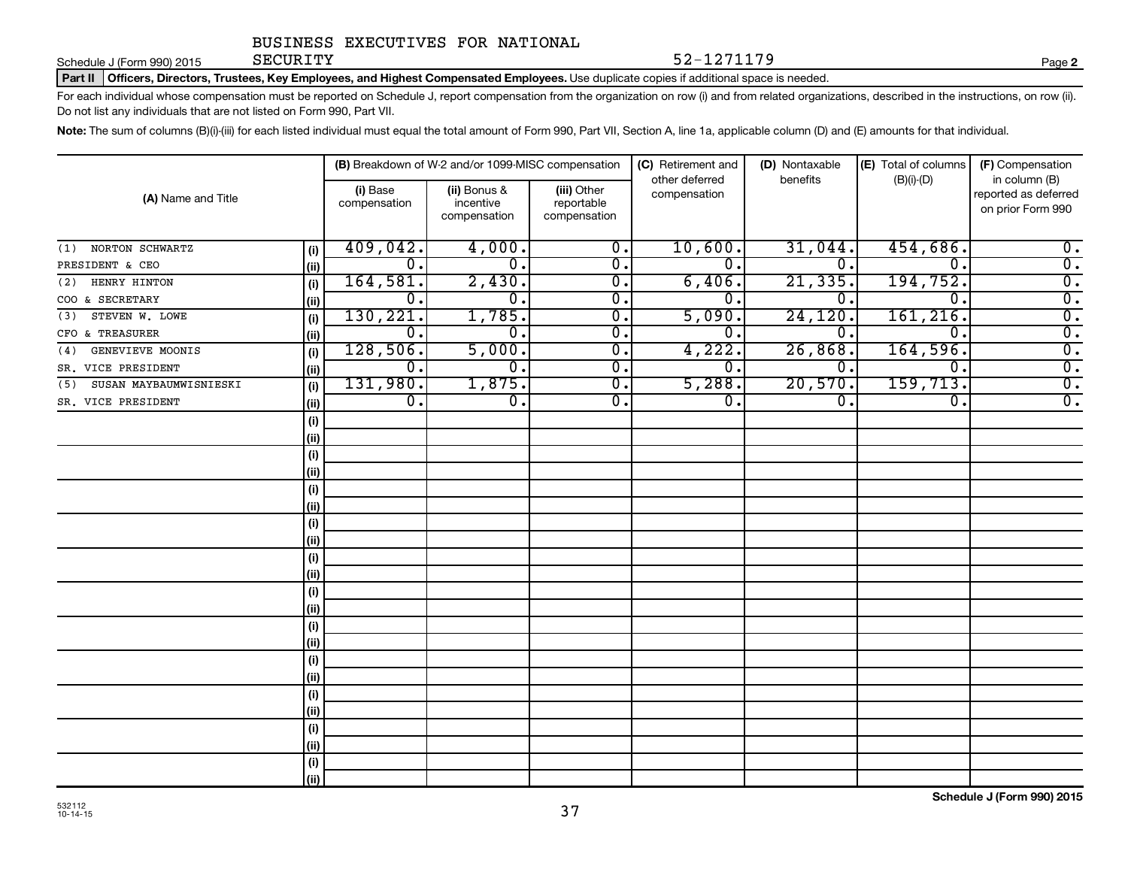Schedule J (Form 990) 2015 **Page SECURITY** 

SECURITY 52-1271179

**2**

Part II | Officers, Directors, Trustees, Key Employees, and Highest Compensated Employees. Use duplicate copies if additional space is needed.

For each individual whose compensation must be reported on Schedule J, report compensation from the organization on row (i) and from related organizations, described in the instructions, on row (ii). Do not list any individuals that are not listed on Form 990, Part VII.

Note: The sum of columns (B)(i)-(iii) for each listed individual must equal the total amount of Form 990, Part VII, Section A, line 1a, applicable column (D) and (E) amounts for that individual.

| (A) Name and Title            |      |                           | (B) Breakdown of W-2 and/or 1099-MISC compensation |                                           | (C) Retirement and             | (D) Nontaxable | (E) Total of columns | (F) Compensation                                           |  |
|-------------------------------|------|---------------------------|----------------------------------------------------|-------------------------------------------|--------------------------------|----------------|----------------------|------------------------------------------------------------|--|
|                               |      | (i) Base<br>compensation  | (ii) Bonus &<br>incentive<br>compensation          | (iii) Other<br>reportable<br>compensation | other deferred<br>compensation | benefits       | $(B)(i)-(D)$         | in column (B)<br>reported as deferred<br>on prior Form 990 |  |
| NORTON SCHWARTZ<br>(1)        | (i)  | 409,042.                  | 4,000.                                             | $\overline{0}$ .                          | 10,600.                        | 31,044.        | 454,686.             | $\overline{0}$ .                                           |  |
| PRESIDENT & CEO               | (ii) | 0.                        | $\Omega$ .                                         | $\overline{0}$ .                          | $\overline{\mathfrak{o}}$ .    | $\mathbf 0$ .  | 0.                   | $\overline{0}$ .                                           |  |
| HENRY HINTON<br>(2)           | (i)  | 164,581.                  | 2,430.                                             | $\overline{0}$ .                          | 6,406.                         | 21, 335.       | 194,752.             | $\overline{0}$ .                                           |  |
| COO & SECRETARY               | (ii) | $\overline{0}$ .          | $\mathbf 0$ .                                      | $\overline{0}$ .                          | о.                             | 0.             | 0.                   | $\overline{\mathbf{0}}$ .                                  |  |
| STEVEN W. LOWE<br>(3)         | (i)  | 130, 221.                 | 1,785.                                             | $\overline{0}$ .                          | 5,090.                         | 24,120         | 161, 216.            | $\overline{0}$ .                                           |  |
| CFO & TREASURER               | (ii) | $\overline{\mathbf{0}}$ . | 0.                                                 | $\overline{0}$ .                          | σ.                             | 0.             | 0.                   | $\overline{0}$ .                                           |  |
| GENEVIEVE MOONIS<br>(4)       | (i)  | 128,506.                  | 5,000.                                             | $\overline{0}$ .                          | 4,222.                         | 26,868.        | 164,596.             | $\overline{0}$ .                                           |  |
| SR. VICE PRESIDENT            | (ii) | 0.                        | 0.                                                 | $\overline{0}$ .                          | о.                             | 0.             | 0.                   | $\overline{0}$ .                                           |  |
| SUSAN MAYBAUMWISNIESKI<br>(5) | (i)  | 131,980.                  | 1,875.                                             | σ.                                        | 5,288.                         | 20,570.        | 159,713.             | $\overline{0}$ .                                           |  |
| SR. VICE PRESIDENT            | (ii) | $\overline{0}$ .          | $\overline{\mathfrak{o}}$ .                        | $\overline{0}$ .                          | $\overline{\mathfrak{o}}$ .    | 0.             | $\overline{0}$ .     | $\overline{0}$ .                                           |  |
|                               | (i)  |                           |                                                    |                                           |                                |                |                      |                                                            |  |
|                               | (ii) |                           |                                                    |                                           |                                |                |                      |                                                            |  |
|                               | (i)  |                           |                                                    |                                           |                                |                |                      |                                                            |  |
|                               | (ii) |                           |                                                    |                                           |                                |                |                      |                                                            |  |
|                               | (i)  |                           |                                                    |                                           |                                |                |                      |                                                            |  |
|                               | (ii) |                           |                                                    |                                           |                                |                |                      |                                                            |  |
|                               | (i)  |                           |                                                    |                                           |                                |                |                      |                                                            |  |
|                               | (ii) |                           |                                                    |                                           |                                |                |                      |                                                            |  |
|                               | (i)  |                           |                                                    |                                           |                                |                |                      |                                                            |  |
|                               | (ii) |                           |                                                    |                                           |                                |                |                      |                                                            |  |
|                               | (i)  |                           |                                                    |                                           |                                |                |                      |                                                            |  |
|                               | (ii) |                           |                                                    |                                           |                                |                |                      |                                                            |  |
|                               | (i)  |                           |                                                    |                                           |                                |                |                      |                                                            |  |
|                               | (ii) |                           |                                                    |                                           |                                |                |                      |                                                            |  |
|                               | (i)  |                           |                                                    |                                           |                                |                |                      |                                                            |  |
|                               | (ii) |                           |                                                    |                                           |                                |                |                      |                                                            |  |
|                               | (i)  |                           |                                                    |                                           |                                |                |                      |                                                            |  |
|                               | (ii) |                           |                                                    |                                           |                                |                |                      |                                                            |  |
|                               | (i)  |                           |                                                    |                                           |                                |                |                      |                                                            |  |
|                               | (ii) |                           |                                                    |                                           |                                |                |                      |                                                            |  |
|                               | (i)  |                           |                                                    |                                           |                                |                |                      |                                                            |  |
|                               | (ii) |                           |                                                    |                                           |                                |                |                      |                                                            |  |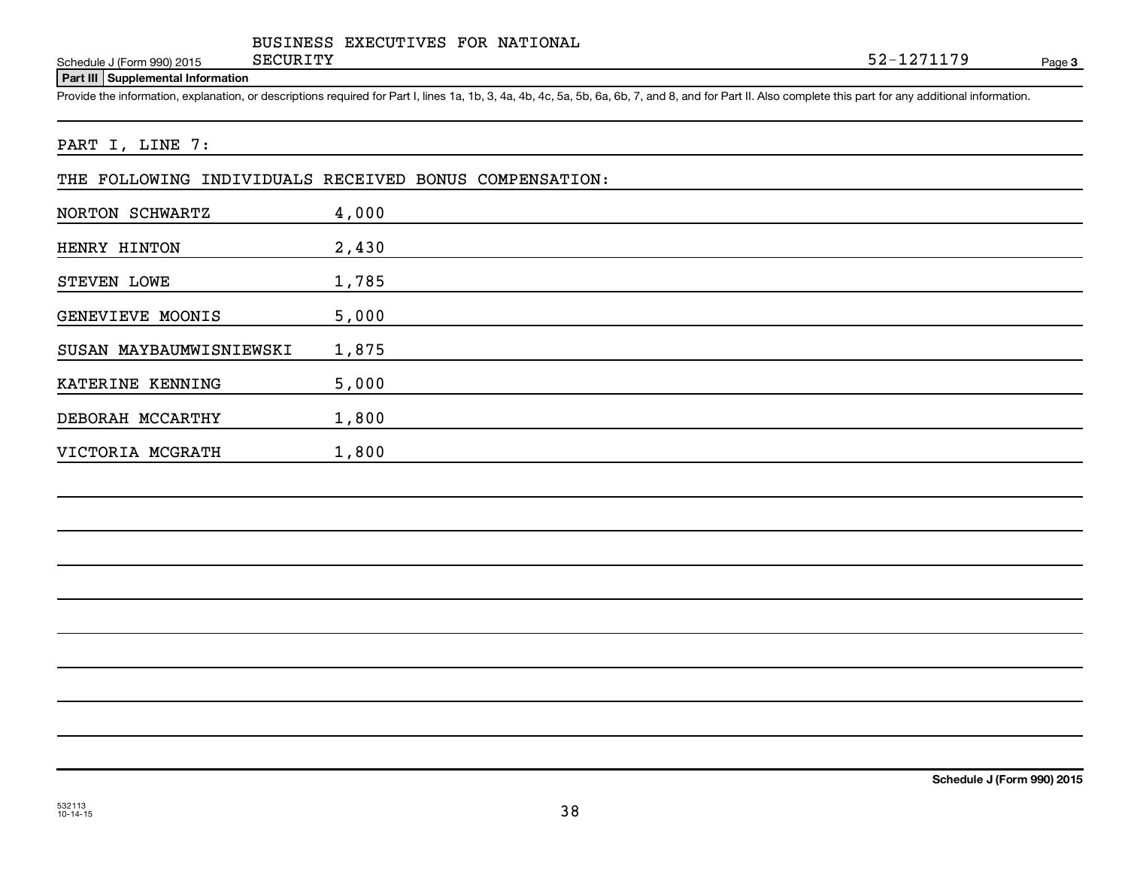Schedule J (Form 990) 2015 SECURITY

**3** SECURITY 52-1271179

### **Part III Supplemental Information**

Provide the information, explanation, or descriptions required for Part I, lines 1a, 1b, 3, 4a, 4b, 4c, 5a, 5b, 6a, 6b, 7, and 8, and for Part II. Also complete this part for any additional information.

#### PART I, LINE 7:

|                         | THE FOLLOWING INDIVIDUALS RECEIVED BONUS COMPENSATION: |
|-------------------------|--------------------------------------------------------|
| NORTON SCHWARTZ         | 4,000                                                  |
| HENRY HINTON            | 2,430                                                  |
| STEVEN LOWE             | 1,785                                                  |
| GENEVIEVE MOONIS        | 5,000                                                  |
| SUSAN MAYBAUMWISNIEWSKI | 1,875                                                  |
| KATERINE KENNING        | 5,000                                                  |
| DEBORAH MCCARTHY        | 1,800                                                  |
| VICTORIA MCGRATH        | 1,800                                                  |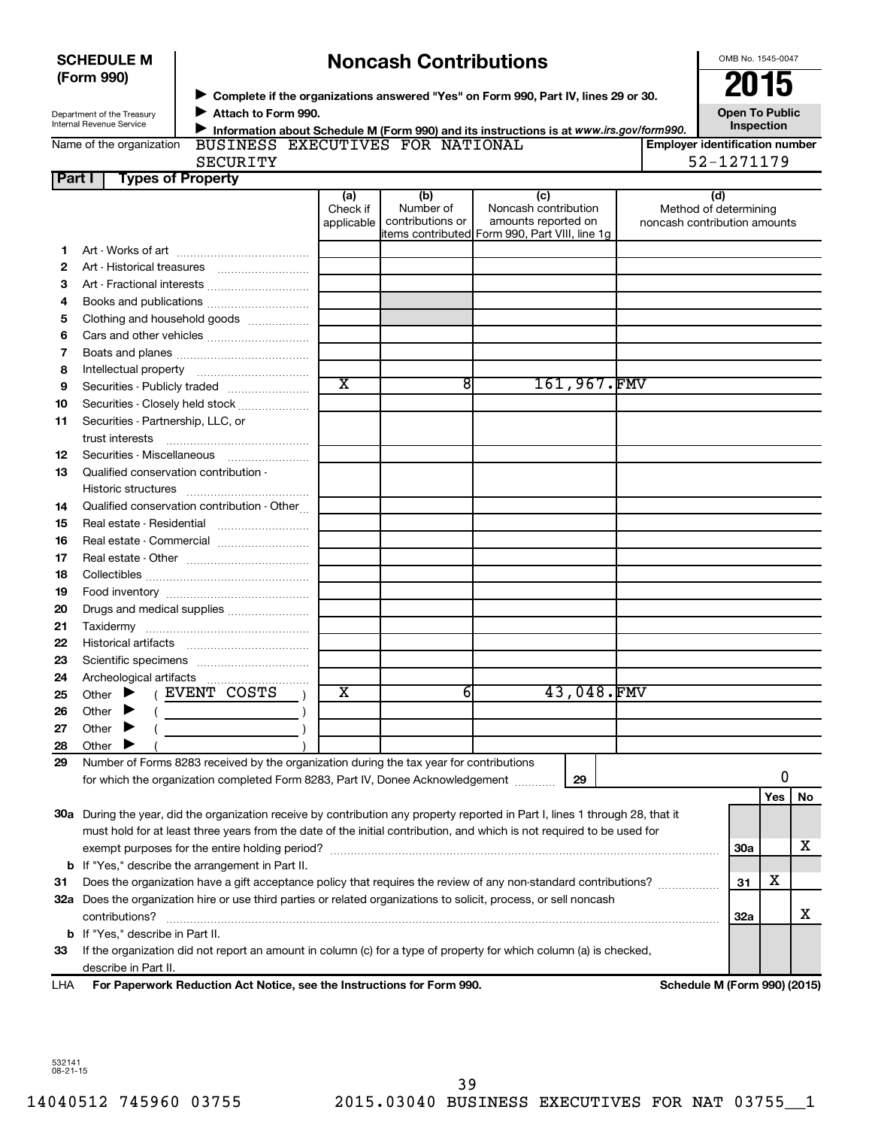| <b>SCHEDULE M</b> |  |
|-------------------|--|
| (Form 990)        |  |

## **Noncash Contributions**

OMB No. 1545-0047

| Department of the Treasury |
|----------------------------|
| Internal Revenue Service   |

◆ Complete if the organizations answered "Yes" on Form 990, Part IV, lines 29 or 30.<br>▶ Complete if the organizations answered "Yes" on Form 990, Part IV, lines 29 or 30. **Attach to Form 990.** J

**Open To Public Inspection**

|--|

**Information about Schedule M (Form 990) and its instructions is at www.irs.gov/form990.** BUSINESS EXECUTIVES FOR NATIONAL

**Employer identification number**

| $N$ anic VI the Viganization | DU. |
|------------------------------|-----|
|                              | SF  |

 $S$ CURITY  $52-1271179$ 

| Part I | <b>Types of Property</b>                                                                                                       |                               |                                      |                                                                                                      |             |                                                              |            |     |    |
|--------|--------------------------------------------------------------------------------------------------------------------------------|-------------------------------|--------------------------------------|------------------------------------------------------------------------------------------------------|-------------|--------------------------------------------------------------|------------|-----|----|
|        |                                                                                                                                | (a)<br>Check if<br>applicable | (b)<br>Number of<br>contributions or | (c)<br>Noncash contribution<br>amounts reported on<br>items contributed Form 990, Part VIII, line 1g |             | (d)<br>Method of determining<br>noncash contribution amounts |            |     |    |
| 1.     |                                                                                                                                |                               |                                      |                                                                                                      |             |                                                              |            |     |    |
| 2      |                                                                                                                                |                               |                                      |                                                                                                      |             |                                                              |            |     |    |
| З      |                                                                                                                                |                               |                                      |                                                                                                      |             |                                                              |            |     |    |
| 4      |                                                                                                                                |                               |                                      |                                                                                                      |             |                                                              |            |     |    |
| 5      | Clothing and household goods                                                                                                   |                               |                                      |                                                                                                      |             |                                                              |            |     |    |
| 6      |                                                                                                                                |                               |                                      |                                                                                                      |             |                                                              |            |     |    |
| 7      |                                                                                                                                |                               |                                      |                                                                                                      |             |                                                              |            |     |    |
| 8      |                                                                                                                                |                               |                                      |                                                                                                      |             |                                                              |            |     |    |
| 9      | Securities - Publicly traded                                                                                                   | $\overline{\text{x}}$         | 8                                    |                                                                                                      | 161,967.FMV |                                                              |            |     |    |
| 10     | Securities - Closely held stock                                                                                                |                               |                                      |                                                                                                      |             |                                                              |            |     |    |
| 11     | Securities - Partnership, LLC, or                                                                                              |                               |                                      |                                                                                                      |             |                                                              |            |     |    |
|        | trust interests                                                                                                                |                               |                                      |                                                                                                      |             |                                                              |            |     |    |
| 12     | Securities - Miscellaneous                                                                                                     |                               |                                      |                                                                                                      |             |                                                              |            |     |    |
| 13     | Qualified conservation contribution -                                                                                          |                               |                                      |                                                                                                      |             |                                                              |            |     |    |
|        |                                                                                                                                |                               |                                      |                                                                                                      |             |                                                              |            |     |    |
| 14     | Qualified conservation contribution - Other                                                                                    |                               |                                      |                                                                                                      |             |                                                              |            |     |    |
| 15     | Real estate - Residential                                                                                                      |                               |                                      |                                                                                                      |             |                                                              |            |     |    |
| 16     | Real estate - Commercial                                                                                                       |                               |                                      |                                                                                                      |             |                                                              |            |     |    |
| 17     |                                                                                                                                |                               |                                      |                                                                                                      |             |                                                              |            |     |    |
| 18     |                                                                                                                                |                               |                                      |                                                                                                      |             |                                                              |            |     |    |
| 19     |                                                                                                                                |                               |                                      |                                                                                                      |             |                                                              |            |     |    |
| 20     | Drugs and medical supplies                                                                                                     |                               |                                      |                                                                                                      |             |                                                              |            |     |    |
| 21     |                                                                                                                                |                               |                                      |                                                                                                      |             |                                                              |            |     |    |
| 22     |                                                                                                                                |                               |                                      |                                                                                                      |             |                                                              |            |     |    |
| 23     |                                                                                                                                |                               |                                      |                                                                                                      |             |                                                              |            |     |    |
| 24     |                                                                                                                                |                               |                                      |                                                                                                      |             |                                                              |            |     |    |
| 25     | ( EVENT COSTS<br>Other $\blacktriangleright$                                                                                   | $\overline{\mathbf{X}}$       | 61                                   |                                                                                                      | 43,048.FMV  |                                                              |            |     |    |
| 26     | Other $\blacktriangleright$<br>$\overline{\phantom{a}}$ )                                                                      |                               |                                      |                                                                                                      |             |                                                              |            |     |    |
| 27     | Other $\blacktriangleright$                                                                                                    |                               |                                      |                                                                                                      |             |                                                              |            |     |    |
| 28     | Other $\blacktriangleright$                                                                                                    |                               |                                      |                                                                                                      |             |                                                              |            |     |    |
| 29     | Number of Forms 8283 received by the organization during the tax year for contributions                                        |                               |                                      |                                                                                                      |             |                                                              |            |     |    |
|        | for which the organization completed Form 8283, Part IV, Donee Acknowledgement                                                 |                               |                                      |                                                                                                      | 29          |                                                              |            | 0   |    |
|        |                                                                                                                                |                               |                                      |                                                                                                      |             |                                                              |            | Yes | No |
|        | 30a During the year, did the organization receive by contribution any property reported in Part I, lines 1 through 28, that it |                               |                                      |                                                                                                      |             |                                                              |            |     |    |
|        | must hold for at least three years from the date of the initial contribution, and which is not required to be used for         |                               |                                      |                                                                                                      |             |                                                              |            |     |    |
|        |                                                                                                                                |                               |                                      |                                                                                                      |             |                                                              | <b>30a</b> |     | х  |
|        | <b>b</b> If "Yes," describe the arrangement in Part II.                                                                        |                               |                                      |                                                                                                      |             |                                                              |            |     |    |
| 31     | X<br>Does the organization have a gift acceptance policy that requires the review of any non-standard contributions?<br>31     |                               |                                      |                                                                                                      |             |                                                              |            |     |    |
|        | 32a Does the organization hire or use third parties or related organizations to solicit, process, or sell noncash              |                               |                                      |                                                                                                      |             |                                                              |            |     |    |
|        | x<br>contributions?<br>32a                                                                                                     |                               |                                      |                                                                                                      |             |                                                              |            |     |    |
|        | <b>b</b> If "Yes," describe in Part II.                                                                                        |                               |                                      |                                                                                                      |             |                                                              |            |     |    |
| 33     | If the organization did not report an amount in column (c) for a type of property for which column (a) is checked,             |                               |                                      |                                                                                                      |             |                                                              |            |     |    |
|        | describe in Part II.                                                                                                           |                               |                                      |                                                                                                      |             |                                                              |            |     |    |
| LHA    | For Paperwork Reduction Act Notice, see the Instructions for Form 990.                                                         |                               |                                      |                                                                                                      |             | Schedule M (Form 990) (2015)                                 |            |     |    |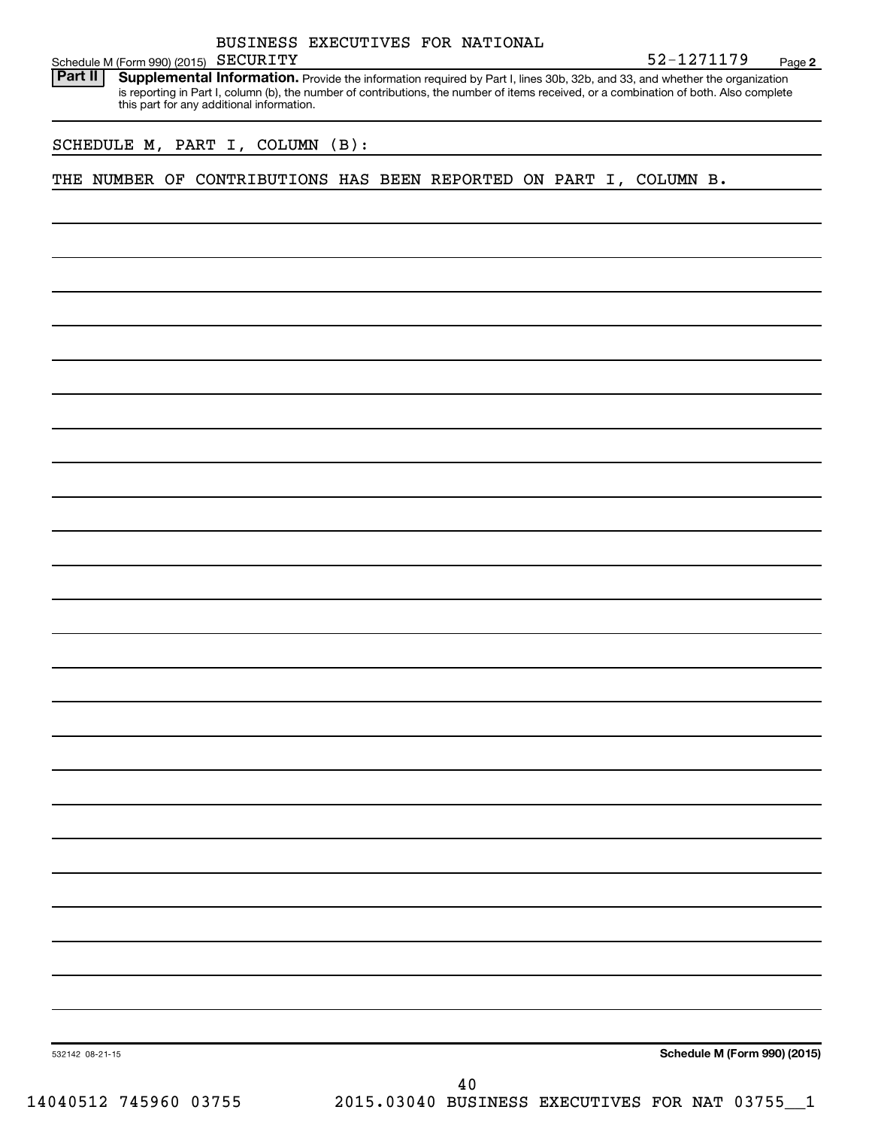|                                                                    | BUSINESS EXECUTIVES FOR NATIONAL                                                                                                                                                                                                                                                                                  |  |            |                              |
|--------------------------------------------------------------------|-------------------------------------------------------------------------------------------------------------------------------------------------------------------------------------------------------------------------------------------------------------------------------------------------------------------|--|------------|------------------------------|
| Schedule M (Form 990) (2015) SECURITY<br>Part II                   |                                                                                                                                                                                                                                                                                                                   |  | 52-1271179 | Page 2                       |
|                                                                    | Supplemental Information. Provide the information required by Part I, lines 30b, 32b, and 33, and whether the organization<br>is reporting in Part I, column (b), the number of contributions, the number of items received, or a combination of both. Also complete<br>this part for any additional information. |  |            |                              |
| SCHEDULE M, PART I, COLUMN (B):                                    |                                                                                                                                                                                                                                                                                                                   |  |            |                              |
| THE NUMBER OF CONTRIBUTIONS HAS BEEN REPORTED ON PART I, COLUMN B. |                                                                                                                                                                                                                                                                                                                   |  |            |                              |
|                                                                    |                                                                                                                                                                                                                                                                                                                   |  |            |                              |
|                                                                    |                                                                                                                                                                                                                                                                                                                   |  |            |                              |
|                                                                    |                                                                                                                                                                                                                                                                                                                   |  |            |                              |
|                                                                    |                                                                                                                                                                                                                                                                                                                   |  |            |                              |
|                                                                    |                                                                                                                                                                                                                                                                                                                   |  |            |                              |
|                                                                    |                                                                                                                                                                                                                                                                                                                   |  |            |                              |
|                                                                    |                                                                                                                                                                                                                                                                                                                   |  |            |                              |
|                                                                    |                                                                                                                                                                                                                                                                                                                   |  |            |                              |
|                                                                    |                                                                                                                                                                                                                                                                                                                   |  |            |                              |
|                                                                    |                                                                                                                                                                                                                                                                                                                   |  |            |                              |
|                                                                    |                                                                                                                                                                                                                                                                                                                   |  |            |                              |
|                                                                    |                                                                                                                                                                                                                                                                                                                   |  |            |                              |
|                                                                    |                                                                                                                                                                                                                                                                                                                   |  |            |                              |
|                                                                    |                                                                                                                                                                                                                                                                                                                   |  |            |                              |
|                                                                    |                                                                                                                                                                                                                                                                                                                   |  |            |                              |
|                                                                    |                                                                                                                                                                                                                                                                                                                   |  |            |                              |
|                                                                    |                                                                                                                                                                                                                                                                                                                   |  |            |                              |
|                                                                    |                                                                                                                                                                                                                                                                                                                   |  |            |                              |
|                                                                    |                                                                                                                                                                                                                                                                                                                   |  |            |                              |
|                                                                    |                                                                                                                                                                                                                                                                                                                   |  |            |                              |
|                                                                    |                                                                                                                                                                                                                                                                                                                   |  |            |                              |
|                                                                    |                                                                                                                                                                                                                                                                                                                   |  |            |                              |
|                                                                    |                                                                                                                                                                                                                                                                                                                   |  |            |                              |
| 532142 08-21-15                                                    |                                                                                                                                                                                                                                                                                                                   |  |            | Schedule M (Form 990) (2015) |

14040512 745960 03755 2015.03040 BUSINESS EXECUTIVES FOR NAT 03755\_\_1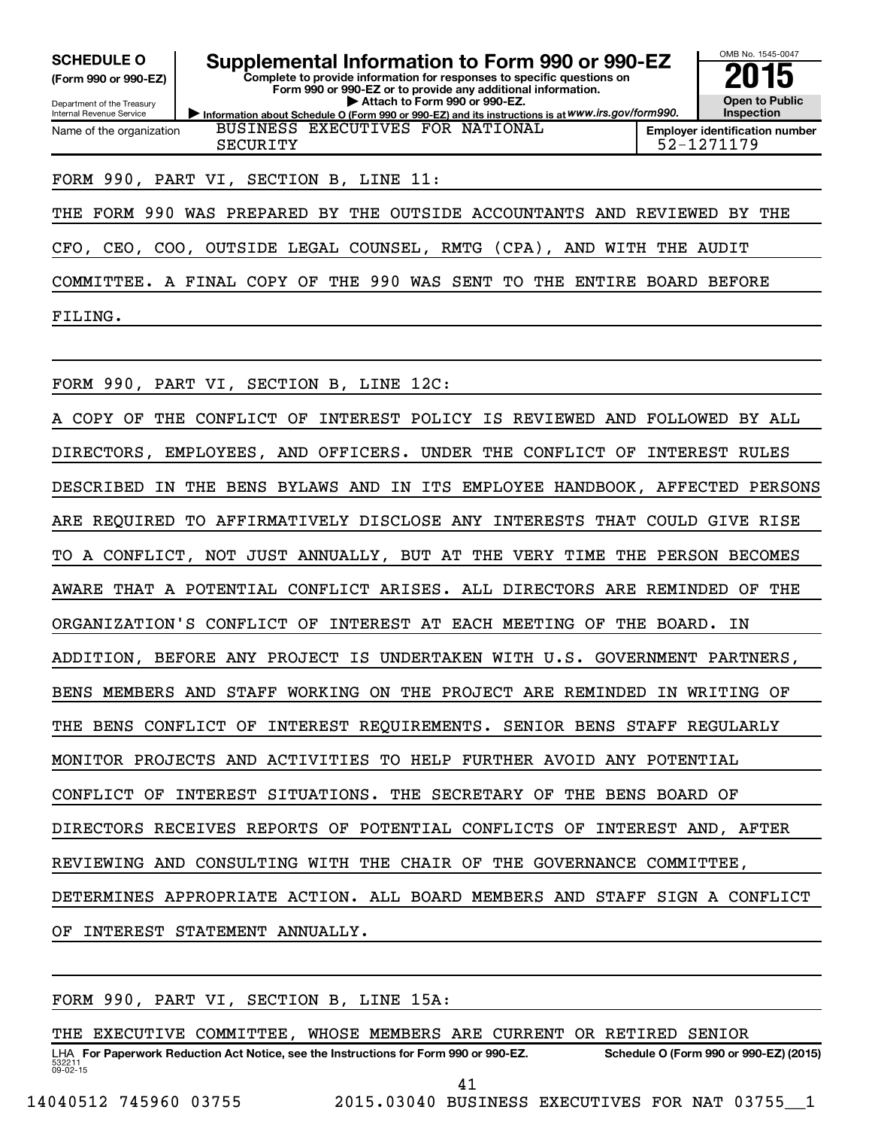**(Form 990 or 990-EZ)**

Department of the Treasury Internal Revenue Service Name of the organization

SCHEDULE O **Supplemental Information to Form 990 or 990-EZ 2015**<br>(Form 990 or 990-EZ) Complete to provide information for responses to specific questions on

**Information about Schedule O (Form 990 or 990-EZ) and its instructions is at WWW.irs.gov/form990. Complete to provide information for responses to specific questions on Form 990 or 990-EZ or to provide any additional information. | Attach to Form 990 or 990-EZ.**

BUSINESS EXECUTIVES FOR NATIONAL



OMB No. 1545-0047

**Employer identification number** SECURITY 52-1271179

#### FORM 990, PART VI, SECTION B, LINE 11:

THE FORM 990 WAS PREPARED BY THE OUTSIDE ACCOUNTANTS AND REVIEWED BY THE CFO, CEO, COO, OUTSIDE LEGAL COUNSEL, RMTG (CPA), AND WITH THE AUDIT COMMITTEE. A FINAL COPY OF THE 990 WAS SENT TO THE ENTIRE BOARD BEFORE FILING.

FORM 990, PART VI, SECTION B, LINE 12C:

COPY OF THE CONFLICT OF INTEREST POLICY IS REVIEWED AND FOLLOWED BY ALL DIRECTORS, EMPLOYEES, AND OFFICERS. UNDER THE CONFLICT OF INTEREST RULES DESCRIBED IN THE BENS BYLAWS AND IN ITS EMPLOYEE HANDBOOK, AFFECTED PERSONS ARE REQUIRED TO AFFIRMATIVELY DISCLOSE ANY INTERESTS THAT COULD GIVE RISE TO A CONFLICT, NOT JUST ANNUALLY, BUT AT THE VERY TIME THE PERSON BECOMES AWARE THAT A POTENTIAL CONFLICT ARISES. ALL DIRECTORS ARE REMINDED OF THE ORGANIZATION'S CONFLICT OF INTEREST AT EACH MEETING OF THE BOARD. IN ADDITION, BEFORE ANY PROJECT IS UNDERTAKEN WITH U.S. GOVERNMENT PARTNERS, BENS MEMBERS AND STAFF WORKING ON THE PROJECT ARE REMINDED IN WRITING OF THE BENS CONFLICT OF INTEREST REQUIREMENTS. SENIOR BENS STAFF REGULARLY MONITOR PROJECTS AND ACTIVITIES TO HELP FURTHER AVOID ANY POTENTIAL CONFLICT OF INTEREST SITUATIONS. THE SECRETARY OF THE BENS BOARD OF DIRECTORS RECEIVES REPORTS OF POTENTIAL CONFLICTS OF INTEREST AND, AFTER REVIEWING AND CONSULTING WITH THE CHAIR OF THE GOVERNANCE COMMITTEE, DETERMINES APPROPRIATE ACTION. ALL BOARD MEMBERS AND STAFF SIGN A CONFLICT OF INTEREST STATEMENT ANNUALLY.

#### FORM 990, PART VI, SECTION B, LINE 15A:

532211  $09 - 02 - 15$ LHA For Paperwork Reduction Act Notice, see the Instructions for Form 990 or 990-EZ. Schedule O (Form 990 or 990-EZ) (2015) THE EXECUTIVE COMMITTEE, WHOSE MEMBERS ARE CURRENT OR RETIRED SENIOR